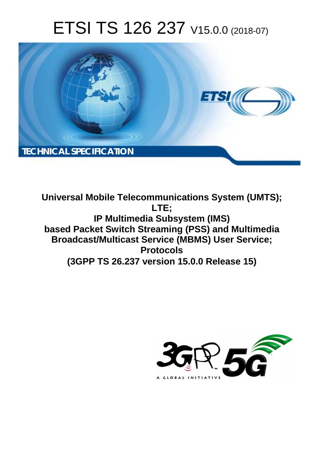# ETSI TS 126 237 V15.0.0 (2018-07)



**Universal Mobile Telecommunications System (UMTS); LTE; IP Multimedia Subsystem (IMS) based Packet Switch Streaming (PSS) and Multimedia Broadcast/Multicast Service (MBMS) User Service; Protocols (3GPP TS 26.237 version 15.0.0 Release 15)** 

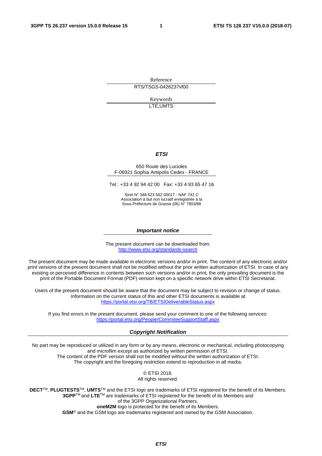Reference RTS/TSGS-0426237vf00

> Keywords LTE,UMTS

#### *ETSI*

#### 650 Route des Lucioles F-06921 Sophia Antipolis Cedex - FRANCE

Tel.: +33 4 92 94 42 00 Fax: +33 4 93 65 47 16

Siret N° 348 623 562 00017 - NAF 742 C Association à but non lucratif enregistrée à la Sous-Préfecture de Grasse (06) N° 7803/88

#### *Important notice*

The present document can be downloaded from: <http://www.etsi.org/standards-search>

The present document may be made available in electronic versions and/or in print. The content of any electronic and/or print versions of the present document shall not be modified without the prior written authorization of ETSI. In case of any existing or perceived difference in contents between such versions and/or in print, the only prevailing document is the print of the Portable Document Format (PDF) version kept on a specific network drive within ETSI Secretariat.

Users of the present document should be aware that the document may be subject to revision or change of status. Information on the current status of this and other ETSI documents is available at <https://portal.etsi.org/TB/ETSIDeliverableStatus.aspx>

If you find errors in the present document, please send your comment to one of the following services: <https://portal.etsi.org/People/CommiteeSupportStaff.aspx>

#### *Copyright Notification*

No part may be reproduced or utilized in any form or by any means, electronic or mechanical, including photocopying and microfilm except as authorized by written permission of ETSI. The content of the PDF version shall not be modified without the written authorization of ETSI. The copyright and the foregoing restriction extend to reproduction in all media.

> © ETSI 2018. All rights reserved.

**DECT**TM, **PLUGTESTS**TM, **UMTS**TM and the ETSI logo are trademarks of ETSI registered for the benefit of its Members. **3GPP**TM and **LTE**TM are trademarks of ETSI registered for the benefit of its Members and of the 3GPP Organizational Partners. **oneM2M** logo is protected for the benefit of its Members.

**GSM**® and the GSM logo are trademarks registered and owned by the GSM Association.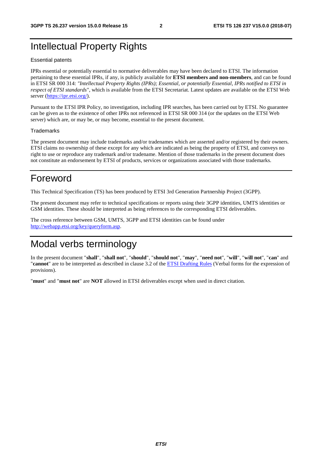# Intellectual Property Rights

#### Essential patents

IPRs essential or potentially essential to normative deliverables may have been declared to ETSI. The information pertaining to these essential IPRs, if any, is publicly available for **ETSI members and non-members**, and can be found in ETSI SR 000 314: *"Intellectual Property Rights (IPRs); Essential, or potentially Essential, IPRs notified to ETSI in respect of ETSI standards"*, which is available from the ETSI Secretariat. Latest updates are available on the ETSI Web server ([https://ipr.etsi.org/\)](https://ipr.etsi.org/).

Pursuant to the ETSI IPR Policy, no investigation, including IPR searches, has been carried out by ETSI. No guarantee can be given as to the existence of other IPRs not referenced in ETSI SR 000 314 (or the updates on the ETSI Web server) which are, or may be, or may become, essential to the present document.

#### **Trademarks**

The present document may include trademarks and/or tradenames which are asserted and/or registered by their owners. ETSI claims no ownership of these except for any which are indicated as being the property of ETSI, and conveys no right to use or reproduce any trademark and/or tradename. Mention of those trademarks in the present document does not constitute an endorsement by ETSI of products, services or organizations associated with those trademarks.

# Foreword

This Technical Specification (TS) has been produced by ETSI 3rd Generation Partnership Project (3GPP).

The present document may refer to technical specifications or reports using their 3GPP identities, UMTS identities or GSM identities. These should be interpreted as being references to the corresponding ETSI deliverables.

The cross reference between GSM, UMTS, 3GPP and ETSI identities can be found under [http://webapp.etsi.org/key/queryform.asp.](http://webapp.etsi.org/key/queryform.asp)

# Modal verbs terminology

In the present document "**shall**", "**shall not**", "**should**", "**should not**", "**may**", "**need not**", "**will**", "**will not**", "**can**" and "**cannot**" are to be interpreted as described in clause 3.2 of the [ETSI Drafting Rules](https://portal.etsi.org/Services/editHelp!/Howtostart/ETSIDraftingRules.aspx) (Verbal forms for the expression of provisions).

"**must**" and "**must not**" are **NOT** allowed in ETSI deliverables except when used in direct citation.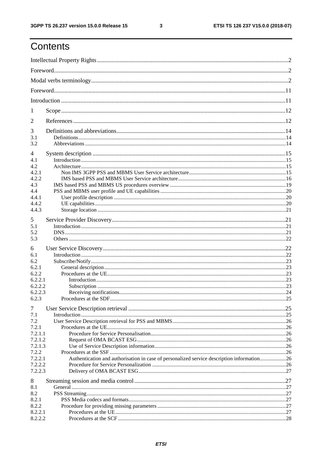$\mathbf{3}$ 

# Contents

| 1              |                                                                                            |  |
|----------------|--------------------------------------------------------------------------------------------|--|
| 2              |                                                                                            |  |
| 3              |                                                                                            |  |
| 3.1<br>3.2     |                                                                                            |  |
| 4              |                                                                                            |  |
| 4.1            |                                                                                            |  |
| 4.2            |                                                                                            |  |
| 4.2.1          |                                                                                            |  |
| 4.2.2          |                                                                                            |  |
| 4.3            |                                                                                            |  |
| 4.4            |                                                                                            |  |
| 4.4.1<br>4.4.2 |                                                                                            |  |
| 4.4.3          |                                                                                            |  |
|                |                                                                                            |  |
| 5              |                                                                                            |  |
| 5.1            |                                                                                            |  |
| 5.2            |                                                                                            |  |
| 5.3            |                                                                                            |  |
| 6              |                                                                                            |  |
| 6.1            |                                                                                            |  |
| 6.2            |                                                                                            |  |
| 6.2.1          |                                                                                            |  |
| 6.2.2          |                                                                                            |  |
| 6.2.2.1        |                                                                                            |  |
| 6.2.2.2        |                                                                                            |  |
| 6.2.2.3        |                                                                                            |  |
| 6.2.3          |                                                                                            |  |
| $\tau$         |                                                                                            |  |
| 7.1            |                                                                                            |  |
| 7.2            |                                                                                            |  |
| 7.2.1          |                                                                                            |  |
| 7.2.1.1        |                                                                                            |  |
| 7.2.1.2        |                                                                                            |  |
| 7.2.1.3        |                                                                                            |  |
| 7.2.2          |                                                                                            |  |
| 7.2.2.1        | Authentication and authorisation in case of personalized service description information26 |  |
| 7.2.2.2        |                                                                                            |  |
| 7.2.2.3        |                                                                                            |  |
| 8              |                                                                                            |  |
| 8.1            |                                                                                            |  |
| 8.2            |                                                                                            |  |
| 8.2.1          |                                                                                            |  |
| 8.2.2          |                                                                                            |  |
| 8.2.2.1        |                                                                                            |  |
| 8.2.2.2        |                                                                                            |  |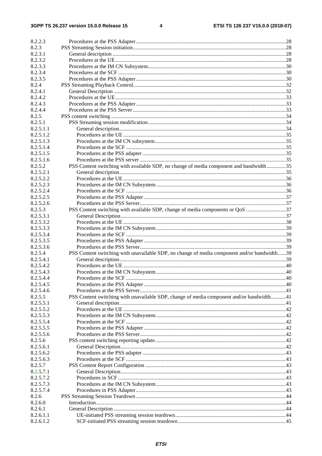$\overline{\mathbf{4}}$ 

| 8.2.2.3   |                                                                                             |  |
|-----------|---------------------------------------------------------------------------------------------|--|
| 8.2.3     |                                                                                             |  |
| 8.2.3.1   |                                                                                             |  |
| 8.2.3.2   |                                                                                             |  |
| 8.2.3.3   |                                                                                             |  |
| 8.2.3.4   |                                                                                             |  |
| 8.2.3.5   |                                                                                             |  |
| 8.2.4     |                                                                                             |  |
| 8.2.4.1   |                                                                                             |  |
| 8.2.4.2   |                                                                                             |  |
| 8.2.4.3   |                                                                                             |  |
| 8.2.4.4   |                                                                                             |  |
| 8.2.5     |                                                                                             |  |
| 8.2.5.1   |                                                                                             |  |
| 8.2.5.1.1 |                                                                                             |  |
| 8.2.5.1.2 |                                                                                             |  |
| 8.2.5.1.3 |                                                                                             |  |
| 8.2.5.1.4 |                                                                                             |  |
| 8.2.5.1.5 |                                                                                             |  |
| 8.2.5.1.6 |                                                                                             |  |
| 8.2.5.2   | PSS Content switching with available SDP, no change of media component and bandwidth35      |  |
| 8.2.5.2.1 |                                                                                             |  |
| 8.2.5.2.2 |                                                                                             |  |
| 8.2.5.2.3 |                                                                                             |  |
| 8.2.5.2.4 |                                                                                             |  |
| 8.2.5.2.5 |                                                                                             |  |
| 8.2.5.2.6 |                                                                                             |  |
| 8.2.5.3   | PSS Content switching with available SDP, change of media components or QoS 37              |  |
| 8.2.5.3.1 |                                                                                             |  |
| 8.2.5.3.2 |                                                                                             |  |
| 8.2.5.3.3 |                                                                                             |  |
| 8.2.5.3.4 |                                                                                             |  |
| 8.2.5.3.5 |                                                                                             |  |
| 8.2.5.3.6 |                                                                                             |  |
| 8.2.5.4   | PSS Content switching with unavailable SDP, no change of media component and/or bandwidth39 |  |
| 8.2.5.4.1 |                                                                                             |  |
| 8.2.5.4.2 |                                                                                             |  |
| 8.2.5.4.3 |                                                                                             |  |
| 8.2.5.4.4 |                                                                                             |  |
| 8.2.5.4.5 |                                                                                             |  |
| 8.2.5.4.6 |                                                                                             |  |
| 8.2.5.5   | PSS Content switching with unavailable SDP, change of media component and/or bandwidth41    |  |
| 8.2.5.5.1 |                                                                                             |  |
| 8.2.5.5.2 |                                                                                             |  |
| 8.2.5.5.3 |                                                                                             |  |
| 8.2.5.5.4 |                                                                                             |  |
| 8.2.5.5.5 |                                                                                             |  |
| 8.2.5.5.6 |                                                                                             |  |
| 8.2.5.6   |                                                                                             |  |
| 8.2.5.6.1 |                                                                                             |  |
| 8.2.5.6.2 |                                                                                             |  |
| 8.2.5.6.3 |                                                                                             |  |
| 8.2.5.7   |                                                                                             |  |
| 8.2.5.7.1 |                                                                                             |  |
| 8.2.5.7.2 |                                                                                             |  |
| 8.2.5.7.3 |                                                                                             |  |
| 8.2.5.7.4 |                                                                                             |  |
| 8.2.6     |                                                                                             |  |
| 8.2.6.0   |                                                                                             |  |
| 8.2.6.1   |                                                                                             |  |
| 8.2.6.1.1 |                                                                                             |  |
| 8.2.6.1.2 |                                                                                             |  |
|           |                                                                                             |  |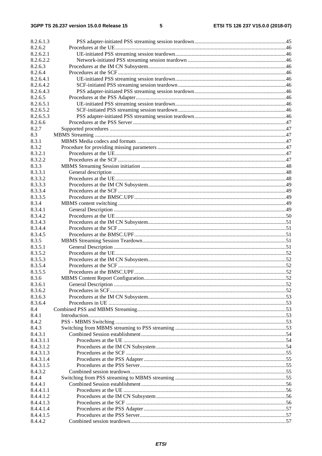| 8.2.6.1.3 |  |
|-----------|--|
| 8.2.6.2   |  |
| 8.2.6.2.1 |  |
| 8.2.6.2.2 |  |
| 8.2.6.3   |  |
| 8.2.6.4   |  |
| 8.2.6.4.1 |  |
| 8.2.6.4.2 |  |
| 8.2.6.4.3 |  |
| 8.2.6.5   |  |
| 8.2.6.5.1 |  |
| 8.2.6.5.2 |  |
| 8.2.6.5.3 |  |
| 8.2.6.6   |  |
| 8.2.7     |  |
| 8.3       |  |
| 8.3.1     |  |
| 8.3.2     |  |
| 8.3.2.1   |  |
| 8.3.2.2   |  |
| 8.3.3     |  |
| 8.3.3.1   |  |
| 8.3.3.2   |  |
| 8.3.3.3   |  |
| 8.3.3.4   |  |
| 8.3.3.5   |  |
| 8.3.4     |  |
| 8.3.4.1   |  |
| 8.3.4.2   |  |
| 8.3.4.3   |  |
| 8.3.4.4   |  |
| 8.3.4.5   |  |
| 8.3.5     |  |
| 8.3.5.1   |  |
| 8.3.5.2   |  |
| 8.3.5.3   |  |
| 8.3.5.4   |  |
| 8.3.5.5   |  |
| 8.3.6     |  |
| 8.3.6.1   |  |
| 8.3.6.2   |  |
| 8.3.6.3   |  |
| 8.3.6.4   |  |
| 8.4       |  |
| 8.4.1     |  |
| 8.4.2     |  |
| 8.4.3     |  |
| 8.4.3.1   |  |
| 8.4.3.1.1 |  |
| 8.4.3.1.2 |  |
| 8.4.3.1.3 |  |
| 8.4.3.1.4 |  |
| 8.4.3.1.5 |  |
| 8.4.3.2   |  |
| 8.4.4     |  |
| 8.4.4.1   |  |
| 8.4.4.1.1 |  |
| 8.4.4.1.2 |  |
| 8.4.4.1.3 |  |
| 8.4.4.1.4 |  |
| 8.4.4.1.5 |  |
| 8.4.4.2   |  |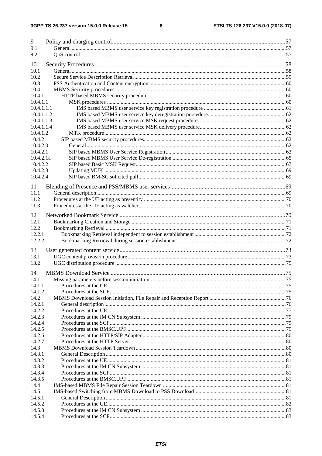| 9              |  |
|----------------|--|
| 9.1            |  |
| 9.2            |  |
|                |  |
| 10             |  |
| 10.1           |  |
| 10.2           |  |
| 10.3           |  |
| 10.4           |  |
| 10.4.1         |  |
| 10.4.1.1       |  |
| 10.4.1.1.1     |  |
| 10.4.1.1.2     |  |
| 10.4.1.1.3     |  |
| 10.4.1.1.4     |  |
| 10.4.1.2       |  |
| 10.4.2         |  |
| 10.4.2.0       |  |
| 10.4.2.1       |  |
| 10.4.2.1a      |  |
| 10.4.2.2       |  |
| 10.4.2.3       |  |
| 10.4.2.4       |  |
| 11             |  |
| 11.1           |  |
| 11.2           |  |
| 11.3           |  |
|                |  |
| 12             |  |
| 12.1           |  |
| 12.2           |  |
| 12.2.1         |  |
| 12.2.2         |  |
|                |  |
| 13             |  |
| 13.1           |  |
| 13.2           |  |
| 14             |  |
| 14.1           |  |
| 14.1.1         |  |
| 14.1.2         |  |
| 14.2           |  |
| 14.2.1         |  |
| 14.2.2         |  |
| 14.2.3         |  |
| 14.2.4         |  |
| 14.2.5         |  |
| 14.2.6         |  |
| 14.2.7         |  |
|                |  |
| 14.3<br>14.3.1 |  |
| 14.3.2         |  |
| 14.3.3         |  |
|                |  |
| 14.3.4         |  |
| 14.3.5         |  |
| 14.4           |  |
| 14.5           |  |
| 14.5.1         |  |
| 14.5.2         |  |
| 14.5.3         |  |
| 14.5.4         |  |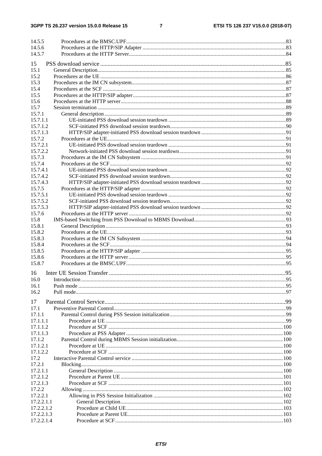#### $\overline{7}$

| 14.5.5     |  |
|------------|--|
| 14.5.6     |  |
| 14.5.7     |  |
|            |  |
| 15         |  |
| 15.1       |  |
| 15.2       |  |
| 15.3       |  |
| 15.4       |  |
| 15.5       |  |
| 15.6       |  |
| 15.7       |  |
| 15.7.1     |  |
| 15.7.1.1   |  |
| 15.7.1.2   |  |
| 15.7.1.3   |  |
| 15.7.2     |  |
| 15.7.2.1   |  |
| 15.7.2.2   |  |
| 15.7.3     |  |
| 15.7.4     |  |
| 15.7.4.1   |  |
| 15.7.4.2   |  |
| 15.7.4.3   |  |
| 15.7.5     |  |
| 15.7.5.1   |  |
| 15.7.5.2   |  |
| 15.7.5.3   |  |
| 15.7.6     |  |
| 15.8       |  |
| 15.8.1     |  |
| 15.8.2     |  |
| 15.8.3     |  |
| 15.8.4     |  |
| 15.8.5     |  |
| 15.8.6     |  |
| 15.8.7     |  |
|            |  |
| 16         |  |
| 16.0       |  |
| 16.1       |  |
| 16.2       |  |
|            |  |
| 17         |  |
| 17.1       |  |
| 17.1.1     |  |
| 17.1.1.1   |  |
| 17.1.1.2   |  |
| 17.1.1.3   |  |
| 17.1.2     |  |
| 17.1.2.1   |  |
| 17.1.2.2   |  |
| 17.2       |  |
| 17.2.1     |  |
| 17.2.1.1   |  |
| 17.2.1.2   |  |
| 17.2.1.3   |  |
| 17.2.2     |  |
| 17.2.2.1   |  |
| 17.2.2.1.1 |  |
| 17.2.2.1.2 |  |
| 17.2.2.1.3 |  |
| 17.2.2.1.4 |  |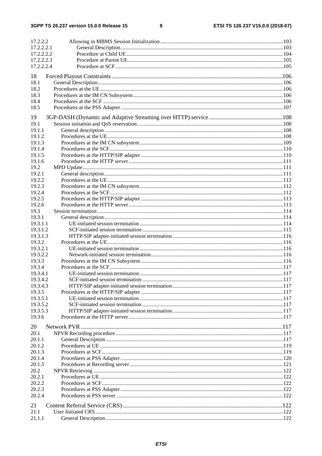$\bf{8}$ 

| 17.2.2.2   |  |
|------------|--|
| 17.2.2.2.1 |  |
| 17.2.2.2.2 |  |
| 17.2.2.2.3 |  |
| 17.2.2.2.4 |  |
|            |  |
| 18         |  |
| 18.1       |  |
| 18.2       |  |
| 18.3       |  |
| 18.4       |  |
| 18.5       |  |
| 19         |  |
| 19.1       |  |
| 19.1.1     |  |
| 19.1.2     |  |
| 19.1.3     |  |
| 19.1.4     |  |
| 19.1.5     |  |
| 19.1.6     |  |
| 19.2       |  |
| 19.2.1     |  |
| 19.2.2     |  |
| 19.2.3     |  |
| 19.2.4     |  |
| 19.2.5     |  |
| 19.2.6     |  |
| 19.3       |  |
| 19.3.1     |  |
| 19.3.1.1   |  |
| 19.3.1.2   |  |
| 19.3.1.3   |  |
| 19.3.2     |  |
| 19.3.2.1   |  |
| 19.3.2.2   |  |
| 19.3.3     |  |
| 19.3.4     |  |
| 19.3.4.1   |  |
| 19.3.4.2   |  |
| 19.3.4.3   |  |
| 19.3.5     |  |
| 19.3.5.1   |  |
| 19.3.5.2   |  |
| 19.3.5.3   |  |
| 19.3.6     |  |
|            |  |
| 20         |  |
| 20.1       |  |
| 20.1.1     |  |
| 20.1.2     |  |
| 20.1.3     |  |
| 20.1.4     |  |
| 20.1.5     |  |
| 20.2       |  |
| 20.2.1     |  |
| 20.2.2     |  |
| 20.2.3     |  |
| 20.2.4     |  |
| 21         |  |
| 21.1       |  |
| 21.1.1     |  |
|            |  |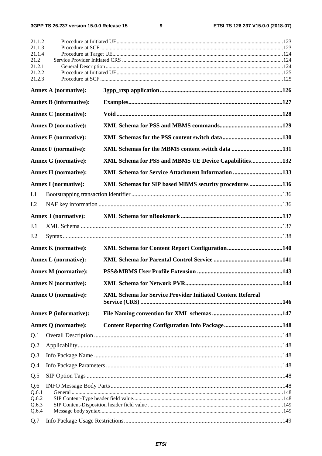$\boldsymbol{9}$ 

| 21.1.2         |                               |                                                                   |  |
|----------------|-------------------------------|-------------------------------------------------------------------|--|
| 21.1.3         |                               |                                                                   |  |
| 21.1.4<br>21.2 |                               |                                                                   |  |
| 21.2.1         |                               |                                                                   |  |
| 21.2.2         |                               |                                                                   |  |
| 21.2.3         |                               |                                                                   |  |
|                | <b>Annex A (normative):</b>   |                                                                   |  |
|                | <b>Annex B</b> (informative): |                                                                   |  |
|                | <b>Annex C</b> (normative):   |                                                                   |  |
|                | <b>Annex D</b> (normative):   |                                                                   |  |
|                | <b>Annex E</b> (normative):   |                                                                   |  |
|                | <b>Annex F</b> (normative):   |                                                                   |  |
|                | <b>Annex G (normative):</b>   | XML Schema for PSS and MBMS UE Device Capabilities132             |  |
|                | <b>Annex H</b> (normative):   | XML Schema for Service Attachment Information 133                 |  |
|                | <b>Annex I</b> (normative):   | XML Schemas for SIP based MBMS security procedures136             |  |
| I.1            |                               |                                                                   |  |
| I.2            |                               |                                                                   |  |
|                | <b>Annex J (normative):</b>   |                                                                   |  |
| J.1            |                               |                                                                   |  |
| J.2            |                               |                                                                   |  |
|                | <b>Annex K</b> (normative):   |                                                                   |  |
|                | <b>Annex L</b> (normative):   |                                                                   |  |
|                | <b>Annex M</b> (normative):   |                                                                   |  |
|                | <b>Annex N</b> (normative):   |                                                                   |  |
|                | Annex O (normative):          | <b>XML Schema for Service Provider Initiated Content Referral</b> |  |
|                | <b>Annex P</b> (informative): |                                                                   |  |
|                | <b>Annex Q (normative):</b>   |                                                                   |  |
| Q.1            |                               |                                                                   |  |
| Q.2            |                               |                                                                   |  |
| Q.3            |                               |                                                                   |  |
| Q.4            |                               |                                                                   |  |
| Q.5            |                               |                                                                   |  |
| Q.6            |                               |                                                                   |  |
| Q.6.1          |                               |                                                                   |  |
| Q.6.2<br>Q.6.3 |                               |                                                                   |  |
| Q.6.4          |                               |                                                                   |  |
| Q.7            |                               |                                                                   |  |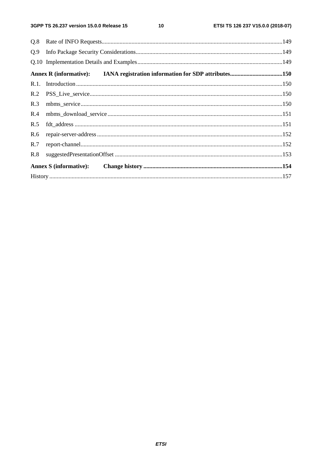| Q.9 |                                                                            |  |
|-----|----------------------------------------------------------------------------|--|
|     |                                                                            |  |
|     | Annex R (informative): IANA registration information for SDP attributes150 |  |
|     |                                                                            |  |
| R.2 |                                                                            |  |
| R.3 |                                                                            |  |
| R.4 |                                                                            |  |
| R.5 |                                                                            |  |
| R.6 |                                                                            |  |
| R.7 |                                                                            |  |
| R.8 |                                                                            |  |
|     | <b>Annex S</b> (informative):                                              |  |
|     |                                                                            |  |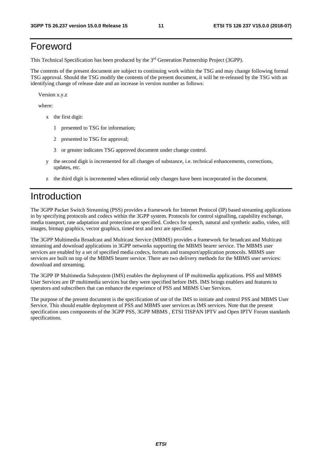# Foreword

This Technical Specification has been produced by the 3rd Generation Partnership Project (3GPP).

The contents of the present document are subject to continuing work within the TSG and may change following formal TSG approval. Should the TSG modify the contents of the present document, it will be re-released by the TSG with an identifying change of release date and an increase in version number as follows:

Version x.y.z

where:

- x the first digit:
	- 1 presented to TSG for information;
	- 2 presented to TSG for approval;
	- 3 or greater indicates TSG approved document under change control.
- y the second digit is incremented for all changes of substance, i.e. technical enhancements, corrections, updates, etc.
- z the third digit is incremented when editorial only changes have been incorporated in the document.

# Introduction

The 3GPP Packet Switch Streaming (PSS) provides a framework for Internet Protocol (IP) based streaming applications in by specifying protocols and codecs within the 3GPP system. Protocols for control signalling, capability exchange, media transport, rate adaptation and protection are specified. Codecs for speech, natural and synthetic audio, video, still images, bitmap graphics, vector graphics, timed text and text are specified.

The 3GPP Multimedia Broadcast and Multicast Service (MBMS) provides a framework for broadcast and Multicast streaming and download applications in 3GPP networks supporting the MBMS bearer service. The MBMS user services are enabled by a set of specified media codecs, formats and transport/application protocols. MBMS user services are built on top of the MBMS bearer service. There are two delivery methods for the MBMS user services: download and streaming.

The 3GPP IP Multimedia Subsystem (IMS) enables the deployment of IP multimedia applications. PSS and MBMS User Services are IP multimedia services but they were specified before IMS. IMS brings enablers and features to operators and subscribers that can enhance the experience of PSS and MBMS User Services.

The purpose of the present document is the specification of use of the IMS to initiate and control PSS and MBMS User Service. This should enable deployment of PSS and MBMS user services as IMS services. Note that the present specification uses components of the 3GPP PSS, 3GPP MBMS, ETSI TISPAN IPTV and Open IPTV Forum standards specifications.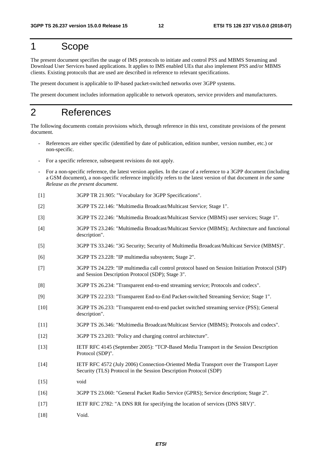# 1 Scope

The present document specifies the usage of IMS protocols to initiate and control PSS and MBMS Streaming and Download User Services based applications. It applies to IMS enabled UEs that also implement PSS and/or MBMS clients. Existing protocols that are used are described in reference to relevant specifications.

The present document is applicable to IP-based packet-switched networks over 3GPP systems.

The present document includes information applicable to network operators, service providers and manufacturers.

# 2 References

The following documents contain provisions which, through reference in this text, constitute provisions of the present document.

- References are either specific (identified by date of publication, edition number, version number, etc.) or non-specific.
- For a specific reference, subsequent revisions do not apply.
- For a non-specific reference, the latest version applies. In the case of a reference to a 3GPP document (including a GSM document), a non-specific reference implicitly refers to the latest version of that document *in the same Release as the present document*.
- [1] 3GPP TR 21.905: "Vocabulary for 3GPP Specifications".
- [2] 3GPP TS 22.146: "Multimedia Broadcast/Multicast Service; Stage 1".
- [3] 3GPP TS 22.246: "Multimedia Broadcast/Multicast Service (MBMS) user services; Stage 1".
- [4] 3GPP TS 23.246: "Multimedia Broadcast/Multicast Service (MBMS); Architecture and functional description".
- [5] 3GPP TS 33.246: "3G Security; Security of Multimedia Broadcast/Multicast Service (MBMS)".
- [6] 3GPP TS 23.228: "IP multimedia subsystem; Stage 2".
- [7] 3GPP TS 24.229: "IP multimedia call control protocol based on Session Initiation Protocol (SIP) and Session Description Protocol (SDP); Stage 3".
- [8] 3GPP TS 26.234: "Transparent end-to-end streaming service; Protocols and codecs".
- [9] 3GPP TS 22.233: "Transparent End-to-End Packet-switched Streaming Service; Stage 1".
- [10] 3GPP TS 26.233: "Transparent end-to-end packet switched streaming service (PSS); General description".
- [11] 3GPP TS 26.346: "Multimedia Broadcast/Multicast Service (MBMS); Protocols and codecs".
- [12] 3GPP TS 23.203: "Policy and charging control architecture".
- [13] IETF RFC 4145 (September 2005): "TCP-Based Media Transport in the Session Description Protocol (SDP)".
- [14] IETF RFC 4572 (July 2006) Connection-Oriented Media Transport over the Transport Layer Security (TLS) Protocol in the Session Description Protocol (SDP)
- [15] void
- [16] 3GPP TS 23.060: "General Packet Radio Service (GPRS); Service description; Stage 2".
- [17] IETF RFC 2782: "A DNS RR for specifying the location of services (DNS SRV)".
- [18] **Void.**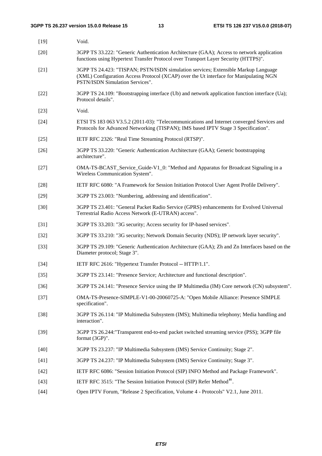| $[19]$ | Void.                                                                                                                                                                                                          |
|--------|----------------------------------------------------------------------------------------------------------------------------------------------------------------------------------------------------------------|
| $[20]$ | 3GPP TS 33.222: "Generic Authentication Architecture (GAA); Access to network application<br>functions using Hypertext Transfer Protocol over Transport Layer Security (HTTPS)".                               |
| $[21]$ | 3GPP TS 24.423: "TISPAN; PSTN/ISDN simulation services; Extensible Markup Language<br>(XML) Configuration Access Protocol (XCAP) over the Ut interface for Manipulating NGN<br>PSTN/ISDN Simulation Services". |
| $[22]$ | 3GPP TS 24.109: "Bootstrapping interface (Ub) and network application function interface (Ua);<br>Protocol details".                                                                                           |
| $[23]$ | Void.                                                                                                                                                                                                          |
| $[24]$ | ETSI TS 183 063 V3.5.2 (2011-03): "Telecommunications and Internet converged Services and<br>Protocols for Advanced Networking (TISPAN); IMS based IPTV Stage 3 Specification".                                |
| $[25]$ | IETF RFC 2326: "Real Time Streaming Protocol (RTSP)".                                                                                                                                                          |
| $[26]$ | 3GPP TS 33.220: "Generic Authentication Architecture (GAA); Generic bootstrapping<br>architecture".                                                                                                            |
| $[27]$ | OMA-TS-BCAST_Service_Guide-V1_0: "Method and Apparatus for Broadcast Signaling in a<br>Wireless Communication System".                                                                                         |
| $[28]$ | IETF RFC 6080: "A Framework for Session Initiation Protocol User Agent Profile Delivery".                                                                                                                      |
| $[29]$ | 3GPP TS 23.003: "Numbering, addressing and identification".                                                                                                                                                    |
| $[30]$ | 3GPP TS 23.401: "General Packet Radio Service (GPRS) enhancements for Evolved Universal<br>Terrestrial Radio Access Network (E-UTRAN) access".                                                                 |
| $[31]$ | 3GPP TS 33.203: "3G security; Access security for IP-based services".                                                                                                                                          |
| $[32]$ | 3GPP TS 33.210: "3G security; Network Domain Security (NDS); IP network layer security".                                                                                                                       |
| $[33]$ | 3GPP TS 29.109: "Generic Authentication Architecture (GAA); Zh and Zn Interfaces based on the<br>Diameter protocol; Stage 3".                                                                                  |
| $[34]$ | IETF RFC 2616: "Hypertext Transfer Protocol -- HTTP/1.1".                                                                                                                                                      |
| $[35]$ | 3GPP TS 23.141: "Presence Service; Architecture and functional description".                                                                                                                                   |
| $[36]$ | 3GPP TS 24.141: "Presence Service using the IP Multimedia (IM) Core network (CN) subsystem".                                                                                                                   |
| $[37]$ | OMA-TS-Presence-SIMPLE-V1-00-20060725-A: "Open Mobile Alliance: Presence SIMPLE<br>specification".                                                                                                             |
| $[38]$ | 3GPP TS 26.114: "IP Multimedia Subsystem (IMS); Multimedia telephony; Media handling and<br>interaction".                                                                                                      |
| $[39]$ | 3GPP TS 26.244: "Transparent end-to-end packet switched streaming service (PSS); 3GPP file<br>format (3GP)".                                                                                                   |
| $[40]$ | 3GPP TS 23.237: "IP Multimedia Subsystem (IMS) Service Continuity; Stage 2".                                                                                                                                   |
| $[41]$ | 3GPP TS 24.237: "IP Multimedia Subsystem (IMS) Service Continuity; Stage 3".                                                                                                                                   |
| $[42]$ | IETF RFC 6086: "Session Initiation Protocol (SIP) INFO Method and Package Framework".                                                                                                                          |
| $[43]$ | IETF RFC 3515: "The Session Initiation Protocol (SIP) Refer Method".                                                                                                                                           |
| $[44]$ | Open IPTV Forum, "Release 2 Specification, Volume 4 - Protocols" V2.1, June 2011.                                                                                                                              |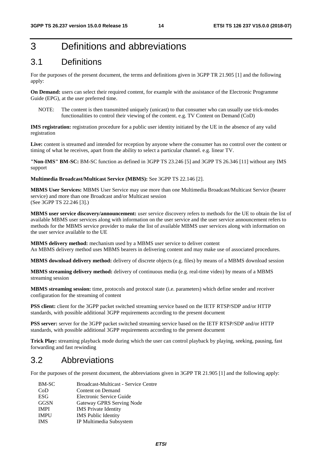# 3 Definitions and abbreviations

# 3.1 Definitions

For the purposes of the present document, the terms and definitions given in 3GPP TR 21.905 [1] and the following apply:

**On Demand:** users can select their required content, for example with the assistance of the Electronic Programme Guide (EPG), at the user preferred time.

NOTE: The content is then transmitted uniquely (unicast) to that consumer who can usually use trick-modes functionalities to control their viewing of the content. e.g. TV Content on Demand (CoD)

**IMS registration:** registration procedure for a public user identity initiated by the UE in the absence of any valid registration

Live: content is streamed and intended for reception by anyone where the consumer has no control over the content or timing of what he receives, apart from the ability to select a particular channel. e.g. linear TV.

**"Non-IMS" BM-SC:** BM-SC function as defined in 3GPP TS 23.246 [5] and 3GPP TS 26.346 [11] without any IMS support

**Multimedia Broadcast/Multicast Service (MBMS):** See 3GPP TS 22.146 [2].

**MBMS User Services:** MBMS User Service may use more than one Multimedia Broadcast/Multicast Service (bearer service) and more than one Broadcast and/or Multicast session (See 3GPP TS 22.246 [3].)

**MBMS user service discovery/announcement:** user service discovery refers to methods for the UE to obtain the list of available MBMS user services along with information on the user service and the user service announcement refers to methods for the MBMS service provider to make the list of available MBMS user services along with information on the user service available to the UE

**MBMS delivery method:** mechanism used by a MBMS user service to deliver content An MBMS delivery method uses MBMS bearers in delivering content and may make use of associated procedures.

**MBMS download delivery method:** delivery of discrete objects (e.g. files) by means of a MBMS download session

**MBMS streaming delivery method:** delivery of continuous media (e.g. real-time video) by means of a MBMS streaming session

**MBMS streaming session:** time, protocols and protocol state (i.e. parameters) which define sender and receiver configuration for the streaming of content

**PSS client:** client for the 3GPP packet switched streaming service based on the IETF RTSP/SDP and/or HTTP standards, with possible additional 3GPP requirements according to the present document

**PSS server:** server for the 3GPP packet switched streaming service based on the IETF RTSP/SDP and/or HTTP standards, with possible additional 3GPP requirements according to the present document

**Trick Play:** streaming playback mode during which the user can control playback by playing, seeking, pausing, fast forwarding and fast rewinding

# 3.2 Abbreviations

For the purposes of the present document, the abbreviations given in 3GPP TR 21.905 [1] and the following apply:

| <b>BM-SC</b> | <b>Broadcast-Multicast - Service Centre</b> |
|--------------|---------------------------------------------|
| CoD          | Content on Demand                           |
| <b>ESG</b>   | Electronic Service Guide                    |
| <b>GGSN</b>  | Gateway GPRS Serving Node                   |
| <b>IMPI</b>  | <b>IMS</b> Private Identity                 |
| <b>IMPU</b>  | <b>IMS</b> Public Identity                  |
| <b>IMS</b>   | IP Multimedia Subsystem                     |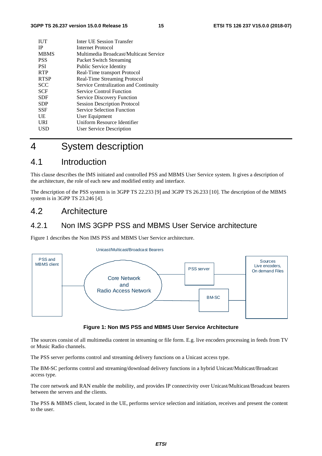| <b>IUT</b>  | Inter UE Session Transfer              |
|-------------|----------------------------------------|
| <b>IP</b>   | Internet Protocol                      |
| <b>MBMS</b> | Multimedia Broadcast/Multicast Service |
| <b>PSS</b>  | Packet Switch Streaming                |
| <b>PSI</b>  | Public Service Identity                |
| <b>RTP</b>  | Real-Time transport Protocol           |
| <b>RTSP</b> | Real-Time Streaming Protocol           |
| <b>SCC</b>  | Service Centralization and Continuity  |
| <b>SCF</b>  | <b>Service Control Function</b>        |
| SDF         | <b>Service Discovery Function</b>      |
| <b>SDP</b>  | <b>Session Description Protocol</b>    |
| <b>SSF</b>  | <b>Service Selection Function</b>      |
| UE          | User Equipment                         |
| URI         | Uniform Resource Identifier            |
| USD         | <b>User Service Description</b>        |
|             |                                        |

# 4 System description

# 4.1 Introduction

This clause describes the IMS initiated and controlled PSS and MBMS User Service system. It gives a description of the architecture, the role of each new and modified entity and interface.

The description of the PSS system is in 3GPP TS 22.233 [9] and 3GPP TS 26.233 [10]. The description of the MBMS system is in 3GPP TS 23.246 [4].

# 4.2 Architecture

### 4.2.1 Non IMS 3GPP PSS and MBMS User Service architecture

Figure 1 describes the Non IMS PSS and MBMS User Service architecture.



#### **Figure 1: Non IMS PSS and MBMS User Service Architecture**

The sources consist of all multimedia content in streaming or file form. E.g. live encoders processing in feeds from TV or Music Radio channels.

The PSS server performs control and streaming delivery functions on a Unicast access type.

The BM-SC performs control and streaming/download delivery functions in a hybrid Unicast/Multicast/Broadcast access type.

The core network and RAN enable the mobility, and provides IP connectivity over Unicast/Multicast/Broadcast bearers between the servers and the clients.

The PSS & MBMS client, located in the UE, performs service selection and initiation, receives and present the content to the user.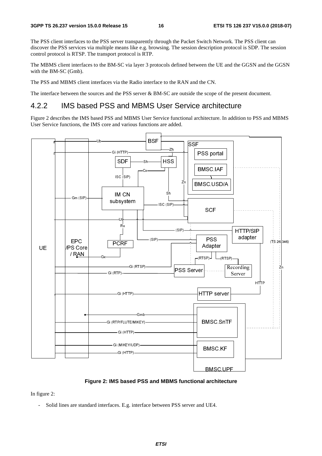The PSS client interfaces to the PSS server transparently through the Packet Switch Network. The PSS client can discover the PSS services via multiple means like e.g. browsing. The session description protocol is SDP. The session control protocol is RTSP. The transport protocol is RTP.

The MBMS client interfaces to the BM-SC via layer 3 protocols defined between the UE and the GGSN and the GGSN with the BM-SC (Gmb).

The PSS and MBMS client interfaces via the Radio interface to the RAN and the CN.

The interface between the sources and the PSS server & BM-SC are outside the scope of the present document.

### 4.2.2 IMS based PSS and MBMS User Service architecture

Figure 2 describes the IMS based PSS and MBMS User Service functional architecture. In addition to PSS and MBMS User Service functions, the IMS core and various functions are added.



#### **Figure 2: IMS based PSS and MBMS functional architecture**

In figure 2:

Solid lines are standard interfaces. E.g. interface between PSS server and UE4.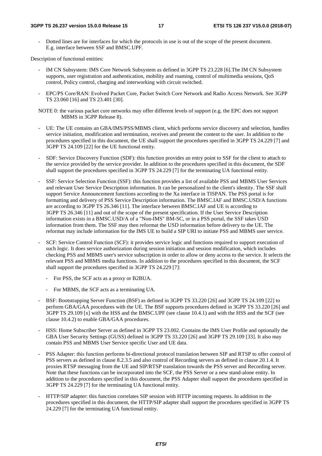- Dotted lines are for interfaces for which the protocols in use is out of the scope of the present document. E.g. interface between SSF and BMSC.UPF.

Description of functional entities:

- IM CN Subsystem: IMS Core Network Subsystem as defined in 3GPP TS 23.228 [6]. The IM CN Subsystem supports, user registration and authentication, mobility and roaming, control of multimedia sessions, QoS control, Policy control, charging and interworking with circuit switched.
- EPC/PS Core/RAN: Evolved Packet Core, Packet Switch Core Network and Radio Access Network. See 3GPP TS 23.060 [16] and TS 23.401 [30].

NOTE 0: the various packet core networks may offer different levels of support (e.g. the EPC does not support MBMS in 3GPP Release 8).

- UE: The UE contains an GBA/IMS/PSS/MBMS client, which performs service discovery and selection, handles service initiation, modification and termination, receives and present the content to the user. In addition to the procedures specified in this document, the UE shall support the procedures specified in 3GPP TS 24.229 [7] and 3GPP TS 24.109 [22] for the UE functional entity.
- SDF: Service Discovery Function (SDF): this function provides an entry point to SSF for the client to attach to the service provided by the service provider. In addition to the procedures specified in this document, the SDF shall support the procedures specified in 3GPP TS 24.229 [7] for the terminating UA functional entity.
- SSF: Service Selection Function (SSF): this function provides a list of available PSS and MBMS User Services and relevant User Service Description information. It can be personalized to the client's identity. The SSF shall support Service Announcement functions according to the Xa interface in TISPAN. The PSS portal is for formatting and delivery of PSS Service Description information. The BMSC.IAF and BMSC.USD/A functions are according to 3GPP TS 26.346 [11]. The interface between BMSC.IAF and UE is according to 3GPP TS 26.346 [11] and out of the scope of the present specification. If the User Service Description information exists in a BMSC.USD/A of a "Non-IMS" BM-SC, or in a PSS portal, the SSF takes USD information from them. The SSF may then reformat the USD information before delivery to the UE. The reformat may include information for the IMS UE to build a SIP URI to initiate PSS and MBMS user service.
- SCF: Service Control Function (SCF): it provides service logic and functions required to support execution of such logic. It does service authorization during session initiation and session modification, which includes checking PSS and MBMS user's service subscription in order to allow or deny access to the service. It selects the relevant PSS and MBMS media functions. In addition to the procedures specified in this document, the SCF shall support the procedures specified in 3GPP TS 24.229 [7]:
	- For PSS, the SCF acts as a proxy or B2BUA.
	- For MBMS, the SCF acts as a terminating UA.
- BSF: Bootstrapping Server Function (BSF) as defined in 3GPP TS 33.220 [26] and 3GPP TS 24.109 [22] to perform GBA/GAA procedures with the UE. The BSF supports procedures defined in 3GPP TS 33.220 [26] and 3GPP TS 29.109 [x] with the HSS and the BMSC.UPF (see clause 10.4.1) and with the HSS and the SCF (see clause 10.4.2) to enable GBA/GAA procedures.
- HSS: Home Subscriber Server as defined in 3GPP TS 23.002. Contains the IMS User Profile and optionally the GBA User Security Settings (GUSS) defined in 3GPP TS 33.220 [26] and 3GPP TS 29.109 [33]. It also may contain PSS and MBMS User Service specific User and UE data.
- PSS Adapter: this function performs bi-directional protocol translation between SIP and RTSP to offer control of PSS servers as defined in clause 8.2.3.5 and also control of Recording servers as defined in clause 20.1.4. It proxies RTSP messaging from the UE and SIP/RTSP translation towards the PSS server and Recording server. Note that these functions can be incorporated into the SCF, the PSS Server or a new stand-alone entity. In addition to the procedures specified in this document, the PSS Adapter shall support the procedures specified in 3GPP TS 24.229 [7] for the terminating UA functional entity.
- HTTP/SIP adapter: this function correlates SIP session with HTTP incoming requests. In addition to the procedures specified in this document, the HTTP/SIP adapter shall support the procedures specified in 3GPP TS 24.229 [7] for the terminating UA functional entity.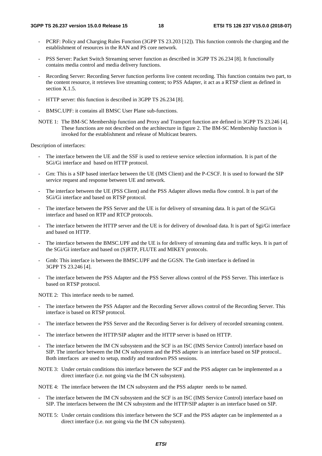- PCRF: Policy and Charging Rules Function (3GPP TS 23.203 [12]). This function controls the charging and the establishment of resources in the RAN and PS core network.
- PSS Server: Packet Switch Streaming server function as described in 3GPP TS 26.234 [8]. It functionally contains media control and media delivery functions.
- Recording Server: Recording Server function performs live content recording. This function contains two part, to the content resource, it retrieves live streaming content; to PSS Adapter, it act as a RTSP client as defined in section X.1.5.
- HTTP server: this function is described in 3GPP TS 26.234 [8].
- BMSC.UPF: it contains all BMSC User Plane sub-functions.
- NOTE 1: The BM-SC Membership function and Proxy and Transport function are defined in 3GPP TS 23.246 [4]. These functions are not described on the architecture in figure 2. The BM-SC Membership function is invoked for the establishment and release of Multicast bearers.

Description of interfaces:

- The interface between the UE and the SSF is used to retrieve service selection information. It is part of the SGi/Gi interface and based on HTTP protocol.
- Gm: This is a SIP based interface between the UE (IMS Client) and the P-CSCF. It is used to forward the SIP service request and response between UE and network.
- The interface between the UE (PSS Client) and the PSS Adapter allows media flow control. It is part of the SGi/Gi interface and based on RTSP protocol.
- The interface between the PSS Server and the UE is for delivery of streaming data. It is part of the SGi/Gi interface and based on RTP and RTCP protocols.
- The interface between the HTTP server and the UE is for delivery of download data. It is part of Sgi/Gi interface and based on HTTP.
- The interface between the BMSC.UPF and the UE is for delivery of streaming data and traffic keys. It is part of the SGi/Gi interface and based on (S)RTP, FLUTE and MIKEY protocols.
- Gmb: This interface is between the BMSC.UPF and the GGSN. The Gmb interface is defined in 3GPP TS 23.246 [4].
- The interface between the PSS Adapter and the PSS Server allows control of the PSS Server. This interface is based on RTSP protocol.

NOTE 2: This interface needs to be named.

- The interface between the PSS Adapter and the Recording Server allows control of the Recording Server. This interface is based on RTSP protocol.
- The interface between the PSS Server and the Recording Server is for delivery of recorded streaming content.
- The interface between the HTTP/SIP adapter and the HTTP server is based on HTTP.
- The interface between the IM CN subsystem and the SCF is an ISC (IMS Service Control) interface based on SIP. The interface between the IM CN subsystem and the PSS adapter is an interface based on SIP protocol.. Both interfaces are used to setup, modify and teardown PSS sessions.
- NOTE 3: Under certain conditions this interface between the SCF and the PSS adapter can be implemented as a direct interface (i.e. not going via the IM CN subsystem).

NOTE 4: The interface between the IM CN subsystem and the PSS adapter needs to be named.

- The interface between the IM CN subsystem and the SCF is an ISC (IMS Service Control) interface based on SIP. The interfaces between the IM CN subsystem and the HTTP/SIP adapter is an interface based on SIP.
- NOTE 5: Under certain conditions this interface between the SCF and the PSS adapter can be implemented as a direct interface (i.e. not going via the IM CN subsystem).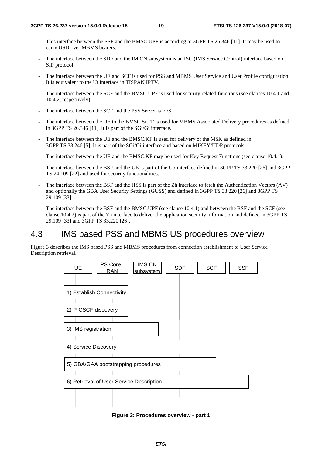- This interface between the SSF and the BMSC.UPF is according to 3GPP TS 26.346 [11]. It may be used to carry USD over MBMS bearers.
- The interface between the SDF and the IM CN subsystem is an ISC (IMS Service Control) interface based on SIP protocol.
- The interface between the UE and SCF is used for PSS and MBMS User Service and User Profile configuration. It is equivalent to the Ut interface in TISPAN IPTV.
- The interface between the SCF and the BMSC.UPF is used for security related functions (see clauses 10.4.1 and 10.4.2, respectively).
- The interface between the SCF and the PSS Server is FFS.
- The interface between the UE to the BMSC.SnTF is used for MBMS Associated Delivery procedures as defined in 3GPP TS 26.346 [11]. It is part of the SGi/Gi interface.
- The interface between the UE and the BMSC.KF is used for delivery of the MSK as defined in 3GPP TS 33.246 [5]. It is part of the SGi/Gi interface and based on MIKEY/UDP protocols.
- The interface between the UE and the BMSC.KF may be used for Key Request Functions (see clause 10.4.1).
- The interface between the BSF and the UE is part of the Ub interface defined in 3GPP TS 33.220 [26] and 3GPP TS 24.109 [22] and used for security functionalities.
- The interface between the BSF and the HSS is part of the Zh interface to fetch the Authentication Vectors (AV) and optionally the GBA User Security Settings (GUSS) and defined in 3GPP TS 33.220 [26] and 3GPP TS 29.109 [33].
- The interface between the BSF and the BMSC.UPF (see clause 10.4.1) and between the BSF and the SCF (see clause 10.4.2) is part of the Zn interface to deliver the application security information and defined in 3GPP TS 29.109 [33] and 3GPP TS 33.220 [26].

# 4.3 IMS based PSS and MBMS US procedures overview

Figure 3 describes the IMS based PSS and MBMS procedures from connection establishment to User Service Description retrieval.



**Figure 3: Procedures overview - part 1**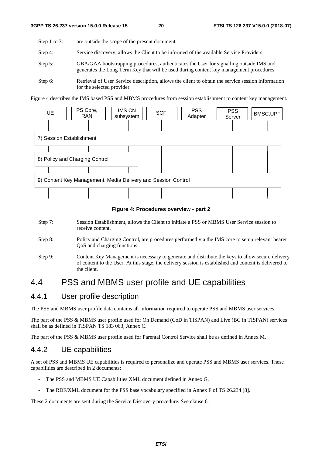Step 1 to 3: are outside the scope of the present document.

- Step 4: Service discovery, allows the Client to be informed of the available Service Providers.
- Step 5: GBA/GAA bootstrapping procedures, authenticates the User for signalling outside IMS and generates the Long Term Key that will be used during content key management procedures.
- Step 6: Retrieval of User Service description, allows the client to obtain the service session information for the selected provider.

Figure 4 describes the IMS based PSS and MBMS procedures from session establishment to content key management.



#### **Figure 4: Procedures overview - part 2**

- Step 7: Session Establishment, allows the Client to initiate a PSS or MBMS User Service session to receive content.
- Step 8: Policy and Charging Control, are procedures performed via the IMS core to setup relevant bearer QoS and charging functions.
- Step 9: Content Key Management is necessary to generate and distribute the keys to allow secure delivery of content to the User. At this stage, the delivery session is established and content is delivered to the client.

# 4.4 PSS and MBMS user profile and UE capabilities

### 4.4.1 User profile description

The PSS and MBMS user profile data contains all information required to operate PSS and MBMS user services.

The part of the PSS & MBMS user profile used for On Demand (CoD in TISPAN) and Live (BC in TISPAN) services shall be as defined in TISPAN TS 183 063, Annex C.

The part of the PSS & MBMS user profile used for Parental Control Service shall be as defined in Annex M.

### 4.4.2 UE capabilities

A set of PSS and MBMS UE capabilities is required to personalize and operate PSS and MBMS user services. These capabilities are described in 2 documents:

- The PSS and MBMS UE Capabilities XML document defined in Annex G.
- The RDF/XML document for the PSS base vocabulary specified in Annex F of TS 26.234 [8].

These 2 documents are sent during the Service Discovery procedure. See clause 6.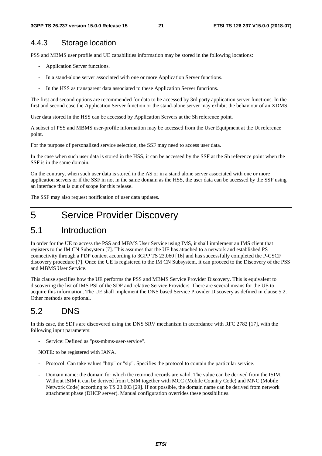### 4.4.3 Storage location

PSS and MBMS user profile and UE capabilities information may be stored in the following locations:

- Application Server functions.
- In a stand-alone server associated with one or more Application Server functions.
- In the HSS as transparent data associated to these Application Server functions.

The first and second options are recommended for data to be accessed by 3rd party application server functions. In the first and second case the Application Server function or the stand-alone server may exhibit the behaviour of an XDMS.

User data stored in the HSS can be accessed by Application Servers at the Sh reference point.

A subset of PSS and MBMS user-profile information may be accessed from the User Equipment at the Ut reference point.

For the purpose of personalized service selection, the SSF may need to access user data.

In the case when such user data is stored in the HSS, it can be accessed by the SSF at the Sh reference point when the SSF is in the same domain.

On the contrary, when such user data is stored in the AS or in a stand alone server associated with one or more application servers or if the SSF in not in the same domain as the HSS, the user data can be accessed by the SSF using an interface that is out of scope for this release.

The SSF may also request notification of user data updates.

# 5 Service Provider Discovery

# 5.1 Introduction

In order for the UE to access the PSS and MBMS User Service using IMS, it shall implement an IMS client that registers to the IM CN Subsystem [7]. This assumes that the UE has attached to a network and established PS connectivity through a PDP context according to 3GPP TS 23.060 [16] and has successfully completed the P-CSCF discovery procedure [7]. Once the UE is registered to the IM CN Subsystem, it can proceed to the Discovery of the PSS and MBMS User Service.

This clause specifies how the UE performs the PSS and MBMS Service Provider Discovery. This is equivalent to discovering the list of IMS PSI of the SDF and relative Service Providers. There are several means for the UE to acquire this information. The UE shall implement the DNS based Service Provider Discovery as defined in clause 5.2. Other methods are optional.

# 5.2 DNS

In this case, the SDFs are discovered using the DNS SRV mechanism in accordance with RFC 2782 [17], with the following input parameters:

Service: Defined as "pss-mbms-user-service".

NOTE: to be registered with IANA.

- Protocol: Can take values "http" or "sip". Specifies the protocol to contain the particular service.
- Domain name: the domain for which the returned records are valid. The value can be derived from the ISIM. Without ISIM it can be derived from USIM together with MCC (Mobile Country Code) and MNC (Mobile Network Code) according to TS 23.003 [29]. If not possible, the domain name can be derived from network attachment phase (DHCP server). Manual configuration overrides these possibilities.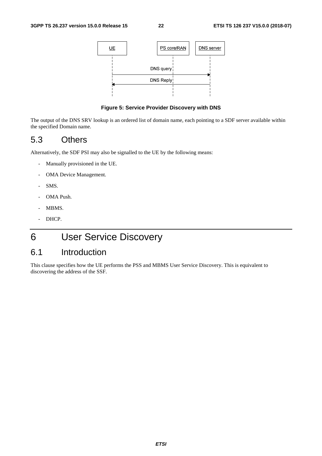

#### **Figure 5: Service Provider Discovery with DNS**

The output of the DNS SRV lookup is an ordered list of domain name, each pointing to a SDF server available within the specified Domain name.

# 5.3 Others

Alternatively, the SDF PSI may also be signalled to the UE by the following means:

- Manually provisioned in the UE.
- OMA Device Management.
- SMS.
- OMA Push.
- MBMS.
- DHCP.

# 6 User Service Discovery

# 6.1 Introduction

This clause specifies how the UE performs the PSS and MBMS User Service Discovery. This is equivalent to discovering the address of the SSF.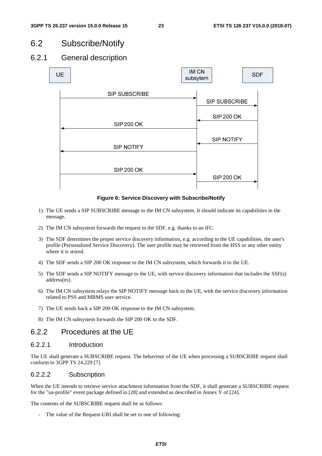# 6.2 Subscribe/Notify

# 6.2.1 General description



**Figure 6: Service Discovery with Subscribe/Notify** 

- 1) The UE sends a SIP SUBSCRIBE message to the IM CN subsystem. It should indicate its capabilities in the message.
- 2) The IM CN subsystem forwards the request to the SDF, e.g. thanks to an iFC.
- 3) The SDF determines the proper service discovery information, e.g. according to the UE capabilities, the user's profile (Personalized Service Discovery). The user profile may be retrieved from the HSS or any other entity where it is stored.
- 4) The SDF sends a SIP 200 OK response to the IM CN subsystem, which forwards it to the UE.
- 5) The SDF sends a SIP NOTIFY message to the UE, with service discovery information that includes the SSF(s) address(es).
- 6) The IM CN subsystem relays the SIP NOTIFY message back to the UE, with the service discovery information related to PSS and MBMS user service.
- 7) The UE sends back a SIP 200 OK response to the IM CN subsystem.
- 8) The IM CN subsystem forwards the SIP 200 OK to the SDF.

### 6.2.2 Procedures at the UE

### 6.2.2.1 Introduction

The UE shall generate a SUBSCRIBE request. The behaviour of the UE when processing a SUBSCRIBE request shall conform to 3GPP TS 24.229 [7].

### 6.2.2.2 Subscription

When the UE intends to retrieve service attachment information from the SDF, it shall generate a SUBSCRIBE request for the "ua-profile" event package defined in [28] and extended as described in Annex Y of [24].

The contents of the SUBSCRIBE request shall be as follows:

The value of the Request-URI shall be set to one of following: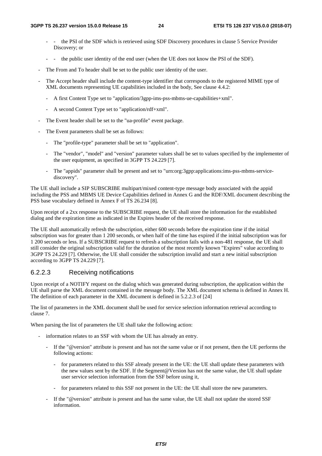- the PSI of the SDF which is retrieved using SDF Discovery procedures in clause 5 Service Provider Discovery; or
- the public user identity of the end user (when the UE does not know the PSI of the SDF).
- The From and To header shall be set to the public user identity of the user.
- The Accept header shall include the content-type identifier that corresponds to the registered MIME type of XML documents representing UE capabilities included in the body, See clause 4.4.2:
	- A first Content Type set to "application/3gpp-ims-pss-mbms-ue-capabilities+xml".
	- A second Content Type set to "application/rdf+xml".
- The Event header shall be set to the "ua-profile" event package.
- The Event parameters shall be set as follows:
	- The "profile-type" parameter shall be set to "application".
	- The "vendor", "model" and "version" parameter values shall be set to values specified by the implementer of the user equipment, as specified in 3GPP TS 24.229 [7].
	- The "appids" parameter shall be present and set to "urn:org:3gpp:applications:ims-pss-mbms-servicediscovery".

The UE shall include a SIP SUBSCRIBE multipart/mixed content-type message body associated with the appid including the PSS and MBMS UE Device Capabilities defined in Annex G and the RDF/XML document describing the PSS base vocabulary defined in Annex F of TS 26.234 [8].

Upon receipt of a 2xx response to the SUBSCRIBE request, the UE shall store the information for the established dialog and the expiration time as indicated in the Expires header of the received response.

The UE shall automatically refresh the subscription, either 600 seconds before the expiration time if the initial subscription was for greater than 1 200 seconds, or when half of the time has expired if the initial subscription was for 1 200 seconds or less. If a SUBSCRIBE request to refresh a subscription fails with a non-481 response, the UE shall still consider the original subscription valid for the duration of the most recently known "Expires" value according to 3GPP TS 24.229 [7]. Otherwise, the UE shall consider the subscription invalid and start a new initial subscription according to 3GPP TS 24.229 [7].

### 6.2.2.3 Receiving notifications

Upon receipt of a NOTIFY request on the dialog which was generated during subscription, the application within the UE shall parse the XML document contained in the message body. The XML document schema is defined in Annex H. The definition of each parameter in the XML document is defined in 5.2.2.3 of [24]

The list of parameters in the XML document shall be used for service selection information retrieval according to clause 7.

When parsing the list of parameters the UE shall take the following action:

- information relates to an SSF with whom the UE has already an entry.
	- If the "@version" attribute is present and has not the same value or if not present, then the UE performs the following actions:
		- for parameters related to this SSF already present in the UE: the UE shall update these parameters with the new values sent by the SDF. If the Segment@Version has not the same value, the UE shall update user service selection information from the SSF before using it,
		- for parameters related to this SSF not present in the UE: the UE shall store the new parameters.
	- If the "@version" attribute is present and has the same value, the UE shall not update the stored SSF information.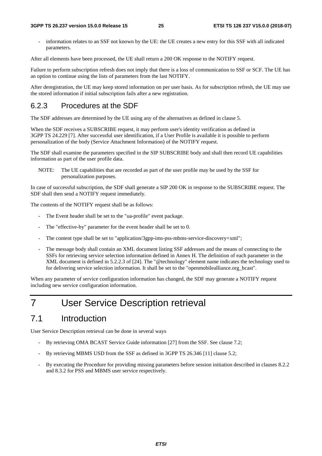- information relates to an SSF not known by the UE: the UE creates a new entry for this SSF with all indicated parameters.

After all elements have been processed, the UE shall return a 200 OK response to the NOTIFY request.

Failure to perform subscription refresh does not imply that there is a loss of communication to SSF or SCF. The UE has an option to continue using the lists of parameters from the last NOTIFY.

After deregistration, the UE may keep stored information on per user basis. As for subscription refresh, the UE may use the stored information if initial subscription fails after a new registration.

### 6.2.3 Procedures at the SDF

The SDF addresses are determined by the UE using any of the alternatives as defined in clause 5.

When the SDF receives a SUBSCRIBE request, it may perform user's identity verification as defined in 3GPP TS 24.229 [7]. After successful user identification, if a User Profile is available it is possible to perform personalization of the body (Service Attachment Information) of the NOTIFY request.

The SDF shall examine the parameters specified in the SIP SUBSCRIBE body and shall then record UE capabilities information as part of the user profile data.

NOTE: The UE capabilities that are recorded as part of the user profile may be used by the SSF for personalization purposes.

In case of successful subscription, the SDF shall generate a SIP 200 OK in response to the SUBSCRIBE request. The SDF shall then send a NOTIFY request immediately.

The contents of the NOTIFY request shall be as follows:

- The Event header shall be set to the "ua-profile" event package.
- The "effective-by" parameter for the event header shall be set to 0.
- The content type shall be set to "application/3gpp-ims-pss-mbms-service-discovery+xml";
- The message body shall contain an XML document listing SSF addresses and the means of connecting to the SSFs for retrieving service selection information defined in Annex H. The definition of each parameter in the XML document is defined in 5.2.2.3 of [24]. The "@technology" element name indicates the technology used to for delivering service selection information. It shall be set to the "openmobilealliance.org\_bcast".

When any parameter of service configuration information has changed, the SDF may generate a NOTIFY request including new service configuration information.

# 7 User Service Description retrieval

# 7.1 Introduction

User Service Description retrieval can be done in several ways

- By retrieving OMA BCAST Service Guide information [27] from the SSF. See clause 7.2;
- By retrieving MBMS USD from the SSF as defined in 3GPP TS 26.346 [11] clause 5.2;
- By executing the Procedure for providing missing parameters before session initiation described in clauses 8.2.2 and 8.3.2 for PSS and MBMS user service respectively.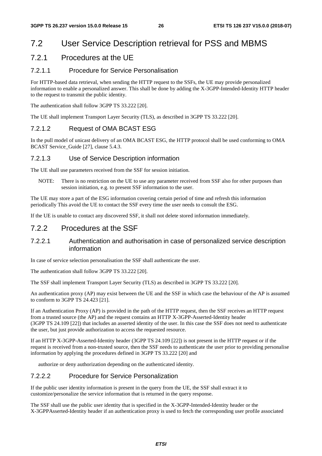# 7.2 User Service Description retrieval for PSS and MBMS

### 7.2.1 Procedures at the UE

### 7.2.1.1 Procedure for Service Personalisation

For HTTP-based data retrieval, when sending the HTTP request to the SSFs, the UE may provide personalized information to enable a personalized answer. This shall be done by adding the X-3GPP-Intended-Identity HTTP header to the request to transmit the public identity.

The authentication shall follow 3GPP TS 33.222 [20].

The UE shall implement Transport Layer Security (TLS), as described in 3GPP TS 33.222 [20].

### 7.2.1.2 Request of OMA BCAST ESG

In the pull model of unicast delivery of an OMA BCAST ESG, the HTTP protocol shall be used conforming to OMA BCAST Service\_Guide [27], clause 5.4.3.

### 7.2.1.3 Use of Service Description information

The UE shall use parameters received from the SSF for session initiation.

NOTE: There is no restriction on the UE to use any parameter received from SSF also for other purposes than session initiation, e.g. to present SSF information to the user.

The UE may store a part of the ESG information covering certain period of time and refresh this information periodically This avoid the UE to contact the SSF every time the user needs to consult the ESG.

If the UE is unable to contact any discovered SSF, it shall not delete stored information immediately.

### 7.2.2 Procedures at the SSF

### 7.2.2.1 Authentication and authorisation in case of personalized service description information

In case of service selection personalisation the SSF shall authenticate the user.

The authentication shall follow 3GPP TS 33.222 [20].

The SSF shall implement Transport Layer Security (TLS) as described in 3GPP TS 33.222 [20].

An authentication proxy (AP) may exist between the UE and the SSF in which case the behaviour of the AP is assumed to conform to 3GPP TS 24.423 [21].

If an Authentication Proxy (AP) is provided in the path of the HTTP request, then the SSF receives an HTTP request from a trusted source (the AP) and the request contains an HTTP X-3GPP-Asserted-Identity header (3GPP TS 24.109 [22]) that includes an asserted identity of the user. In this case the SSF does not need to authenticate the user, but just provide authorization to access the requested resource.

If an HTTP X-3GPP-Asserted-Identity header (3GPP TS 24.109 [22]) is not present in the HTTP request or if the request is received from a non-trusted source, then the SSF needs to authenticate the user prior to providing personalise information by applying the procedures defined in 3GPP TS 33.222 [20] and

authorize or deny authorization depending on the authenticated identity.

### 7.2.2.2 Procedure for Service Personalization

If the public user identity information is present in the query from the UE, the SSF shall extract it to customize/personalize the service information that is returned in the query response.

The SSF shall use the public user identity that is specified in the X-3GPP-Intended-Identity header or the X-3GPPAsserted-Identity header if an authentication proxy is used to fetch the corresponding user profile associated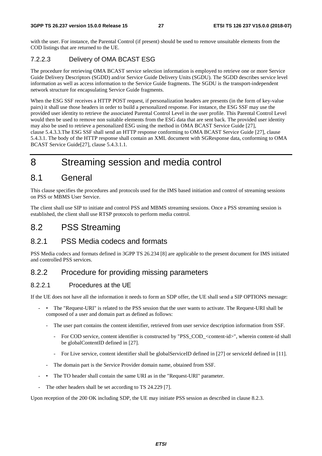with the user. For instance, the Parental Control (if present) should be used to remove unsuitable elements from the COD listings that are returned to the UE.

### 7.2.2.3 Delivery of OMA BCAST ESG

The procedure for retrieving OMA BCAST service selection information is employed to retrieve one or more Service Guide Delivery Descriptors (SGDD) and/or Service Guide Delivery Units (SGDU). The SGDD describes service level information as well as access information to the Service Guide fragments. The SGDU is the transport-independent network structure for encapsulating Service Guide fragments.

When the ESG SSF receives a HTTP POST request, if personalization headers are presents (in the form of key-value pairs) it shall use those headers in order to build a personalized response. For instance, the ESG SSF may use the provided user identity to retrieve the associated Parental Control Level in the user profile. This Parental Control Level would then be used to remove non suitable elements from the ESG data that are sent back. The provided user identity may also be used to retrieve a personalized ESG using the method in OMA BCAST Service Guide [27], clause 5.4.3.3.The ESG SSF shall send an HTTP response conforming to OMA BCAST Service Guide [27], clause 5.4.3.1. The body of the HTTP response shall contain an XML document with SGResponse data, conforming to OMA BCAST Service Guide[27], clause 5.4.3.1.1.

# 8 Streaming session and media control

# 8.1 General

This clause specifies the procedures and protocols used for the IMS based initiation and control of streaming sessions on PSS or MBMS User Service.

The client shall use SIP to initiate and control PSS and MBMS streaming sessions. Once a PSS streaming session is established, the client shall use RTSP protocols to perform media control.

# 8.2 PSS Streaming

### 8.2.1 PSS Media codecs and formats

PSS Media codecs and formats defined in 3GPP TS 26.234 [8] are applicable to the present document for IMS initiated and controlled PSS services.

## 8.2.2 Procedure for providing missing parameters

### 8.2.2.1 Procedures at the UE

If the UE does not have all the information it needs to form an SDP offer, the UE shall send a SIP OPTIONS message:

- • The "Request-URI" is related to the PSS session that the user wants to activate. The Request-URI shall be composed of a user and domain part as defined as follows:
	- The user part contains the content identifier, retrieved from user service description information from SSF.
		- For COD service, content identifier is constructed by "PSS\_COD\_<content-id>", wherein content-id shall be globalContentID defined in [27].
		- For Live service, content identifier shall be globalServiceID defined in [27] or serviceId defined in [11].
	- The domain part is the Service Provider domain name, obtained from SSF.
- The TO header shall contain the same URI as in the "Request-URI" parameter.
- The other headers shall be set according to TS 24.229 [7].

Upon reception of the 200 OK including SDP, the UE may initiate PSS session as described in clause 8.2.3.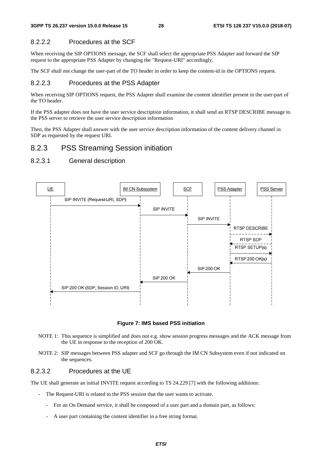### 8.2.2.2 Procedures at the SCF

When receiving the SIP OPTIONS message, the SCF shall select the appropriate PSS Adapter and forward the SIP request to the appropriate PSS Adapter by changing the "Request-URI" accordingly.

The SCF shall not change the user-part of the TO header in order to keep the content-id in the OPTIONS request.

### 8.2.2.3 Procedures at the PSS Adapter

When receiving SIP OPTIONS request, the PSS Adapter shall examine the content identifier present in the user-part of the TO header.

If the PSS adapter does not have the user service description information, it shall send an RTSP DESCRIBE message to the PSS server to retrieve the user service description information

Then, the PSS Adapter shall answer with the user service description information of the content delivery channel in SDP as requested by the request URI.

### 8.2.3 PSS Streaming Session initiation

#### 8.2.3.1 General description



**Figure 7: IMS based PSS initiation** 

- NOTE 1: This sequence is simplified and does not e.g. show session progress messages and the ACK message from the UE in response to the reception of 200 OK.
- NOTE 2: SIP messages between PSS adapter and SCF go through the IM CN Subsystem even if not indicated on the sequences.

#### 8.2.3.2 Procedures at the UE

The UE shall generate an initial INVITE request according to TS 24.229 [7] with the following additions:

- The Request-URI is related to the PSS session that the user wants to activate.
	- For an On Demand service, it shall be composed of a user part and a domain part, as follows:
	- A user part containing the content identifier in a free string format.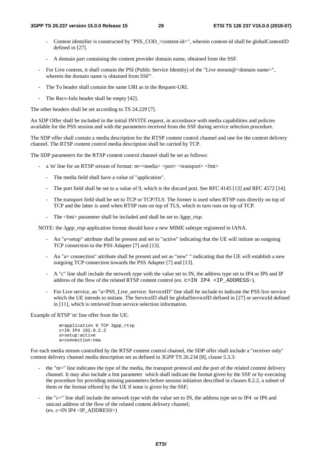- Content identifier is constructed by "PSS\_COD\_<content-id>", wherein content-id shall be globalContentID defined in [27].
- A domain part containing the content provider domain name, obtained from the SSF.
- For Live content, it shall contain the PSI (Public Service Identity) of the "Live stream@<domain name>", wherein the domain name is obtained from SSF".
- The To header shall contain the same URI as in the Request-URI.
- The Recv-Info header shall be empty [42].

The other headers shall be set according to TS 24.229 [7].

An SDP Offer shall be included in the initial INVITE request, in accordance with media capabilities and policies available for the PSS session and with the parameters received from the SSF during service selection procedure.

The SDP offer shall contain a media description for the RTSP content control channel and one for the content delivery channel. The RTSP content control media description shall be carried by TCP.

The SDP parameters for the RTSP content control channel shall be set as follows:

- a 'm' line for an RTSP stream of format: m=<media> <port> <transport> <fmt>
	- The media field shall have a value of "application".
	- The port field shall be set to a value of 9, which is the discard port. See RFC 4145 [13] and RFC 4572 [14].
	- The transport field shall be set to TCP or TCP/TLS. The former is used when RTSP runs directly on top of TCP and the latter is used when RTSP runs on top of TLS, which in turn runs on top of TCP.
	- The  $\leq$  fmt parameter shall be included and shall be set to *3gpp rtsp*.

NOTE: the *3gpp\_rtsp* application format should have a new MIME subtype registered in IANA.

- An "a=setup" attribute shall be present and set to "active" indicating that the UE will initiate an outgoing TCP connection to the PSS Adapter [7] and [13].
- An "a= connection" attribute shall be present and set as "new" " indicating that the UE will establish a new outgoing TCP connection towards the PSS Adapter [7] and [13].
- A "c" line shall include the network type with the value set to IN, the address type set to IP4 or IP6 and IP address of the flow of the related RTSP content control (ex. c=IN IP4 <IP\_ADDRESS>).
- For Live service, an "a=PSS\_Live\_service: ServiceID" line shall be include to indicate the PSS live service which the UE intends to initiate. The ServiceID shall be globalServiceID defined in [27] or serviceId defined in [11], which is retrieved from service selection information.

Example of RTSP 'm' line offer from the UE:

```
 m=application 9 TCP 3gpp_rtsp 
 c=IN IP4 192.0.2.2 
 a=setup:active 
 a=connection:new
```
For each media stream controlled by the RTSP content control channel, the SDP offer shall include a "receiver only" content delivery channel media description set as defined in 3GPP TS 26.234 [8], clause 5.3.3:

- the "m=" line indicates the type of the media, the transport protocol and the port of the related content delivery channel. It may also include a fmt parameter which shall indicate the format given by the SSF or by executing the procedure for providing missing parameters before session initiation described in clauses 8.2.2, a subset of them or the format offered by the UE if none is given by the SSF;
- the "c=" line shall include the network type with the value set to IN, the address type set to IP4 or IP6 and unicast address of the flow of the related content delivery channel; (ex. c=IN IP4 <IP\_ADDRESS>)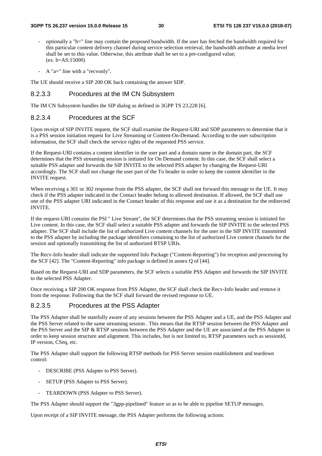- optionally a "b=" line may contain the proposed bandwidth. If the user has fetched the bandwidth required for this particular content delivery channel during service selection retrieval, the bandwidth attribute at media level shall be set to this value. Otherwise, this attribute shall be set to a pre-configured value; (ex. b=AS:15000)
- A "a=" line with a "recvonly".

The UE should receive a SIP 200 OK back containing the answer SDP.

#### 8.2.3.3 Procedures at the IM CN Subsystem

The IM CN Subsystem handles the SIP dialog as defined in 3GPP TS 23.228 [6].

### 8.2.3.4 Procedures at the SCF

Upon receipt of SIP INVITE request, the SCF shall examine the Request-URI and SDP parameters to determine that it is a PSS session initiation request for Live Streaming or Content-On-Demand. According to the user subscription information, the SCF shall check the service rights of the requested PSS service.

If the Request-URI contains a content identifier in the user part and a domain name in the domain part, the SCF determines that the PSS streaming session is initiated for On Demand content. In this case, the SCF shall select a suitable PSS adapter and forwards the SIP INVITE to the selected PSS adapter by changing the Request-URI accordingly. The SCF shall not change the user part of the To header in order to keep the content identifier in the INVITE request.

When receiving a 301 or 302 response from the PSS adapter, the SCF shall not forward this message to the UE. It may check if the PSS adapter indicated in the Contact header belong to allowed destination. If allowed, the SCF shall use one of the PSS adapter URI indicated in the Contact header of this response and use it as a destination for the redirected INVITE.

If the request-URI contains the PSI " Live Stream", the SCF determines that the PSS streaming session is initiated for Live content. In this case, the SCF shall select a suitable PSS adapter and forwards the SIP INVITE to the selected PSS adapter. The SCF shall include the list of authorized Live content channels for the user in the SIP INVITE transmitted to the PSS adapter by including the package identifiers containing to the list of authorized Live content channels for the session and optionally transmitting the list of authorized RTSP URIs.

The Recv-Info header shall indicate the supported Info Package ("Content-Reporting") for reception and processing by the SCF [42]. The "Content-Reporting" info package is defined in annex Q of [44].

Based on the Request-URI and SDP parameters, the SCF selects a suitable PSS Adapter and forwards the SIP INVITE to the selected PSS Adapter.

Once receiving a SIP 200 OK response from PSS Adapter, the SCF shall check the Recv-Info header and remove it from the response. Following that the SCF shall forward the revised response to UE.

### 8.2.3.5 Procedures at the PSS Adapter

The PSS Adapter shall be statefully aware of any sessions between the PSS Adapter and a UE, and the PSS Adapter and the PSS Server related to the same streaming session . This means that the RTSP session between the PSS Adapter and the PSS Server and the SIP & RTSP sessions between the PSS Adapter and the UE are associated at the PSS Adapter in order to keep session structure and alignment. This includes, but is not limited to, RTSP parameters such as sessionId, IP version, CSeq, etc.

The PSS Adapter shall support the following RTSP methods for PSS Server session establishment and teardown control:

- DESCRIBE (PSS Adapter to PSS Server).
- SETUP (PSS Adapter to PSS Server).
- TEARDOWN (PSS Adapter to PSS Server).

The PSS Adapter should support the "3gpp-pipelined" feature so as to be able to pipeline SETUP messages.

Upon receipt of a SIP INVITE message, the PSS Adapter performs the following actions: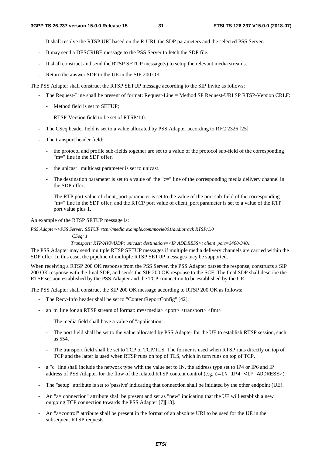- It shall resolve the RTSP URI based on the R-URI, the SDP parameters and the selected PSS Server.
- It may send a DESCRIBE message to the PSS Server to fetch the SDP file.
- It shall construct and send the RTSP SETUP message(s) to setup the relevant media streams.
- Return the answer SDP to the UE in the SIP 200 OK.

The PSS Adapter shall construct the RTSP SETUP message according to the SIP Invite as follows:

- The Request-Line shall be present of format: Request-Line = Method SP Request-URI SP RTSP-Version CRLF:
	- Method field is set to SETUP;
	- RTSP-Version field to be set of RTSP/1.0.
- The CSeq header field is set to a value allocated by PSS Adapter according to RFC 2326 [25]
- The transport header field:
	- the protocol and profile sub-fields together are set to a value of the protocol sub-field of the corresponding "m=" line in the SDP offer,
	- the unicast | multicast parameter is set to unicast.
	- The destination parameter is set to a value of the "c=" line of the corresponding media delivery channel in the SDP offer,
	- The RTP port value of client\_port parameter is set to the value of the port sub-field of the corresponding "m=" line in the SDP offer, and the RTCP port value of client\_port parameter is set to a value of the RTP port value plus 1.

An example of the RTSP SETUP message is:

*PSS Adapter->PSS Server: SETUP rtsp://media.example.com/movie001/audiotrack RTSP/1.0* 

#### *CSeq: 1*

 *Transport: RTP/AVP/UDP; unicast; destination=<IP ADDRESS>; client\_port=3400-3401* 

The PSS Adapter may send multiple RTSP SETUP messages if multiple media delivery channels are carried within the SDP offer. In this case, the pipeline of multiple RTSP SETUP messages may be supported.

When receiving a RTSP 200 OK response from the PSS Server, the PSS Adapter parses the response, constructs a SIP 200 OK response with the final SDP, and sends the SIP 200 OK response to the SCF. The final SDP shall describe the RTSP session established by the PSS Adapter and the TCP connection to be established by the UE.

The PSS Adapter shall construct the SIP 200 OK message according to RTSP 200 OK as follows:

- The Recv-Info header shall be set to "ContentReportConfig" [42].
- an 'm' line for an RTSP stream of format: m=<media> <port> <transport> <fmt>
	- The media field shall have a value of "application".
	- The port field shall be set to the value allocated by PSS Adapter for the UE to establish RTSP session, such as 554.
	- The transport field shall be set to TCP or TCP/TLS. The former is used when RTSP runs directly on top of TCP and the latter is used when RTSP runs on top of TLS, which in turn runs on top of TCP.
- a "c" line shall include the network type with the value set to IN, the address type set to IP4 or IP6 and IP address of PSS Adapter for the flow of the related RTSP content control (e.g. c=IN IP4 <IP\_ADDRESS>).
- The "setup" attribute is set to 'passive' indicating that connection shall be initiated by the other endpoint (UE).
- An "a= connection" attribute shall be present and set as "new" indicating that the UE will establish a new outgoing TCP connection towards the PSS Adapter [7][13].
- An "a=control" attribute shall be present in the format of an absolute URI to be used for the UE in the subsequent RTSP requests.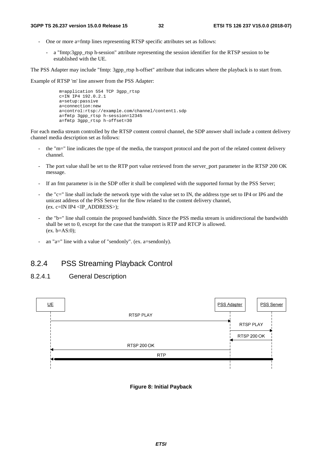- One or more a=fmtp lines representing RTSP specific attributes set as follows:
	- a "fmtp:3gpp\_rtsp h-session" attribute representing the session identifier for the RTSP session to be established with the UE.

The PSS Adapter may include "fmtp: 3gpp\_rtsp h-offset" attribute that indicates where the playback is to start from.

Example of RTSP 'm' line answer from the PSS Adapter:

```
 m=application 554 TCP 3gpp_rtsp 
c=IN IP4 192.0.2.1
 a=setup:passive 
 a=connection:new 
 a=control:rtsp://example.com/channel/content1.sdp 
 a=fmtp 3gpp_rtsp h-session=12345 
 a=fmtp 3gpp_rtsp h-offset=30
```
For each media stream controlled by the RTSP content control channel, the SDP answer shall include a content delivery channel media description set as follows:

- the "m=" line indicates the type of the media, the transport protocol and the port of the related content delivery channel.
- The port value shall be set to the RTP port value retrieved from the server\_port parameter in the RTSP 200 OK message.
- If an fmt parameter is in the SDP offer it shall be completed with the supported format by the PSS Server;
- the "c=" line shall include the network type with the value set to IN, the address type set to IP4 or IP6 and the unicast address of the PSS Server for the flow related to the content delivery channel, (ex. c=IN IP4 <IP\_ADDRESS>);
- the "b=" line shall contain the proposed bandwidth. Since the PSS media stream is unidirectional the bandwidth shall be set to 0, except for the case that the transport is RTP and RTCP is allowed. (ex. b=AS:0);
- an "a=" line with a value of "sendonly". (ex. a=sendonly).

## 8.2.4 PSS Streaming Playback Control

### 8.2.4.1 General Description



#### **Figure 8: Initial Payback**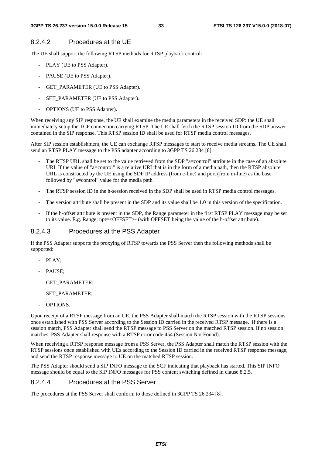### 8.2.4.2 Procedures at the UE

The UE shall support the following RTSP methods for RTSP playback control:

- PLAY (UE to PSS Adapter).
- PAUSE (UE to PSS Adapter).
- GET\_PARAMETER (UE to PSS Adapter).
- SET\_PARAMETER (UE to PSS Adapter).
- OPTIONS (UE to PSS Adapter).

When receiving any SIP response, the UE shall examine the media parameters in the received SDP: the UE shall immediately setup the TCP connection carrying RTSP. The UE shall fetch the RTSP session ID from the SDP answer contained in the SIP response. This RTSP session ID shall be used for RTSP media control messages.

After SIP session establishment, the UE can exchange RTSP messages to start to receive media streams. The UE shall send an RTSP PLAY message to the PSS adapter according to 3GPP TS 26.234 [8].

- The RTSP URL shall be set to the value retrieved from the SDP "a=control" attribute in the case of an absolute URI. If the value of "a=control" is a relative URI that is in the form of a media path, then the RTSP absolute URL is constructed by the UE using the SDP IP address (from c-line) and port (from m-line) as the base followed by "a=control" value for the media path.
- The RTSP session ID in the h-session received in the SDP shall be used in RTSP media control messages.
- The version attribute shall be present in the SDP and its value shall be 1.0 in this version of the specification.
- If the h-offset attribute is present in the SDP, the Range parameter in the first RTSP PLAY message may be set to its value. E.g. Range: npt=<OFFSET>- (with OFFSET being the value of the h-offset attribute).

### 8.2.4.3 Procedures at the PSS Adapter

If the PSS Adapter supports the proxying of RTSP towards the PSS Server then the following methods shall be supported:

- PLAY:
- PAUSE:
- GET\_PARAMETER;
- SET\_PARAMETER:
- OPTIONS.

Upon receipt of a RTSP message from an UE, the PSS Adapter shall match the RTSP session with the RTSP sessions once established with PSS Server according to the Session ID carried in the received RTSP message. If there is a session match, PSS Adapter shall send the RTSP message to PSS Server on the matched RTSP session. If no session matches, PSS Adapter shall response with a RTSP error code 454 (Session Not Found).

When receiving a RTSP response message from a PSS Server, the PSS Adapter shall match the RTSP session with the RTSP sessions once established with UEs according to the Session ID carried in the received RTSP response message, and send the RTSP response message to UE on the matched RTSP session.

The PSS Adapter should send a SIP INFO message to the SCF indicating that playback has started. This SIP INFO message should be equal to the SIP INFO messages for PSS content switching defined in clause 8.2.5.

### 8.2.4.4 Procedures at the PSS Server

The procedures at the PSS Server shall conform to those defined in 3GPP TS 26.234 [8].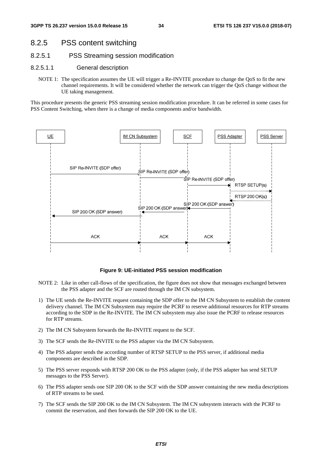### 8.2.5 PSS content switching

- 8.2.5.1 PSS Streaming session modification
- 8.2.5.1.1 General description
	- NOTE 1: The specification assumes the UE will trigger a Re-INVITE procedure to change the QoS to fit the new channel requirements. It will be considered whether the network can trigger the QoS change without the UE taking management.

This procedure presents the generic PSS streaming session modification procedure. It can be referred in some cases for PSS Content Switching, when there is a change of media components and/or bandwidth.



#### **Figure 9: UE-initiated PSS session modification**

- NOTE 2: Like in other call-flows of the specification, the figure does not show that messages exchanged between the PSS adapter and the SCF are routed through the IM CN subsystem.
- 1) The UE sends the Re-INVITE request containing the SDP offer to the IM CN Subsystem to establish the content delivery channel. The IM CN Subsystem may require the PCRF to reserve additional resources for RTP streams according to the SDP in the Re-INVITE. The IM CN subsystem may also issue the PCRF to release resources for RTP streams.
- 2) The IM CN Subsystem forwards the Re-INVITE request to the SCF.
- 3) The SCF sends the Re-INVITE to the PSS adapter via the IM CN Subsystem.
- 4) The PSS adapter sends the according number of RTSP SETUP to the PSS server, if additional media components are described in the SDP.
- 5) The PSS server responds with RTSP 200 OK to the PSS adapter (only, if the PSS adapter has send SETUP messages to the PSS Server).
- 6) The PSS adapter sends one SIP 200 OK to the SCF with the SDP answer containing the new media descriptions of RTP streams to be used.
- 7) The SCF sends the SIP 200 OK to the IM CN Subsystem. The IM CN subsystem interacts with the PCRF to commit the reservation, and then forwards the SIP 200 OK to the UE.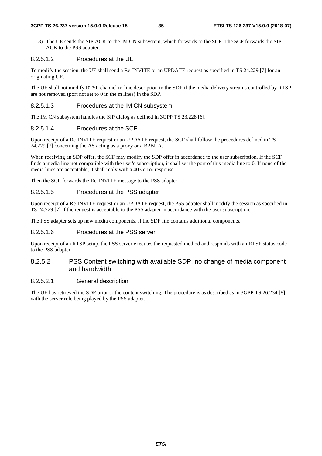#### **3GPP TS 26.237 version 15.0.0 Release 15 35 ETSI TS 126 237 V15.0.0 (2018-07)**

8) The UE sends the SIP ACK to the IM CN subsystem, which forwards to the SCF. The SCF forwards the SIP ACK to the PSS adapter.

### 8.2.5.1.2 Procedures at the UE

To modify the session, the UE shall send a Re-INVITE or an UPDATE request as specified in TS 24.229 [7] for an originating UE.

The UE shall not modify RTSP channel m-line description in the SDP if the media delivery streams controlled by RTSP are not removed (port not set to 0 in the m lines) in the SDP.

#### 8.2.5.1.3 Procedures at the IM CN subsystem

The IM CN subsystem handles the SIP dialog as defined in 3GPP TS 23.228 [6].

### 8.2.5.1.4 Procedures at the SCF

Upon receipt of a Re-INVITE request or an UPDATE request, the SCF shall follow the procedures defined in TS 24.229 [7] concerning the AS acting as a proxy or a B2BUA.

When receiving an SDP offer, the SCF may modify the SDP offer in accordance to the user subscription. If the SCF finds a media line not compatible with the user's subscription, it shall set the port of this media line to 0. If none of the media lines are acceptable, it shall reply with a 403 error response.

Then the SCF forwards the Re-INVITE message to the PSS adapter.

#### 8.2.5.1.5 Procedures at the PSS adapter

Upon receipt of a Re-INVITE request or an UPDATE request, the PSS adapter shall modify the session as specified in TS 24.229 [7] if the request is acceptable to the PSS adapter in accordance with the user subscription.

The PSS adapter sets up new media components, if the SDP file contains additional components.

#### 8.2.5.1.6 Procedures at the PSS server

Upon receipt of an RTSP setup, the PSS server executes the requested method and responds with an RTSP status code to the PSS adapter.

### 8.2.5.2 PSS Content switching with available SDP, no change of media component and bandwidth

### 8.2.5.2.1 General description

The UE has retrieved the SDP prior to the content switching. The procedure is as described as in 3GPP TS 26.234 [8], with the server role being played by the PSS adapter.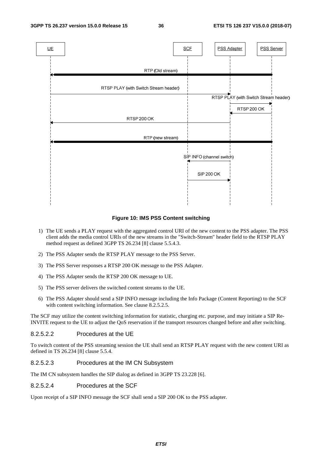



## **Figure 10: IMS PSS Content switching**

- 1) The UE sends a PLAY request with the aggregated control URI of the new content to the PSS adapter. The PSS client adds the media control URIs of the new streams in the "Switch-Stream" header field to the RTSP PLAY method request as defined 3GPP TS 26.234 [8] clause 5.5.4.3.
- 2) The PSS Adapter sends the RTSP PLAY message to the PSS Server.
- 3) The PSS Server responses a RTSP 200 OK message to the PSS Adapter.
- 4) The PSS Adapter sends the RTSP 200 OK message to UE.
- 5) The PSS server delivers the switched content streams to the UE.
- 6) The PSS Adapter should send a SIP INFO message including the Info Package (Content Reporting) to the SCF with content switching information. See clause 8.2.5.2.5.

The SCF may utilize the content switching information for statistic, charging etc. purpose, and may initiate a SIP Re-INVITE request to the UE to adjust the QoS reservation if the transport resources changed before and after switching.

### 8.2.5.2.2 Procedures at the UE

To switch content of the PSS streaming session the UE shall send an RTSP PLAY request with the new content URI as defined in TS 26.234 [8] clause 5.5.4.

#### 8.2.5.2.3 Procedures at the IM CN Subsystem

The IM CN subsystem handles the SIP dialog as defined in 3GPP TS 23.228 [6].

#### 8.2.5.2.4 Procedures at the SCF

Upon receipt of a SIP INFO message the SCF shall send a SIP 200 OK to the PSS adapter.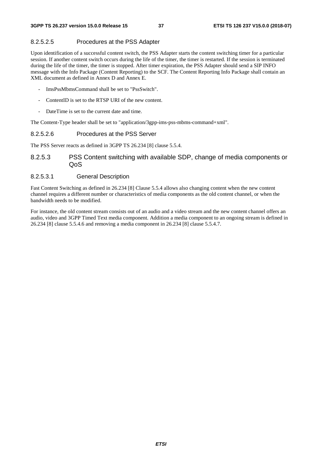## 8.2.5.2.5 Procedures at the PSS Adapter

Upon identification of a successful content switch, the PSS Adapter starts the content switching timer for a particular session. If another content switch occurs during the life of the timer, the timer is restarted. If the session is terminated during the life of the timer, the timer is stopped. After timer expiration, the PSS Adapter should send a SIP INFO message with the Info Package (Content Reporting) to the SCF. The Content Reporting Info Package shall contain an XML document as defined in Annex D and Annex E.

- ImsPssMbmsCommand shall be set to "PssSwitch".
- ContentID is set to the RTSP URI of the new content.
- DateTime is set to the current date and time.

The Content-Type header shall be set to "application/3gpp-ims-pss-mbms-command+xml".

## 8.2.5.2.6 Procedures at the PSS Server

The PSS Server reacts as defined in 3GPP TS 26.234 [8] clause 5.5.4.

## 8.2.5.3 PSS Content switching with available SDP, change of media components or QoS

## 8.2.5.3.1 General Description

Fast Content Switching as defined in 26.234 [8] Clause 5.5.4 allows also changing content when the new content channel requires a different number or characteristics of media components as the old content channel, or when the bandwidth needs to be modified.

For instance, the old content stream consists out of an audio and a video stream and the new content channel offers an audio, video and 3GPP Timed Text media component. Addition a media component to an ongoing stream is defined in 26.234 [8] clause 5.5.4.6 and removing a media component in 26.234 [8] clause 5.5.4.7.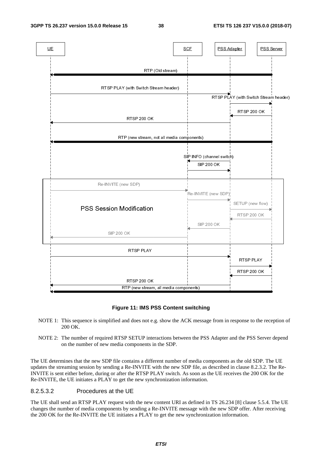

#### **Figure 11: IMS PSS Content switching**

- NOTE 1: This sequence is simplified and does not e.g. show the ACK message from in response to the reception of 200 OK.
- NOTE 2: The number of required RTSP SETUP interactions between the PSS Adapter and the PSS Server depend on the number of new media components in the SDP.

The UE determines that the new SDP file contains a different number of media components as the old SDP. The UE updates the streaming session by sending a Re-INVITE with the new SDP file, as described in clause 8.2.3.2. The Re-INVITE is sent either before, during or after the RTSP PLAY switch. As soon as the UE receives the 200 OK for the Re-INVITE, the UE initiates a PLAY to get the new synchronization information.

## 8.2.5.3.2 Procedures at the UE

The UE shall send an RTSP PLAY request with the new content URI as defined in TS 26.234 [8] clause 5.5.4. The UE changes the number of media components by sending a Re-INVITE message with the new SDP offer. After receiving the 200 OK for the Re-INVITE the UE initiates a PLAY to get the new synchronization information.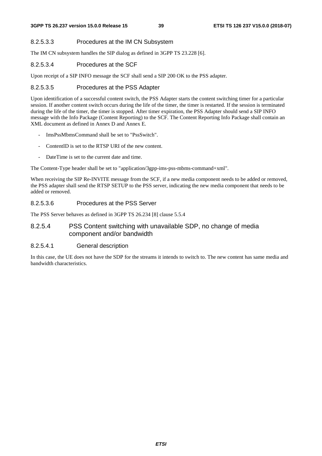## 8.2.5.3.3 Procedures at the IM CN Subsystem

The IM CN subsystem handles the SIP dialog as defined in 3GPP TS 23.228 [6].

## 8.2.5.3.4 Procedures at the SCF

Upon receipt of a SIP INFO message the SCF shall send a SIP 200 OK to the PSS adapter.

## 8.2.5.3.5 Procedures at the PSS Adapter

Upon identification of a successful content switch, the PSS Adapter starts the content switching timer for a particular session. If another content switch occurs during the life of the timer, the timer is restarted. If the session is terminated during the life of the timer, the timer is stopped. After timer expiration, the PSS Adapter should send a SIP INFO message with the Info Package (Content Reporting) to the SCF. The Content Reporting Info Package shall contain an XML document as defined in Annex D and Annex E.

- ImsPssMbmsCommand shall be set to "PssSwitch".
- ContentID is set to the RTSP URI of the new content.
- DateTime is set to the current date and time.

The Content-Type header shall be set to "application/3gpp-ims-pss-mbms-command+xml".

When receiving the SIP Re-INVITE message from the SCF, if a new media component needs to be added or removed, the PSS adapter shall send the RTSP SETUP to the PSS server, indicating the new media component that needs to be added or removed.

## 8.2.5.3.6 Procedures at the PSS Server

The PSS Server behaves as defined in 3GPP TS 26.234 [8] clause 5.5.4

## 8.2.5.4 PSS Content switching with unavailable SDP, no change of media component and/or bandwidth

## 8.2.5.4.1 General description

In this case, the UE does not have the SDP for the streams it intends to switch to. The new content has same media and bandwidth characteristics.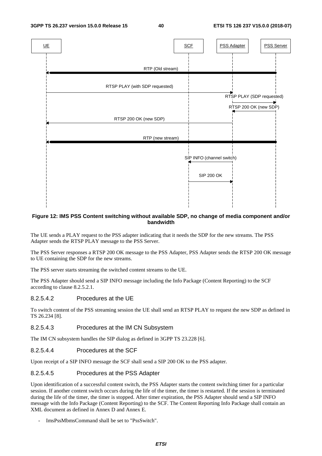

#### **Figure 12: IMS PSS Content switching without available SDP, no change of media component and/or bandwidth**

The UE sends a PLAY request to the PSS adapter indicating that it needs the SDP for the new streams. The PSS Adapter sends the RTSP PLAY message to the PSS Server.

The PSS Server responses a RTSP 200 OK message to the PSS Adapter, PSS Adapter sends the RTSP 200 OK message to UE containing the SDP for the new streams.

The PSS server starts streaming the switched content streams to the UE.

The PSS Adapter should send a SIP INFO message including the Info Package (Content Reporting) to the SCF according to clause 8.2.5.2.1.

#### 8.2.5.4.2 Procedures at the UE

To switch content of the PSS streaming session the UE shall send an RTSP PLAY to request the new SDP as defined in TS 26.234 [8].

#### 8.2.5.4.3 Procedures at the IM CN Subsystem

The IM CN subsystem handles the SIP dialog as defined in 3GPP TS 23.228 [6].

#### 8.2.5.4.4 Procedures at the SCF

Upon receipt of a SIP INFO message the SCF shall send a SIP 200 OK to the PSS adapter.

## 8.2.5.4.5 Procedures at the PSS Adapter

Upon identification of a successful content switch, the PSS Adapter starts the content switching timer for a particular session. If another content switch occurs during the life of the timer, the timer is restarted. If the session is terminated during the life of the timer, the timer is stopped. After timer expiration, the PSS Adapter should send a SIP INFO message with the Info Package (Content Reporting) to the SCF. The Content Reporting Info Package shall contain an XML document as defined in Annex D and Annex E.

- ImsPssMbmsCommand shall be set to "PssSwitch".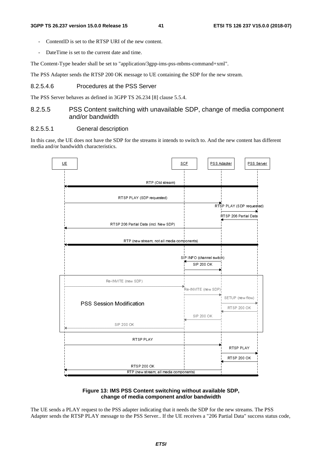- ContentID is set to the RTSP URI of the new content.
- DateTime is set to the current date and time.

The Content-Type header shall be set to "application/3gpp-ims-pss-mbms-command+xml".

The PSS Adapter sends the RTSP 200 OK message to UE containing the SDP for the new stream.

## 8.2.5.4.6 Procedures at the PSS Server

The PSS Server behaves as defined in 3GPP TS 26.234 [8] clause 5.5.4.

## 8.2.5.5 PSS Content switching with unavailable SDP, change of media component and/or bandwidth

## 8.2.5.5.1 General description

In this case, the UE does not have the SDP for the streams it intends to switch to. And the new content has different media and/or bandwidth characteristics.



#### **Figure 13: IMS PSS Content switching without available SDP, change of media component and/or bandwidth**

The UE sends a PLAY request to the PSS adapter indicating that it needs the SDP for the new streams. The PSS Adapter sends the RTSP PLAY message to the PSS Server.. If the UE receives a "206 Partial Data" success status code,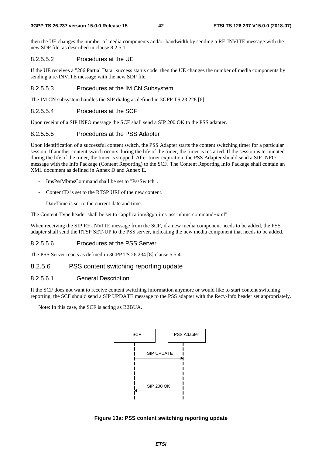#### **3GPP TS 26.237 version 15.0.0 Release 15 42 ETSI TS 126 237 V15.0.0 (2018-07)**

then the UE changes the number of media components and/or bandwidth by sending a RE-INVITE message with the new SDP file, as described in clause 8.2.5.1.

#### 8.2.5.5.2 Procedures at the UE

If the UE receives a "206 Partial Data" success status code, then the UE changes the number of media components by sending a re-INVITE message with the new SDP file.

#### 8.2.5.5.3 Procedures at the IM CN Subsystem

The IM CN subsystem handles the SIP dialog as defined in 3GPP TS 23.228 [6].

## 8.2.5.5.4 Procedures at the SCF

Upon receipt of a SIP INFO message the SCF shall send a SIP 200 OK to the PSS adapter.

## 8.2.5.5.5 Procedures at the PSS Adapter

Upon identification of a successful content switch, the PSS Adapter starts the content switching timer for a particular session. If another content switch occurs during the life of the timer, the timer is restarted. If the session is terminated during the life of the timer, the timer is stopped. After timer expiration, the PSS Adapter should send a SIP INFO message with the Info Package (Content Reporting) to the SCF. The Content Reporting Info Package shall contain an XML document as defined in Annex D and Annex E.

- ImsPssMbmsCommand shall be set to "PssSwitch".
- ContentID is set to the RTSP URI of the new content.
- DateTime is set to the current date and time.

The Content-Type header shall be set to "application/3gpp-ims-pss-mbms-command+xml".

When receiving the SIP RE-INVITE message from the SCF, if a new media component needs to be added, the PSS adapter shall send the RTSP SET-UP to the PSS server, indicating the new media component that needs to be added.

## 8.2.5.5.6 Procedures at the PSS Server

The PSS Server reacts as defined in 3GPP TS 26.234 [8] clause 5.5.4.

## 8.2.5.6 PSS content switching reporting update

### 8.2.5.6.1 General Description

If the SCF does not want to receive content switching information anymore or would like to start content switching reporting, the SCF should send a SIP UPDATE message to the PSS adapter with the Recv-Info header set appropriately.

Note: In this case, the SCF is acting as B2BUA.



**Figure 13a: PSS content switching reporting update**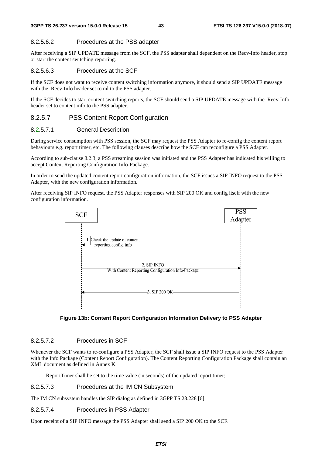## 8.2.5.6.2 Procedures at the PSS adapter

After receiving a SIP UPDATE message from the SCF, the PSS adapter shall dependent on the Recv-Info header, stop or start the content switching reporting.

### 8.2.5.6.3 Procedures at the SCF

If the SCF does not want to receive content switching information anymore, it should send a SIP UPDATE message with the Recv-Info header set to nil to the PSS adapter.

If the SCF decides to start content switching reports, the SCF should send a SIP UPDATE message with the Recv-Info header set to content info to the PSS adapter.

## 8.2.5.7 PSS Content Report Configuration

## 8.2.5.7.1 General Description

During service consumption with PSS session, the SCF may request the PSS Adapter to re-config the content report behaviours e.g. report timer, etc. The following clauses describe how the SCF can reconfigure a PSS Adapter.

According to sub-clause 8.2.3, a PSS streaming session was initiated and the PSS Adapter has indicated his willing to accept Content Reporting Configuration Info-Package.

In order to send the updated content report configuration information, the SCF issues a SIP INFO request to the PSS Adapter, with the new configuration information.

After receiving SIP INFO request, the PSS Adapter responses with SIP 200 OK and config itself with the new configuration information.





## 8.2.5.7.2 Procedures in SCF

Whenever the SCF wants to re-configure a PSS Adapter, the SCF shall issue a SIP INFO request to the PSS Adapter with the Info Package (Content Report Configuration). The Content Reporting Configuration Package shall contain an XML document as defined in Annex K.

ReportTimer shall be set to the time value (in seconds) of the updated report timer;

#### 8.2.5.7.3 Procedures at the IM CN Subsystem

The IM CN subsystem handles the SIP dialog as defined in 3GPP TS 23.228 [6].

## 8.2.5.7.4 Procedures in PSS Adapter

Upon receipt of a SIP INFO message the PSS Adapter shall send a SIP 200 OK to the SCF.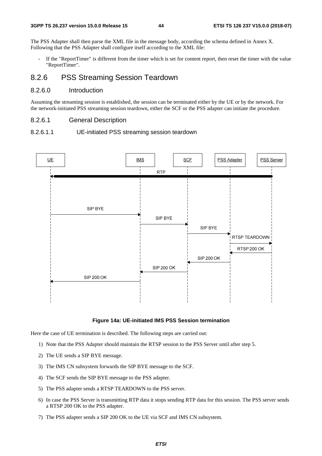The PSS Adapter shall then parse the XML file in the message body, according the schema defined in Annex X. Following that the PSS Adapter shall configure itself according to the XML file:

If the "ReportTimer" is different from the timer which is set for content report, then reset the timer with the value "ReportTimer".

## 8.2.6 PSS Streaming Session Teardown

## 8.2.6.0 Introduction

Assuming the streaming session is established, the session can be terminated either by the UE or by the network. For the network-initiated PSS streaming session teardown, either the SCF or the PSS adapter can initiate the procedure.

#### 8.2.6.1 General Description

#### 8.2.6.1.1 UE-initiated PSS streaming session teardown



#### **Figure 14a: UE-initiated IMS PSS Session termination**

Here the case of UE termination is described. The following steps are carried out:

- 1) Note that the PSS Adapter should maintain the RTSP session to the PSS Server until after step 5.
- 2) The UE sends a SIP BYE message.
- 3) The IMS CN subsystem forwards the SIP BYE message to the SCF.
- 4) The SCF sends the SIP BYE message to the PSS adapter.
- 5) The PSS adapter sends a RTSP TEARDOWN to the PSS server.
- 6) In case the PSS Server is transmitting RTP data it stops sending RTP data for this session. The PSS server sends a RTSP 200 OK to the PSS adapter.
- 7) The PSS adapter sends a SIP 200 OK to the UE via SCF and IMS CN subsystem.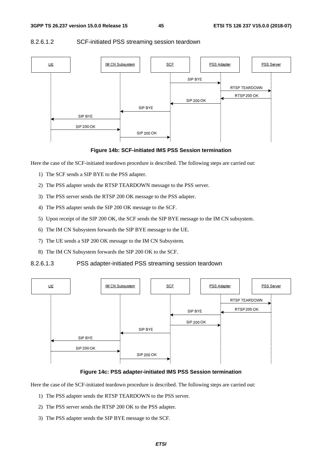## $UE$ </u> IM CN Subsystem **SCF PSS Adapter PSS Server** SIP BYE RTSP TEARDOWN RTSP 200 OK **SIP 200 OK** SIP BYE SIP BYE **SIP 200 OK SIP 200 OK**

## 8.2.6.1.2 SCF-initiated PSS streaming session teardown

#### **Figure 14b: SCF-initiated IMS PSS Session termination**

Here the case of the SCF-initiated teardown procedure is described. The following steps are carried out:

- 1) The SCF sends a SIP BYE to the PSS adapter.
- 2) The PSS adapter sends the RTSP TEARDOWN message to the PSS server.
- 3) The PSS server sends the RTSP 200 OK message to the PSS adapter.
- 4) The PSS adapter sends the SIP 200 OK message to the SCF.
- 5) Upon receipt of the SIP 200 OK, the SCF sends the SIP BYE message to the IM CN subsystem.
- 6) The IM CN Subsystem forwards the SIP BYE message to the UE.
- 7) The UE sends a SIP 200 OK message to the IM CN Subsystem.
- 8) The IM CN Subsystem forwards the SIP 200 OK to the SCF.
- 8.2.6.1.3 PSS adapter-initiated PSS streaming session teardown



#### **Figure 14c: PSS adapter-initiated IMS PSS Session termination**

Here the case of the SCF-initiated teardown procedure is described. The following steps are carried out:

- 1) The PSS adapter sends the RTSP TEARDOWN to the PSS server.
- 2) The PSS server sends the RTSP 200 OK to the PSS adapter.
- 3) The PSS adapter sends the SIP BYE message to the SCF.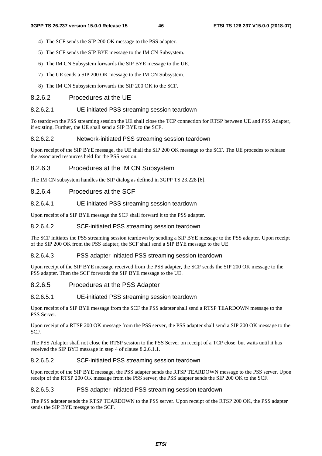- 4) The SCF sends the SIP 200 OK message to the PSS adapter.
- 5) The SCF sends the SIP BYE message to the IM CN Subsystem.
- 6) The IM CN Subsystem forwards the SIP BYE message to the UE.
- 7) The UE sends a SIP 200 OK message to the IM CN Subsystem.
- 8) The IM CN Subsystem forwards the SIP 200 OK to the SCF.

## 8.2.6.2 Procedures at the UE

## 8.2.6.2.1 UE-initiated PSS streaming session teardown

To teardown the PSS streaming session the UE shall close the TCP connection for RTSP between UE and PSS Adapter, if existing. Further, the UE shall send a SIP BYE to the SCF.

## 8.2.6.2.2 Network-initiated PSS streaming session teardown

Upon receipt of the SIP BYE message, the UE shall the SIP 200 OK message to the SCF. The UE procedes to release the associated resources held for the PSS session.

## 8.2.6.3 Procedures at the IM CN Subsystem

The IM CN subsystem handles the SIP dialog as defined in 3GPP TS 23.228 [6].

## 8.2.6.4 Procedures at the SCF

## 8.2.6.4.1 UE-initiated PSS streaming session teardown

Upon receipt of a SIP BYE message the SCF shall forward it to the PSS adapter.

## 8.2.6.4.2 SCF-initiated PSS streaming session teardown

The SCF initiates the PSS streaming session teardown by sending a SIP BYE message to the PSS adapter. Upon receipt of the SIP 200 OK from the PSS adapter, the SCF shall send a SIP BYE message to the UE.

## 8.2.6.4.3 PSS adapter-initiated PSS streaming session teardown

Upon receipt of the SIP BYE message received from the PSS adapter, the SCF sends the SIP 200 OK message to the PSS adapter. Then the SCF forwards the SIP BYE message to the UE.

## 8.2.6.5 Procedures at the PSS Adapter

## 8.2.6.5.1 UE-initiated PSS streaming session teardown

Upon receipt of a SIP BYE message from the SCF the PSS adapter shall send a RTSP TEARDOWN message to the PSS Server.

Upon receipt of a RTSP 200 OK message from the PSS server, the PSS adapter shall send a SIP 200 OK message to the SCF.

The PSS Adapter shall not close the RTSP session to the PSS Server on receipt of a TCP close, but waits until it has received the SIP BYE message in step 4 of clause 8.2.6.1.1.

## 8.2.6.5.2 SCF-initiated PSS streaming session teardown

Upon receipt of the SIP BYE message, the PSS adapter sends the RTSP TEARDOWN message to the PSS server. Upon receipt of the RTSP 200 OK message from the PSS server, the PSS adapter sends the SIP 200 OK to the SCF.

## 8.2.6.5.3 PSS adapter-initiated PSS streaming session teardown

The PSS adapter sends the RTSP TEARDOWN to the PSS server. Upon receipt of the RTSP 200 OK, the PSS adapter sends the SIP BYE messge to the SCF.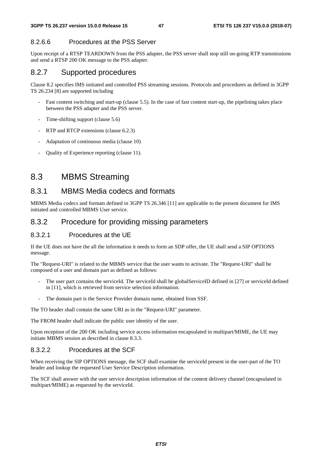## 8.2.6.6 Procedures at the PSS Server

Upon receipt of a RTSP TEARDOWN from the PSS adapter, the PSS server shall stop still on-going RTP transmissions and send a RTSP 200 OK message to the PSS adapter.

## 8.2.7 Supported procedures

Clause 8.2 specifies IMS initiated and controlled PSS streaming sessions. Protocols and procedures as defined in 3GPP TS 26.234 [8] are supported including

- Fast content switching and start-up (clause 5.5). In the case of fast content start-up, the pipelining takes place between the PSS adapter and the PSS server.
- Time-shifting support (clause 5.6)
- RTP and RTCP extensions (clause 6.2.3)
- Adaptation of continuous media (clause 10)
- Quality of Experience reporting (clause 11).

# 8.3 MBMS Streaming

## 8.3.1 MBMS Media codecs and formats

MBMS Media codecs and formats defined in 3GPP TS 26.346 [11] are applicable to the present document for IMS initiated and controlled MBMS User service.

## 8.3.2 Procedure for providing missing parameters

## 8.3.2.1 Procedures at the UE

If the UE does not have the all the information it needs to form an SDP offer, the UE shall send a SIP OPTIONS message.

The "Request-URI" is related to the MBMS service that the user wants to activate. The "Request-URI" shall be composed of a user and domain part as defined as follows:

- The user part contains the serviceId. The serviceId shall be globalServiceID defined in [27] or serviceId defined in [11], which is retrieved from service selection information.
- The domain part is the Service Provider domain name, obtained from SSF.

The TO header shall contain the same URI as in the "Request-URI" parameter.

The FROM header shall indicate the public user identity of the user.

Upon reception of the 200 OK including service access information encapsulated in multipart/MIME, the UE may initiate MBMS session as described in clause 8.3.3.

## 8.3.2.2 Procedures at the SCF

When receiving the SIP OPTIONS message, the SCF shall examine the serviceId present in the user-part of the TO header and lookup the requested User Service Description information.

The SCF shall answer with the user service description information of the content delivery channel (encapsulated in multipart/MIME) as requested by the serviceId.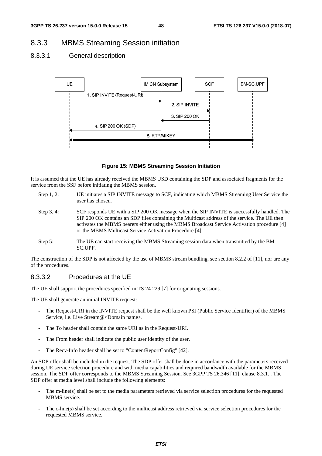## 8.3.3 MBMS Streaming Session initiation

## 8.3.3.1 General description





It is assumed that the UE has already received the MBMS USD containing the SDP and associated fragments for the service from the SSF before initiating the MBMS session.

- Step 1, 2: UE initiates a SIP INVITE message to SCF, indicating which MBMS Streaming User Service the user has chosen.
- Step 3, 4: SCF responds UE with a SIP 200 OK message when the SIP INVITE is successfully handled. The SIP 200 OK contains an SDP files containing the Multicast address of the service. The UE then activates the MBMS bearers either using the MBMS Broadcast Service Activation procedure [4] or the MBMS Multicast Service Activation Procedure [4].
- Step 5: The UE can start receiving the MBMS Streaming session data when transmitted by the BM-SC.UPF.

The construction of the SDP is not affected by the use of MBMS stream bundling, see section 8.2.2 of [11], nor are any of the procedures.

## 8.3.3.2 Procedures at the UE

The UE shall support the procedures specified in TS 24 229 [7] for originating sessions.

The UE shall generate an initial INVITE request:

- The Request-URI in the INVITE request shall be the well known PSI (Public Service Identifier) of the MBMS Service, i.e. Live Stream@<Domain name>.
- The To header shall contain the same URI as in the Request-URI.
- The From header shall indicate the public user identity of the user.
- The Recv-Info header shall be set to "ContentReportConfig" [42].

An SDP offer shall be included in the request. The SDP offer shall be done in accordance with the parameters received during UE service selection procedure and with media capabilities and required bandwidth available for the MBMS session. The SDP offer corresponds to the MBMS Streaming Session. See 3GPP TS 26.346 [11], clause 8.3.1. . The SDP offer at media level shall include the following elements:

- The m-line(s) shall be set to the media parameters retrieved via service selection procedures for the requested MBMS service.
- The c-line(s) shall be set according to the multicast address retrieved via service selection procedures for the requested MBMS service.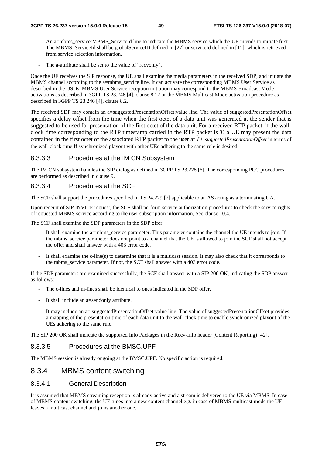- An a=mbms\_service:MBMS\_ServiceId line to indicate the MBMS service which the UE intends to initiate first. The MBMS\_ServiceId shall be globalServiceID defined in [27] or serviceId defined in [11], which is retrieved from service selection information.
- The a-attribute shall be set to the value of "recvonly".

Once the UE receives the SIP response, the UE shall examine the media parameters in the received SDP, and initiate the MBMS channel according to the a=mbms\_service line. It can activate the corresponding MBMS User Service as described in the USDs. MBMS User Service reception initiation may correspond to the MBMS Broadcast Mode activations as described in 3GPP TS 23.246 [4], clause 8.12 or the MBMS Multicast Mode activation procedure as described in 3GPP TS 23.246 [4], clause 8.2.

The received SDP may contain an a=suggestedPresentationOffset:value line. The value of suggestedPresentationOffset specifies a delay offset from the time when the first octet of a data unit was generated at the sender that is suggested to be used for presentation of the first octet of the data unit. For a received RTP packet, if the wallclock time corresponding to the RTP timestamp carried in the RTP packet is *T*, a UE may present the data contained in the first octet of the associated RTP packet to the user at *T+ suggestedPresentationOffset* in terms of the wall-clock time if synchronized playout with other UEs adhering to the same rule is desired.

## 8.3.3.3 Procedures at the IM CN Subsystem

The IM CN subsystem handles the SIP dialog as defined in 3GPP TS 23.228 [6]. The corresponding PCC procedures are performed as described in clause 9.

## 8.3.3.4 Procedures at the SCF

The SCF shall support the procedures specified in TS 24.229 [7] applicable to an AS acting as a terminating UA.

Upon receipt of SIP INVITE request, the SCF shall perform service authorization procedures to check the service rights of requested MBMS service according to the user subscription information, See clause 10.4.

The SCF shall examine the SDP parameters in the SDP offer.

- It shall examine the a=mbms\_service parameter. This parameter contains the channel the UE intends to join. If the mbms\_service parameter does not point to a channel that the UE is allowed to join the SCF shall not accept the offer and shall answer with a 403 error code.
- It shall examine the c-line(s) to determine that it is a multicast session. It may also check that it corresponds to the mbms\_service parameter. If not, the SCF shall answer with a 403 error code.

If the SDP parameters are examined successfully, the SCF shall answer with a SIP 200 OK, indicating the SDP answer as follows:

- The c-lines and m-lines shall be identical to ones indicated in the SDP offer.
- It shall include an a=sendonly attribute.
- It may include an a= suggestedPresentationOffset:value line. The value of suggestedPresentationOffset provides a mapping of the presentation time of each data unit to the wall-clock time to enable synchronized playout of the UEs adhering to the same rule.

The SIP 200 OK shall indicate the supported Info Packages in the Recv-Info header (Content Reporting) [42].

## 8.3.3.5 Procedures at the BMSC.UPF

The MBMS session is already ongoing at the BMSC.UPF. No specific action is required.

## 8.3.4 MBMS content switching

## 8.3.4.1 General Description

It is assumed that MBMS streaming reception is already active and a stream is delivered to the UE via MBMS. In case of MBMS content switching, the UE tunes into a new content channel e.g. in case of MBMS multicast mode the UE leaves a multicast channel and joins another one.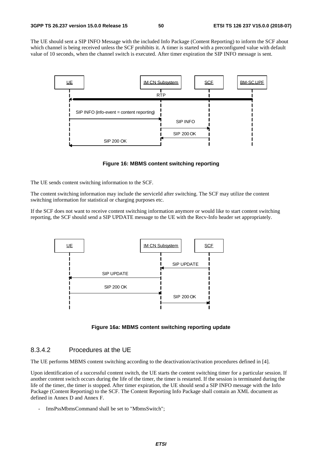The UE should sent a SIP INFO Message with the included Info Package (Content Reporting) to inform the SCF about which channel is being received unless the SCF prohibits it. A timer is started with a preconfigured value with default value of 10 seconds, when the channel switch is executed. After timer expiration the SIP INFO message is sent.



**Figure 16: MBMS content switching reporting** 

The UE sends content switching information to the SCF.

The content switching information may include the serviceId after switching. The SCF may utilize the content switching information for statistical or charging purposes etc.

If the SCF does not want to receive content switching information anymore or would like to start content switching reporting, the SCF should send a SIP UPDATE message to the UE with the Recv-Info header set appropriately.



**Figure 16a: MBMS content switching reporting update** 

## 8.3.4.2 Procedures at the UE

The UE performs MBMS content switching according to the deactivation/activation procedures defined in [4].

Upon identification of a successful content switch, the UE starts the content switching timer for a particular session. If another content switch occurs during the life of the timer, the timer is restarted. If the session is terminated during the life of the timer, the timer is stopped. After timer expiration, the UE should send a SIP INFO message with the Info Package (Content Reporting) to the SCF. The Content Reporting Info Package shall contain an XML document as defined in Annex D and Annex F.

ImsPssMbmsCommand shall be set to "MbmsSwitch";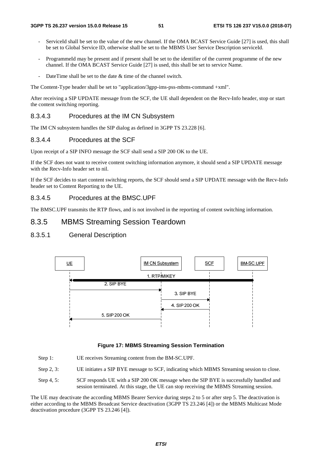- ServiceId shall be set to the value of the new channel. If the OMA BCAST Service Guide [27] is used, this shall be set to Global Service ID, otherwise shall be set to the MBMS User Service Description serviceId.
- ProgrammeId may be present and if present shall be set to the identifier of the current programme of the new channel. If the OMA BCAST Service Guide [27] is used, this shall be set to service Name.
- DateTime shall be set to the date  $\&$  time of the channel switch.

The Content-Type header shall be set to "application/3gpp-ims-pss-mbms-command +xml".

After receiving a SIP UPDATE message from the SCF, the UE shall dependent on the Recv-Info header, stop or start the content switching reporting.

## 8.3.4.3 Procedures at the IM CN Subsystem

The IM CN subsystem handles the SIP dialog as defined in 3GPP TS 23.228 [6].

## 8.3.4.4 Procedures at the SCF

Upon receipt of a SIP INFO message the SCF shall send a SIP 200 OK to the UE.

If the SCF does not want to receive content switching information anymore, it should send a SIP UPDATE message with the Recv-Info header set to nil.

If the SCF decides to start content switching reports, the SCF should send a SIP UPDATE message with the Recv-Info header set to Content Reporting to the UE.

#### 8.3.4.5 Procedures at the BMSC.UPF

The BMSC.UPF transmits the RTP flows, and is not involved in the reporting of content switching information.

## 8.3.5 MBMS Streaming Session Teardown

## 8.3.5.1 General Description



#### **Figure 17: MBMS Streaming Session Termination**

- Step 1: UE receives Streaming content from the BM-SC.UPF.
- Step 2, 3: UE initiates a SIP BYE message to SCF, indicating which MBMS Streaming session to close.
- Step 4, 5: SCF responds UE with a SIP 200 OK message when the SIP BYE is successfully handled and session terminated. At this stage, the UE can stop receiving the MBMS Streaming session.

The UE may deactivate the according MBMS Bearer Service during steps 2 to 5 or after step 5. The deactivation is either according to the MBMS Broadcast Service deactivation (3GPP TS 23.246 [4]) or the MBMS Multicast Mode deactivation procedure (3GPP TS 23.246 [4]).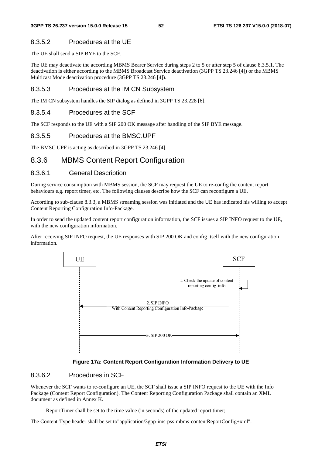## 8.3.5.2 Procedures at the UE

The UE shall send a SIP BYE to the SCF.

The UE may deactivate the according MBMS Bearer Service during steps 2 to 5 or after step 5 of clause 8.3.5.1. The deactivation is either according to the MBMS Broadcast Service deactivation (3GPP TS 23.246 [4]) or the MBMS Multicast Mode deactivation procedure (3GPP TS 23.246 [4]).

## 8.3.5.3 Procedures at the IM CN Subsystem

The IM CN subsystem handles the SIP dialog as defined in 3GPP TS 23.228 [6].

## 8.3.5.4 Procedures at the SCF

The SCF responds to the UE with a SIP 200 OK message after handling of the SIP BYE message.

## 8.3.5.5 Procedures at the BMSC.UPF

The BMSC.UPF is acting as described in 3GPP TS 23.246 [4].

## 8.3.6 MBMS Content Report Configuration

## 8.3.6.1 General Description

During service consumption with MBMS session, the SCF may request the UE to re-config the content report behaviours e.g. report timer, etc. The following clauses describe how the SCF can reconfigure a UE.

According to sub-clause 8.3.3, a MBMS streaming session was initiated and the UE has indicated his willing to accept Content Reporting Configuration Info-Package.

In order to send the updated content report configuration information, the SCF issues a SIP INFO request to the UE, with the new configuration information.

After receiving SIP INFO request, the UE responses with SIP 200 OK and config itself with the new configuration information.



#### **Figure 17a: Content Report Configuration Information Delivery to UE**

## 8.3.6.2 Procedures in SCF

Whenever the SCF wants to re-configure an UE, the SCF shall issue a SIP INFO request to the UE with the Info Package (Content Report Configuration). The Content Reporting Configuration Package shall contain an XML document as defined in Annex K.

ReportTimer shall be set to the time value (in seconds) of the updated report timer;

The Content-Type header shall be set to"application/3gpp-ims-pss-mbms-contentReportConfig+xml".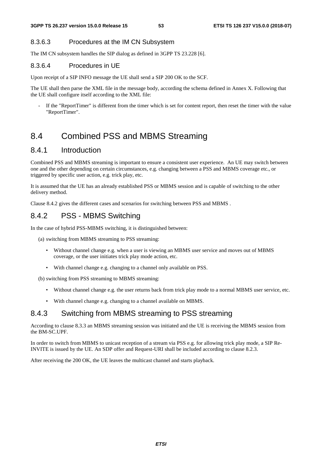## 8.3.6.3 Procedures at the IM CN Subsystem

The IM CN subsystem handles the SIP dialog as defined in 3GPP TS 23.228 [6].

### 8.3.6.4 Procedures in UE

Upon receipt of a SIP INFO message the UE shall send a SIP 200 OK to the SCF.

The UE shall then parse the XML file in the message body, according the schema defined in Annex X. Following that the UE shall configure itself according to the XML file:

If the "ReportTimer" is different from the timer which is set for content report, then reset the timer with the value "ReportTimer".

# 8.4 Combined PSS and MBMS Streaming

## 8.4.1 Introduction

Combined PSS and MBMS streaming is important to ensure a consistent user experience. An UE may switch between one and the other depending on certain circumstances, e.g. changing between a PSS and MBMS coverage etc., or triggered by specific user action, e.g. trick play, etc.

It is assumed that the UE has an already established PSS or MBMS session and is capable of switching to the other delivery method.

Clause 8.4.2 gives the different cases and scenarios for switching between PSS and MBMS .

## 8.4.2 PSS - MBMS Switching

In the case of hybrid PSS-MBMS switching, it is distinguished between:

(a) switching from MBMS streaming to PSS streaming:

- Without channel change e.g. when a user is viewing an MBMS user service and moves out of MBMS coverage, or the user initiates trick play mode action, etc.
- With channel change e.g. changing to a channel only available on PSS.

(b) switching from PSS streaming to MBMS streaming:

- Without channel change e.g. the user returns back from trick play mode to a normal MBMS user service, etc.
- With channel change e.g. changing to a channel available on MBMS.

## 8.4.3 Switching from MBMS streaming to PSS streaming

According to clause 8.3.3 an MBMS streaming session was initiated and the UE is receiving the MBMS session from the BM-SC.UPF.

In order to switch from MBMS to unicast reception of a stream via PSS e.g. for allowing trick play mode, a SIP Re-INVITE is issued by the UE. An SDP offer and Request-URI shall be included according to clause 8.2.3.

After receiving the 200 OK, the UE leaves the multicast channel and starts playback.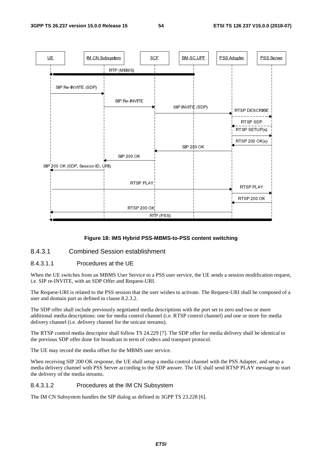

#### **Figure 18: IMS Hybrid PSS-MBMS-to-PSS content switching**

## 8.4.3.1 Combined Session establishment

## 8.4.3.1.1 Procedures at the UE

When the UE switches from an MBMS User Service to a PSS user service, the UE sends a session modification request, i.e. SIP re-INVITE, with an SDP Offer and Request-URI.

The Request-URI is related to the PSS session that the user wishes to activate. The Request-URI shall be composed of a user and domain part as defined in clause 8.2.3.2.

The SDP offer shall include previously negotiated media descriptions with the port set to zero and two or more additional media descriptions: one for media control channel (i.e. RTSP control channel) and one or more for media delivery channel (i.e. delivery channel for the unicast streams).

The RTSP control media descriptor shall follow TS 24.229 [7]. The SDP offer for media delivery shall be identical to the previous SDP offer done for broadcast in term of codecs and transport protocol.

The UE may record the media offset for the MBMS user service.

When receiving SIP 200 OK response, the UE shall setup a media control channel with the PSS Adapter, and setup a media delivery channel with PSS Server according to the SDP answer. The UE shall send RTSP PLAY message to start the delivery of the media streams.

#### 8.4.3.1.2 Procedures at the IM CN Subsystem

The IM CN Subsystem handles the SIP dialog as defined in 3GPP TS 23.228 [6].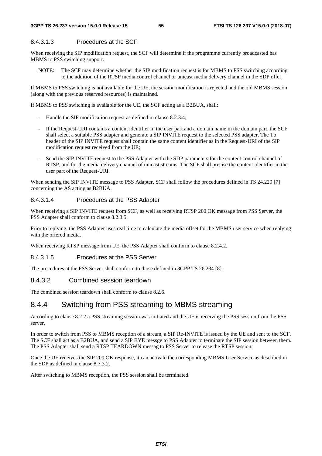## 8.4.3.1.3 Procedures at the SCF

When receiving the SIP modification request, the SCF will determine if the programme currently broadcasted has MBMS to PSS switching support.

NOTE: The SCF may determine whether the SIP modification request is for MBMS to PSS switching according to the addition of the RTSP media control channel or unicast media delivery channel in the SDP offer.

If MBMS to PSS switching is not available for the UE, the session modification is rejected and the old MBMS session (along with the previous reserved resources) is maintained.

If MBMS to PSS switching is available for the UE, the SCF acting as a B2BUA, shall:

- Handle the SIP modification request as defined in clause 8.2.3.4;
- If the Request-URI contains a content identifier in the user part and a domain name in the domain part, the SCF shall select a suitable PSS adapter and generate a SIP INVITE request to the selected PSS adapter. The To header of the SIP INVITE request shall contain the same content identifier as in the Request-URI of the SIP modification request received from the UE;
- Send the SIP INVITE request to the PSS Adapter with the SDP parameters for the content control channel of RTSP, and for the media delivery channel of unicast streams. The SCF shall precise the content identifier in the user part of the Request-URI.

When sending the SIP INVITE message to PSS Adapter, SCF shall follow the procedures defined in TS 24.229 [7] concerning the AS acting as B2BUA.

## 8.4.3.1.4 Procedures at the PSS Adapter

When receiving a SIP INVITE request from SCF, as well as receiving RTSP 200 OK message from PSS Server, the PSS Adapter shall conform to clause 8.2.3.5.

Prior to replying, the PSS Adapter uses real time to calculate the media offset for the MBMS user service when replying with the offered media.

When receiving RTSP message from UE, the PSS Adapter shall conform to clause 8.2.4.2.

### 8.4.3.1.5 Procedures at the PSS Server

The procedures at the PSS Server shall conform to those defined in 3GPP TS 26.234 [8].

### 8.4.3.2 Combined session teardown

The combined session teardown shall conform to clause 8.2.6.

## 8.4.4 Switching from PSS streaming to MBMS streaming

According to clause 8.2.2 a PSS streaming session was initiated and the UE is receiving the PSS session from the PSS server.

In order to switch from PSS to MBMS reception of a stream, a SIP Re-INVITE is issued by the UE and sent to the SCF. The SCF shall act as a B2BUA, and send a SIP BYE messge to PSS Adapter to terminate the SIP session between them. The PSS Adapter shall send a RTSP TEARDOWN messag to PSS Server to release the RTSP session.

Once the UE receives the SIP 200 OK response, it can activate the corresponding MBMS User Service as described in the SDP as defined in clause 8.3.3.2.

After switching to MBMS reception, the PSS session shall be terminated.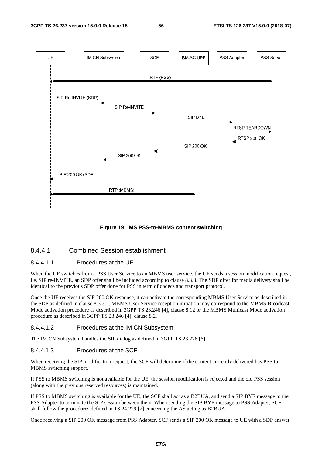

#### **Figure 19: IMS PSS-to-MBMS content switching**

## 8.4.4.1 Combined Session establishment

#### 8.4.4.1.1 Procedures at the UE

When the UE switches from a PSS User Service to an MBMS user service, the UE sends a session modification request, i.e. SIP re-INVITE, an SDP offer shall be included according to clause 8.3.3. The SDP offer for media delivery shall be identical to the previous SDP offer done for PSS in term of codecs and transport protocol.

Once the UE receives the SIP 200 OK response, it can activate the corresponding MBMS User Service as described in the SDP as defined in clause 8.3.3.2. MBMS User Service reception initiation may correspond to the MBMS Broadcast Mode activation procedure as described in 3GPP TS 23.246 [4], clause 8.12 or the MBMS Multicast Mode activation procedure as described in 3GPP TS 23.246 [4], clause 8.2.

#### 8.4.4.1.2 Procedures at the IM CN Subsystem

The IM CN Subsystem handles the SIP dialog as defined in 3GPP TS 23.228 [6].

#### 8.4.4.1.3 Procedures at the SCF

When receiving the SIP modification request, the SCF will determine if the content currently delivered has PSS to MBMS switching support.

If PSS to MBMS switching is not available for the UE, the session modification is rejected and the old PSS session (along with the previous reserved resources) is maintained.

If PSS to MBMS switching is available for the UE, the SCF shall act as a B2BUA, and send a SIP BYE message to the PSS Adapter to terminate the SIP session between them. When sending the SIP BYE message to PSS Adapter, SCF shall follow the procedures defined in TS 24.229 [7] concerning the AS acting as B2BUA.

Once receiving a SIP 200 OK message from PSS Adapter, SCF sends a SIP 200 OK message to UE with a SDP answer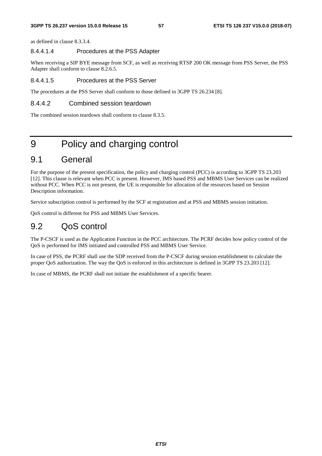as defined in clause 8.3.3.4.

## 8.4.4.1.4 Procedures at the PSS Adapter

When receiving a SIP BYE message from SCF, as well as receiving RTSP 200 OK message from PSS Server, the PSS Adapter shall conform to clause 8.2.6.5.

#### 8.4.4.1.5 Procedures at the PSS Server

The procedures at the PSS Server shall conform to those defined in 3GPP TS 26.234 [8].

## 8.4.4.2 Combined session teardown

The combined session teardown shall conform to clause 8.3.5.

# 9 Policy and charging control

# 9.1 General

For the purpose of the present specification, the policy and charging control (PCC) is according to 3GPP TS 23.203 [12]. This clause is relevant when PCC is present. However, IMS based PSS and MBMS User Services can be realized without PCC. When PCC is not present, the UE is responsible for allocation of the resources based on Session Description information.

Service subscription control is performed by the SCF at registration and at PSS and MBMS session initiation.

QoS control is different for PSS and MBMS User Services.

## 9.2 QoS control

The P-CSCF is used as the Application Function in the PCC architecture. The PCRF decides how policy control of the QoS is performed for IMS initiated and controlled PSS and MBMS User Service.

In case of PSS, the PCRF shall use the SDP received from the P-CSCF during session establishment to calculate the proper QoS authorization. The way the QoS is enforced in this architecture is defined in 3GPP TS 23.203 [12].

In case of MBMS, the PCRF shall not initiate the establishment of a specific bearer.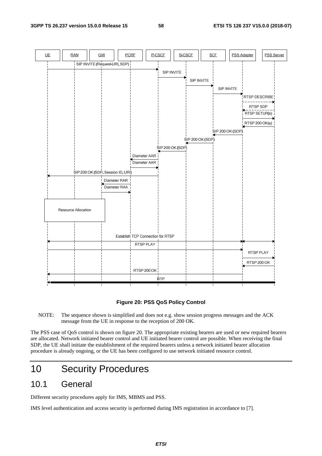

#### **Figure 20: PSS QoS Policy Control**

NOTE: The sequence shown is simplified and does not e.g. show session progress messages and the ACK message from the UE in response to the reception of 200 OK.

The PSS case of QoS control is shown on figure 20. The appropriate existing bearers are used or new required bearers are allocated. Network initiated bearer control and UE initiated bearer control are possible. When receiving the final SDP, the UE shall initiate the establishment of the required bearers unless a network initiated bearer allocation procedure is already ongoing, or the UE has been configured to use network initiated resource control.

# 10 Security Procedures

## 10.1 General

Different security procedures apply for IMS, MBMS and PSS.

IMS level authentication and access security is performed during IMS registration in accordance to [7].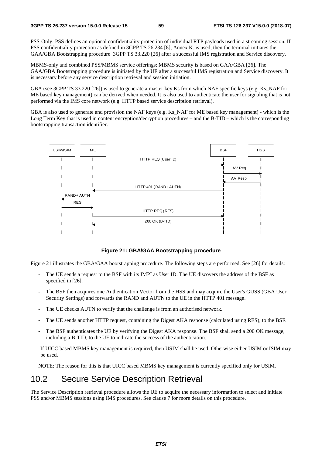PSS-Only: PSS defines an optional confidentiality protection of individual RTP payloads used in a streaming session. If PSS confidentiality protection as defined in 3GPP TS 26.234 [8], Annex K. is used, then the terminal initiates the GAA/GBA Bootstrapping procedure 3GPP TS 33.220 [26] after a successful IMS registration and Service discovery.

MBMS-only and combined PSS/MBMS service offerings: MBMS security is based on GAA/GBA [26]. The GAA/GBA Bootstrapping procedure is initiated by the UE after a successful IMS registration and Service discovery. It is necessary before any service description retrieval and session initiation.

GBA (see 3GPP TS 33.220 [26]) is used to generate a master key Ks from which NAF specific keys (e.g. Ks\_NAF for ME based key management) can be derived when needed. It is also used to authenticate the user for signaling that is not performed via the IMS core network (e.g. HTTP based service description retrieval).

GBA is also used to generate and provision the NAF keys (e.g. Ks. NAF for ME based key management) - which is the Long Term Key that is used in content encryption/decryption procedures – and the B-TID – which is the corresponding bootstrapping transaction identifier.



**Figure 21: GBA/GAA Bootstrapping procedure** 

Figure 21 illustrates the GBA/GAA bootstrapping procedure. The following steps are performed. See [26] for details:

- The UE sends a request to the BSF with its IMPI as User ID. The UE discovers the address of the BSF as specified in [26].
- The BSF then acquires one Authentication Vector from the HSS and may acquire the User's GUSS (GBA User Security Settings) and forwards the RAND and AUTN to the UE in the HTTP 401 message.
- The UE checks AUTN to verify that the challenge is from an authorised network.
- The UE sends another HTTP request, containing the Digest AKA response (calculated using RES), to the BSF.
- The BSF authenticates the UE by verifying the Digest AKA response. The BSF shall send a 200 OK message, including a B-TID, to the UE to indicate the success of the authentication.

If UICC based MBMS key management is required, then USIM shall be used. Otherwise either USIM or ISIM may be used.

NOTE: The reason for this is that UICC based MBMS key management is currently specified only for USIM.

# 10.2 Secure Service Description Retrieval

The Service Description retrieval procedure allows the UE to acquire the necessary information to select and initiate PSS and/or MBMS sessions using IMS procedures. See clause 7 for more details on this procedure.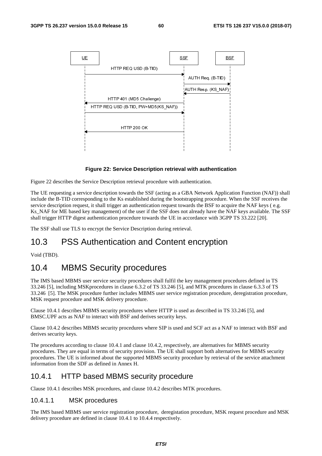

#### **Figure 22: Service Description retrieval with authentication**

Figure 22 describes the Service Description retrieval procedure with authentication.

The UE requesting a service description towards the SSF (acting as a GBA Network Application Function (NAF)) shall include the B-TID corresponding to the Ks established during the bootstrapping procedure. When the SSF receives the service description request, it shall trigger an authentication request towards the BSF to acquire the NAF keys (e.g. Ks NAF for ME based key management) of the user if the SSF does not already have the NAF keys available. The SSF shall trigger HTTP digest authentication procedure towards the UE in accordance with 3GPP TS 33.222 [20].

The SSF shall use TLS to encrypt the Service Description during retrieval.

# 10.3 PSS Authentication and Content encryption

Void (TBD).

# 10.4 MBMS Security procedures

The IMS based MBMS user service security procedures shall fulfil the key management procedures defined in TS 33.246 [5], including MSKprocedures in clause 6.3.2 of TS 33.246 [5], and MTK procedures in clause 6.3.3 of TS 33.246 [5]. The MSK procedure further includes MBMS user service registration procedure, deregistration procedure, MSK request procedure and MSK delivery procedure.

Clause 10.4.1 describes MBMS security procedures where HTTP is used as described in TS 33.246 [5], and BMSC.UPF acts as NAF to interact with BSF and derives security keys.

Clause 10.4.2 describes MBMS security procedures where SIP is used and SCF act as a NAF to interact with BSF and derives security keys.

The procedures according to clause 10.4.1 and clause 10.4.2, respectively, are alternatives for MBMS security procedures. They are equal in terms of security provision. The UE shall support both alternatives for MBMS security procedures. The UE is informed about the supported MBMS security procedure by retrieval of the service attachment information from the SDF as defined in Annex H.

## 10.4.1 HTTP based MBMS security procedure

Clause 10.4.1 describes MSK procedures, and clause 10.4.2 describes MTK procedures.

## 10.4.1.1 MSK procedures

The IMS based MBMS user service registration procedure, deregistation procedure, MSK request procedure and MSK delivery procedure are defined in clause 10.4.1 to 10.4.4 respectively.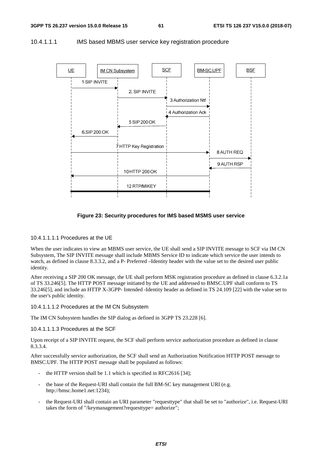



#### **Figure 23: Security procedures for IMS based MSMS user service**

## 10.4.1.1.1.1 Procedures at the UE

When the user indicates to view an MBMS user service, the UE shall send a SIP INVITE message to SCF via IM CN Subsystem, The SIP INVITE message shall include MBMS Service ID to indicate which service the user intends to watch, as defined in clause 8.3.3.2, and a P- Preferred –Identity header with the value set to the desired user public identity.

After receiving a SIP 200 OK message, the UE shall perform MSK registration procedure as defined in clause 6.3.2.1a of TS 33.246[5]. The HTTP POST message initiated by the UE and addressed to BMSC.UPF shall conform to TS 33.246[5], and include an HTTP X-3GPP- Intended -Identity header as defined in TS 24.109 [22] with the value set to the user's public identity.

#### 10.4.1.1.1.2 Procedures at the IM CN Subsystem

The IM CN Subsystem handles the SIP dialog as defined in 3GPP TS 23.228 [6].

## 10.4.1.1.1.3 Procedures at the SCF

Upon receipt of a SIP INVITE request, the SCF shall perform service authorization procedure as defined in clause 8.3.3.4.

After successfully service authorization, the SCF shall send an Authorization Notification HTTP POST message to BMSC.UPF. The HTTP POST message shall be populated as follows:

- the HTTP version shall be 1.1 which is specified in RFC2616 [34];
- the base of the Request-URI shall contain the full BM-SC key management URI (e.g. http://bmsc.home1.net:1234);
- the Request-URI shall contain an URI parameter "requesttype" that shall be set to "authorize", i.e. Request-URI takes the form of "/keymanagement?requesttype= authorize";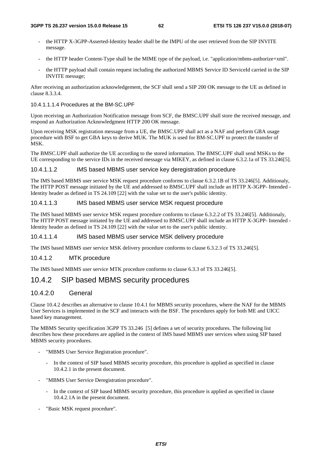- the HTTP X-3GPP-Asserted-Identity header shall be the IMPU of the user retrieved from the SIP INVITE message.
- the HTTP header Content-Type shall be the MIME type of the payload, i.e. "application/mbms-authorize+xml".
- the HTTP payload shall contain request including the authorized MBMS Service ID ServiceId carried in the SIP INVITE message;

After receiving an authorization acknowledgement, the SCF shall send a SIP 200 OK message to the UE as defined in clause 8.3.3.4.

#### 10.4.1.1.1.4 Procedures at the BM-SC.UPF

Upon receiving an Authorization Notification message from SCF, the BMSC.UPF shall store the received message, and respond an Authorization Acknowledgment HTTP 200 OK message.

Upon receiving MSK registration message from a UE, the BMSC.UPF shall act as a NAF and perform GBA usage procedure with BSF to get GBA keys to derive MUK. The MUK is used for BM-SC.UPF to protect the transfer of MSK.

The BMSC.UPF shall authorize the UE according to the stored information. The BMSC.UPF shall send MSKs to the UE corresponding to the service IDs in the received message via MIKEY, as defined in clause 6.3.2.1a of TS 33.246[5].

### 10.4.1.1.2 IMS based MBMS user service key deregistration procedure

The IMS based MBMS user service MSK request procedure conforms to clasue 6.3.2.1B of TS 33.246[5]. Additionaly, The HTTP POST message initiated by the UE and addressed to BMSC.UPF shall include an HTTP X-3GPP- Intended - Identity header as defined in TS 24.109 [22] with the value set to the user's public identity.

#### 10.4.1.1.3 IMS based MBMS user service MSK request procedure

The IMS based MBMS user service MSK request procedure conforms to clasue 6.3.2.2 of TS 33.246[5]. Additionaly, The HTTP POST message initiated by the UE and addressed to BMSC.UPF shall include an HTTP X-3GPP- Intended - Identity header as defined in TS 24.109 [22] with the value set to the user's public identity.

#### 10.4.1.1.4 IMS based MBMS user service MSK delivery procedure

The IMS based MBMS user service MSK delivery procedure conforms to clause 6.3.2.3 of TS 33.246[5].

### 10.4.1.2 MTK procedure

The IMS based MBMS user service MTK procedure conforms to clause 6.3.3 of TS 33.246[5].

## 10.4.2 SIP based MBMS security procedures

## 10.4.2.0 General

Clause 10.4.2 describes an alternative to clause 10.4.1 for MBMS security procedures, where the NAF for the MBMS User Services is implemented in the SCF and interacts with the BSF. The procedures apply for both ME and UICC based key management.

The MBMS Security specification 3GPP TS 33.246 [5] defines a set of security procedures. The following list describes how these procedures are applied in the context of IMS based MBMS user services when using SIP based MBMS security procedures.

- "MBMS User Service Registration procedure".
	- In the context of SIP based MBMS security procedure, this procedure is applied as specified in clause 10.4.2.1 in the present document.
- "MBMS User Service Deregistration procedure".
	- In the context of SIP based MBMS security procedure, this procedure is applied as specified in clause 10.4.2.1A in the present document.
- "Basic MSK request procedure".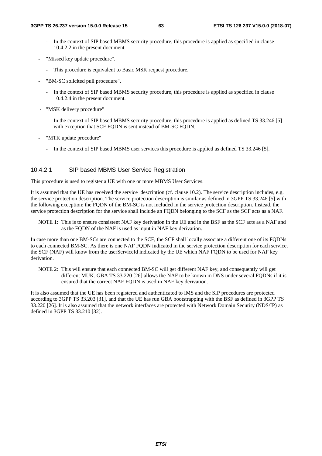- In the context of SIP based MBMS security procedure, this procedure is applied as specified in clause 10.4.2.2 in the present document.
- "Missed key update procedure".
	- This procedure is equivalent to Basic MSK request procedure.
- "BM-SC solicited pull procedure".
	- In the context of SIP based MBMS security procedure, this procedure is applied as specified in clause 10.4.2.4 in the present document.
- "MSK delivery procedure"
	- In the context of SIP based MBMS security procedure, this procedure is applied as defined TS 33.246 [5] with exception that SCF FQDN is sent instead of BM-SC FQDN.
- "MTK update procedure"
	- In the context of SIP based MBMS user services this procedure is applied as defined TS 33.246 [5].

## 10.4.2.1 SIP based MBMS User Service Registration

This procedure is used to register a UE with one or more MBMS User Services.

It is assumed that the UE has received the service description (cf. clause 10.2). The service description includes, e.g. the service protection description. The service protection description is similar as defined in 3GPP TS 33.246 [5] with the following exception: the FQDN of the BM-SC is not included in the service protection description. Instead, the service protection description for the service shall include an FQDN belonging to the SCF as the SCF acts as a NAF.

NOTE 1: This is to ensure consistent NAF key derivation in the UE and in the BSF as the SCF acts as a NAF and as the FQDN of the NAF is used as input in NAF key derivation.

In case more than one BM-SCs are connected to the SCF, the SCF shall locally associate a different one of its FQDNs to each connected BM-SC. As there is one NAF FQDN indicated in the service protection description for each service, the SCF (NAF) will know from the userServiceId indicated by the UE which NAF FQDN to be used for NAF key derivation.

NOTE 2: This will ensure that each connected BM-SC will get different NAF key, and consequently will get different MUK. GBA TS 33.220 [26] allows the NAF to be known in DNS under several FQDNs if it is ensured that the correct NAF FQDN is used in NAF key derivation.

It is also assumed that the UE has been registered and authenticated to IMS and the SIP procedures are protected according to 3GPP TS 33.203 [31], and that the UE has run GBA bootstrapping with the BSF as defined in 3GPP TS 33.220 [26]. It is also assumed that the network interfaces are protected with Network Domain Security (NDS/IP) as defined in 3GPP TS 33.210 [32].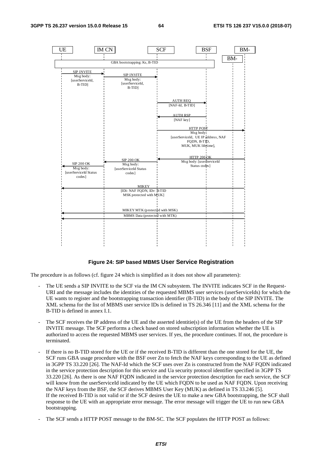

#### **Figure 24: SIP based MBMS User Service Registration**

The procedure is as follows (cf. figure 24 which is simplified as it does not show all parameters):

- The UE sends a SIP INVITE to the SCF via the IM CN subsystem. The INVITE indicates SCF in the Request-URI and the message includes the identities of the requested MBMS user services (userServiceIds) for which the UE wants to register and the bootstrapping transaction identifier (B-TID) in the body of the SIP INVITE. The XML schema for the list of MBMS user service IDs is defined in TS 26.346 [11] and the XML schema for the B-TID is defined in annex I.1.
- The SCF receives the IP address of the UE and the asserted identitie(s) of the UE from the headers of the SIP INVITE message. The SCF performs a check based on stored subscription information whether the UE is authorized to access the requested MBMS user services. If yes, the procedure continues. If not, the procedure is terminated.
- If there is no B-TID stored for the UE or if the received B-TID is different than the one stored for the UE, the SCF runs GBA usage procedure with the BSF over Zn to fetch the NAF keys corresponding to the UE as defined in 3GPP TS 33.220 [26]. The NAF-Id which the SCF uses over Zn is constructed from the NAF FQDN indicated in the service protection description for this service and Ua security protocol identifier specified in 3GPP TS 33.220 [26]. As there is one NAF FQDN indicated in the service protection description for each service, the SCF will know from the userServiceId indicated by the UE which FQDN to be used as NAF FQDN. Upon receiving the NAF keys from the BSF, the SCF derives MBMS User Key (MUK) as defined in TS 33.246 [5]. If the received B-TID is not valid or if the SCF desires the UE to make a new GBA bootstrapping, the SCF shall response to the UE with an appropriate error message. The error message will trigger the UE to run new GBA bootstrapping.
- The SCF sends a HTTP POST message to the BM-SC. The SCF populates the HTTP POST as follows: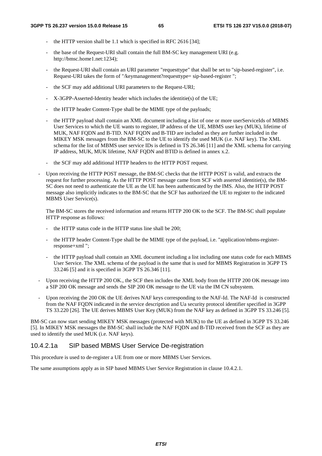- the HTTP version shall be 1.1 which is specified in RFC 2616 [34];
- the base of the Request-URI shall contain the full BM-SC key management URI (e.g. http://bmsc.home1.net:1234);
- the Request-URI shall contain an URI parameter "requesttype" that shall be set to "sip-based-register", i.e. Request-URI takes the form of "/keymanagement?requesttype= sip-based-register ";
- the SCF may add additional URI parameters to the Request-URI;
- X-3GPP-Asserted-Identity header which includes the identitie(s) of the UE;
- the HTTP header Content-Type shall be the MIME type of the payloads;
- the HTTP payload shall contain an XML document including a list of one or more userServiceIds of MBMS User Services to which the UE wants to register, IP address of the UE, MBMS user key (MUK), lifetime of MUK, NAF FQDN and B-TID. NAF FQDN and B-TID are included as they are further included in the MIKEY MSK messages from the BM-SC to the UE to identify the used MUK (i.e. NAF key). The XML schema for the list of MBMS user service IDs is defined in TS 26.346 [11] and the XML schema for carrying IP address, MUK, MUK lifetime, NAF FQDN and BTID is defined in annex x.2.
- the SCF may add additional HTTP headers to the HTTP POST request.
- Upon receiving the HTTP POST message, the BM-SC checks that the HTTP POST is valid, and extracts the request for further processing. As the HTTP POST message came from SCF with asserted identitie(s), the BM-SC does not need to authenticate the UE as the UE has been authenticated by the IMS. Also, the HTTP POST message also implicitly indicates to the BM-SC that the SCF has authorized the UE to register to the indicated MBMS User Service(s).

The BM-SC stores the received information and returns HTTP 200 OK to the SCF. The BM-SC shall populate HTTP response as follows:

- the HTTP status code in the HTTP status line shall be 200;
- the HTTP header Content-Type shall be the MIME type of the payload, i.e. "application/mbms-registerresponse+xml ";
- the HTTP payload shall contain an XML document including a list including one status code for each MBMS User Service. The XML schema of the payload is the same that is used for MBMS Registration in 3GPP TS 33.246 [5] and it is specified in 3GPP TS 26.346 [11].
- Upon receiving the HTTP 200 OK., the SCF then includes the XML body from the HTTP 200 OK message into a SIP 200 OK message and sends the SIP 200 OK message to the UE via the IM CN subsystem.
- Upon receiving the 200 OK the UE derives NAF keys corresponding to the NAF-Id. The NAF-Id is constructed from the NAF FQDN indicated in the service description and Ua security protocol identifier specified in 3GPP TS 33.220 [26]. The UE derives MBMS User Key (MUK) from the NAF key as defined in 3GPP TS 33.246 [5].

BM-SC can now start sending MIKEY MSK messages (protected with MUK) to the UE as defined in 3GPP TS 33.246 [5]. In MIKEY MSK messages the BM-SC shall include the NAF FQDN and B-TID received from the SCF as they are used to identify the used MUK (i.e. NAF keys).

## 10.4.2.1a SIP based MBMS User Service De-registration

This procedure is used to de-register a UE from one or more MBMS User Services.

The same assumptions apply as in SIP based MBMS User Service Registration in clause 10.4.2.1.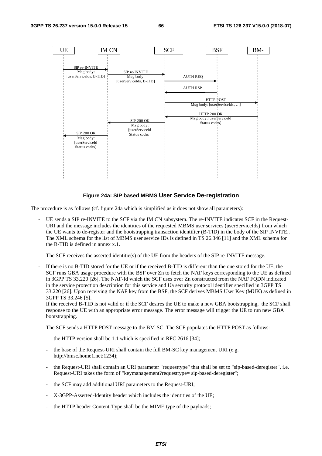

#### **Figure 24a: SIP based MBMS User Service De-registration**

The procedure is as follows (cf. figure 24a which is simplified as it does not show all parameters):

- UE sends a SIP re-INVITE to the SCF via the IM CN subsystem. The re-INVITE indicates SCF in the Request-URI and the message includes the identities of the requested MBMS user services (userServiceIds) from which the UE wants to de-register and the bootstrapping transaction identifier (B-TID) in the body of the SIP INVITE.. The XML schema for the list of MBMS user service IDs is defined in TS 26.346 [11] and the XML schema for the B-TID is defined in annex x.1.
- The SCF receives the asserted identitie(s) of the UE from the headers of the SIP re-INVITE message.
- If there is no B-TID stored for the UE or if the received B-TID is different than the one stored for the UE, the SCF runs GBA usage procedure with the BSF over Zn to fetch the NAF keys corresponding to the UE as defined in 3GPP TS 33.220 [26]. The NAF-Id which the SCF uses over Zn constructed from the NAF FQDN indicated in the service protection description for this service and Ua security protocol identifier specified in 3GPP TS 33.220 [26]. Upon receiving the NAF key from the BSF, the SCF derives MBMS User Key (MUK) as defined in 3GPP TS 33.246 [5].

If the received B-TID is not valid or if the SCF desires the UE to make a new GBA bootstrapping, the SCF shall response to the UE with an appropriate error message. The error message will trigger the UE to run new GBA bootstrapping.

- The SCF sends a HTTP POST message to the BM-SC. The SCF populates the HTTP POST as follows:
	- the HTTP version shall be 1.1 which is specified in RFC 2616 [34];
	- the base of the Request-URI shall contain the full BM-SC key management URI (e.g. http://bmsc.home1.net:1234);
	- the Request-URI shall contain an URI parameter "requesttype" that shall be set to "sip-based-deregister", i.e. Request-URI takes the form of "keymanagement?requesttype= sip-based-deregister";
	- the SCF may add additional URI parameters to the Request-URI;
	- X-3GPP-Asserted-Identity header which includes the identities of the UE;
	- the HTTP header Content-Type shall be the MIME type of the payloads;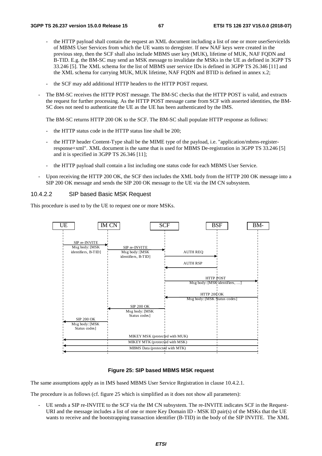- the HTTP payload shall contain the request an XML document including a list of one or more userServiceIds of MBMS User Services from which the UE wants to deregister. If new NAF keys were created in the previous step, then the SCF shall also include MBMS user key (MUK), lifetime of MUK, NAF FQDN and B-TID. E.g. the BM-SC may send an MSK message to invalidate the MSKs in the UE as defined in 3GPP TS 33.246 [5]. The XML schema for the list of MBMS user service IDs is defined in 3GPP TS 26.346 [11] and the XML schema for carrying MUK, MUK lifetime, NAF FQDN and BTID is defined in annex x.2;
- the SCF may add additional HTTP headers to the HTTP POST request.
- The BM-SC receives the HTTP POST message. The BM-SC checks that the HTTP POST is valid, and extracts the request for further processing. As the HTTP POST message came from SCF with asserted identities, the BM-SC does not need to authenticate the UE as the UE has been authenticated by the IMS.

The BM-SC returns HTTP 200 OK to the SCF. The BM-SC shall populate HTTP response as follows:

- the HTTP status code in the HTTP status line shall be 200;
- the HTTP header Content-Type shall be the MIME type of the payload, i.e. "application/mbms-registerresponse+xml". XML document is the same that is used for MBMS De-registration in 3GPP TS 33.246 [5] and it is specified in 3GPP TS 26.346 [11];
- the HTTP payload shall contain a list including one status code for each MBMS User Service.
- Upon receiving the HTTP 200 OK, the SCF then includes the XML body from the HTTP 200 OK message into a SIP 200 OK message and sends the SIP 200 OK message to the UE via the IM CN subsystem.

#### 10.4.2.2 SIP based Basic MSK Request

This procedure is used to by the UE to request one or more MSKs.



#### **Figure 25: SIP based MBMS MSK request**

The same assumptions apply as in IMS based MBMS User Service Registration in clause 10.4.2.1.

The procedure is as follows (cf. figure 25 which is simplified as it does not show all parameters):

UE sends a SIP re-INVITE to the SCF via the IM CN subsystem. The re-INVITE indicates SCF in the Request-URI and the message includes a list of one or more Key Domain ID - MSK ID pair(s) of the MSKs that the UE wants to receive and the bootstrapping transaction identifier (B-TID) in the body of the SIP INVITE. The XML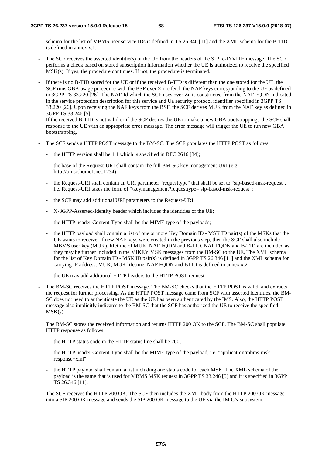schema for the list of MBMS user service IDs is defined in TS 26.346 [11] and the XML schema for the B-TID is defined in annex x.1.

- The SCF receives the asserted identitie(s) of the UE from the headers of the SIP re-INVITE message. The SCF performs a check based on stored subscription information whether the UE is authorized to receive the specified MSK(s). If yes, the procedure continues. If not, the procedure is terminated.
- If there is no B-TID stored for the UE or if the received B-TID is different than the one stored for the UE, the SCF runs GBA usage procedure with the BSF over Zn to fetch the NAF keys corresponding to the UE as defined in 3GPP TS 33.220 [26]. The NAF-Id which the SCF uses over Zn is constructed from the NAF FQDN indicated in the service protection description for this service and Ua security protocol identifier specified in 3GPP TS 33.220 [26]. Upon receiving the NAF keys from the BSF, the SCF derives MUK from the NAF key as defined in 3GPP TS 33.246 [5].

If the received B-TID is not valid or if the SCF desires the UE to make a new GBA bootstrapping, the SCF shall response to the UE with an appropriate error message. The error message will trigger the UE to run new GBA bootstrapping.

- The SCF sends a HTTP POST message to the BM-SC. The SCF populates the HTTP POST as follows:
	- the HTTP version shall be 1.1 which is specified in RFC 2616 [34];
	- the base of the Request-URI shall contain the full BM-SC key management URI (e.g. http://bmsc.home1.net:1234);
	- the Request-URI shall contain an URI parameter "requesttype" that shall be set to "sip-based-msk-request", i.e. Request-URI takes the form of "/keymanagement?requesttype= sip-based-msk-request";
	- the SCF may add additional URI parameters to the Request-URI;
	- X-3GPP-Asserted-Identity header which includes the identities of the UE;
	- the HTTP header Content-Type shall be the MIME type of the payloads;
	- the HTTP payload shall contain a list of one or more Key Domain ID MSK ID pair(s) of the MSKs that the UE wants to receive. If new NAF keys were created in the previous step, then the SCF shall also include MBMS user key (MUK), lifetime of MUK, NAF FQDN and B-TID. NAF FQDN and B-TID are included as they may be further included in the MIKEY MSK messages from the BM-SC to the UE, The XML schema for the list of Key Domain ID - MSK ID pair(s) is defined in 3GPP TS 26.346 [11] and the XML schema for carrying IP address, MUK, MUK lifetime, NAF FQDN and BTID is defined in annex x.2.
	- the UE may add additional HTTP headers to the HTTP POST request.
- The BM-SC receives the HTTP POST message. The BM-SC checks that the HTTP POST is valid, and extracts the request for further processing. As the HTTP POST message came from SCF with asserted identities, the BM-SC does not need to authenticate the UE as the UE has been authenticated by the IMS. Also, the HTTP POST message also implicitly indicates to the BM-SC that the SCF has authorized the UE to receive the specified  $MSK(s)$ .

The BM-SC stores the received information and returns HTTP 200 OK to the SCF. The BM-SC shall populate HTTP response as follows:

- the HTTP status code in the HTTP status line shall be 200;
- the HTTP header Content-Type shall be the MIME type of the payload, i.e. "application/mbms-mskresponse+xml";
- the HTTP payload shall contain a list including one status code for each MSK. The XML schema of the payload is the same that is used for MBMS MSK request in 3GPP TS 33.246 [5] and it is specified in 3GPP TS 26.346 [11].
- The SCF receives the HTTP 200 OK. The SCF then includes the XML body from the HTTP 200 OK message into a SIP 200 OK message and sends the SIP 200 OK message to the UE via the IM CN subsystem.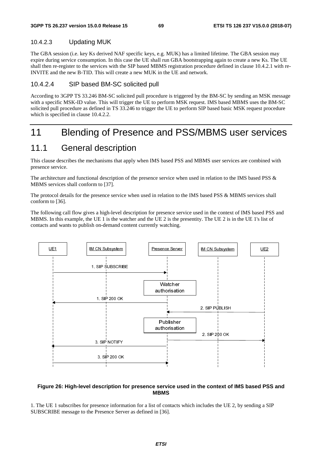## 10.4.2.3 Updating MUK

The GBA session (i.e. key Ks derived NAF specific keys, e.g. MUK) has a limited lifetime. The GBA session may expire during service consumption. In this case the UE shall run GBA bootstrapping again to create a new Ks. The UE shall then re-register to the services with the SIP based MBMS registration procedure defined in clause 10.4.2.1 with re-INVITE and the new B-TID. This will create a new MUK in the UE and network.

## 10.4.2.4 SIP based BM-SC solicited pull

According to 3GPP TS 33.246 BM-SC solicited pull procedure is triggered by the BM-SC by sending an MSK message with a specific MSK-ID value. This will trigger the UE to perform MSK request. IMS based MBMS uses the BM-SC solicited pull procedure as defined in TS 33.246 to trigger the UE to perform SIP based basic MSK request procedure which is specified in clause 10.4.2.2.

# 11 Blending of Presence and PSS/MBMS user services

## 11.1 General description

This clause describes the mechanisms that apply when IMS based PSS and MBMS user services are combined with presence service.

The architecture and functional description of the presence service when used in relation to the IMS based PSS & MBMS services shall conform to [37].

The protocol details for the presence service when used in relation to the IMS based PSS & MBMS services shall conform to [36].

The following call flow gives a high-level description for presence service used in the context of IMS based PSS and MBMS. In this example, the UE 1 is the watcher and the UE 2 is the presentity. The UE 2 is in the UE 1's list of contacts and wants to publish on-demand content currently watching.



#### **Figure 26: High-level description for presence service used in the context of IMS based PSS and MBMS**

1. The UE 1 subscribes for presence information for a list of contacts which includes the UE 2, by sending a SIP SUBSCRIBE message to the Presence Server as defined in [36].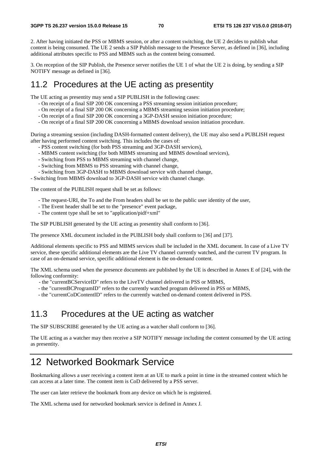2. After having initiated the PSS or MBMS session, or after a content switching, the UE 2 decides to publish what content is being consumed. The UE 2 sends a SIP Publish message to the Presence Server, as defined in [36], including additional attributes specific to PSS and MBMS such as the content being consumed.

3. On reception of the SIP Publish, the Presence server notifies the UE 1 of what the UE 2 is doing, by sending a SIP NOTIFY message as defined in [36].

# 11.2 Procedures at the UE acting as presentity

The UE acting as presentity may send a SIP PUBLISH in the following cases:

- On receipt of a final SIP 200 OK concerning a PSS streaming session initiation procedure;
- On receipt of a final SIP 200 OK concerning a MBMS streaming session initiation procedure;
- On receipt of a final SIP 200 OK concerning a 3GP-DASH session initiation procedure;
- On receipt of a final SIP 200 OK concerning a MBMS download session initiation procedure.

During a streaming session (including DASH-formatted content delivery), the UE may also send a PUBLISH request after having performed content switching. This includes the cases of:

- PSS content switching (for both PSS streaming and 3GP-DASH services),
- MBMS content switching (for both MBMS streaming and MBMS download services),
- Switching from PSS to MBMS streaming with channel change,
- Switching from MBMS to PSS streaming with channel change,
- Switching from 3GP-DASH to MBMS download service with channel change,

- Switching from MBMS download to 3GP-DASH service with channel change.

The content of the PUBLISH request shall be set as follows:

- The request-URI, the To and the From headers shall be set to the public user identity of the user,
- The Event header shall be set to the "presence" event package,
- The content type shall be set to "application/pidf+xml"

The SIP PUBLISH generated by the UE acting as presentity shall conform to [36].

The presence XML document included in the PUBLISH body shall conform to [36] and [37].

Additional elements specific to PSS and MBMS services shall be included in the XML document. In case of a Live TV service, these specific additional elements are the Live TV channel currently watched, and the current TV program. In case of an on-demand service, specific additional element is the on-demand content.

The XML schema used when the presence documents are published by the UE is described in Annex E of [24], with the following conformity:

- the "currentBCServiceID" refers to the LiveTV channel delivered in PSS or MBMS,
- the "currentBCProgramID" refers to the currently watched program delivered in PSS or MBMS,
- the "currentCoDContentID" refers to the currently watched on-demand content delivered in PSS.

## 11.3 Procedures at the UE acting as watcher

The SIP SUBSCRIBE generated by the UE acting as a watcher shall conform to [36].

The UE acting as a watcher may then receive a SIP NOTIFY message including the content consumed by the UE acting as presentity.

# 12 Networked Bookmark Service

Bookmarking allows a user receiving a content item at an UE to mark a point in time in the streamed content which he can access at a later time. The content item is CoD delivered by a PSS server.

The user can later retrieve the bookmark from any device on which he is registered.

The XML schema used for networked bookmark service is defined in Annex J.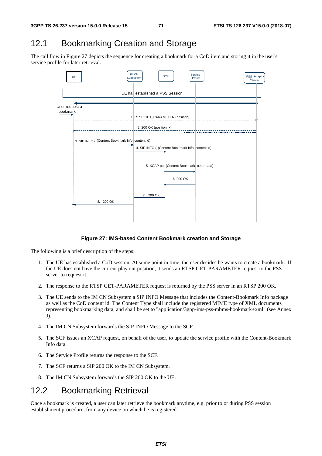# 12.1 Bookmarking Creation and Storage

The call flow in Figure 27 depicts the sequence for creating a bookmark for a CoD item and storing it in the user's service profile for later retrieval.



#### **Figure 27: IMS-based Content Bookmark creation and Storage**

The following is a brief description of the steps:

- 1. The UE has established a CoD session. At some point in time, the user decides he wants to create a bookmark. If the UE does not have the current play out position, it sends an RTSP GET-PARAMETER request to the PSS server to request it.
- 2. The response to the RTSP GET-PARAMETER request is returned by the PSS server in an RTSP 200 OK.
- 3. The UE sends to the IM CN Subsystem a SIP INFO Message that includes the Content-Bookmark Info package as well as the CoD content id. The Content Type shall include the registered MIME type of XML documents representing bookmarking data, and shall be set to "application/3gpp-ims-pss-mbms-bookmark+xml" (see Annex J).
- 4. The IM CN Subsystem forwards the SIP INFO Message to the SCF.
- 5. The SCF issues an XCAP request, on behalf of the user, to update the service profile with the Content-Bookmark Info data.
- 6. The Service Profile returns the response to the SCF.
- 7. The SCF returns a SIP 200 OK to the IM CN Subsystem.
- 8. The IM CN Subsystem forwards the SIP 200 OK to the UE.

# 12.2 Bookmarking Retrieval

Once a bookmark is created, a user can later retrieve the bookmark anytime, e.g. prior to or during PSS session establishment procedure, from any device on which he is registered.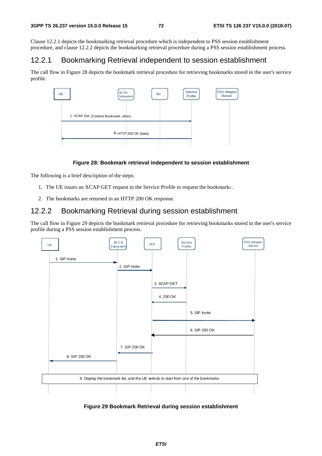Clause 12.2.1 depicts the bookmarking retrieval procedure which is independent to PSS session establishment procedure, and clause 12.2.2 depicts the bookmarking retrieval procedure during a PSS session establishment process.

## 12.2.1 Bookmarking Retrieval independent to session establishment

The call flow in Figure 28 depicts the bookmark retrieval procedure for retrieving bookmarks stored in the user's service profile.



#### **Figure 28: Bookmark retrieval independent to session establishment**

The following is a brief description of the steps:

- 1. The UE issues an XCAP GET request to the Service Profile to request the bookmarks.
- 2. The bookmarks are returned in an HTTP 200 OK response.

## 12.2.2 Bookmarking Retrieval during session establishment

The call flow in Figure 29 depicts the bookmark retrieval procedure for retrieving bookmarks stored in the user's service profile during a PSS session establishment process.



**Figure 29 Bookmark Retrieval during session establishment**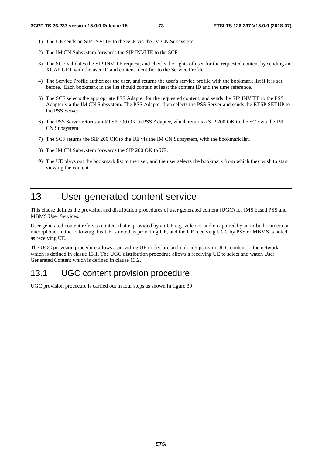- 1) The UE sends an SIP INVITE to the SCF via the IM CN Subsystem.
- 2) The IM CN Subsystem forwards the SIP INVITE to the SCF.
- 3) The SCF validates the SIP INVITE request, and checks the rights of user for the requested content by sending an XCAP GET with the user ID and content identifier to the Service Profile.
- 4) The Service Profile authorizes the user, and returns the user's service profile with the bookmark list if it is set before. Each bookmark in the list should contain at least the content ID and the time reference.
- 5) The SCF selects the appropriate PSS Adapter for the requested content, and sends the SIP INVITE to the PSS Adapter via the IM CN Subsystem. The PSS Adapter then selects the PSS Server and sends the RTSP SETUP to the PSS Server.
- 6) The PSS Server returns an RTSP 200 OK to PSS Adapter, which returns a SIP 200 OK to the SCF via the IM CN Subsystem.
- 7) The SCF returns the SIP 200 OK to the UE via the IM CN Subsystem, with the bookmark list.
- 8) The IM CN Subsystem forwards the SIP 200 OK to UE.
- 9) The UE plays out the bookmark list to the user, and the user selects the bookmark from which they wish to start viewing the content.

# 13 User generated content service

This clause defines the provision and distribution procedures of user generated content (UGC) for IMS based PSS and MBMS User Services.

User generated content refers to content that is provided by an UE e.g. video or audio captured by an in-built camera or microphone. In the following this UE is noted as providing UE, and the UE receiving UGC by PSS or MBMS is noted as receiving UE.

The UGC provision procedure allows a providing UE to declare and upload/upstream UGC content to the network, which is defined in clasue 13.1. The UGC distribution procedrue allows a receiving UE to select and watch User Generated Content which is defined in clause 13.2.

# 13.1 UGC content provision procedure

UGC provision procecure is carried out in four steps as shown in figure 30: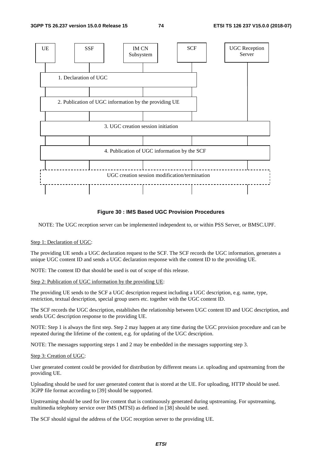

#### **Figure 30 : IMS Based UGC Provision Procedures**

NOTE: The UGC reception server can be implemented independent to, or within PSS Server, or BMSC.UPF.

#### Step 1: Declaration of UGC:

The providing UE sends a UGC declaration request to the SCF. The SCF records the UGC information, generates a unique UGC content ID and sends a UGC declaration response with the content ID to the providing UE.

NOTE: The content ID that should be used is out of scope of this release.

#### Step 2: Publication of UGC information by the providing UE:

The providing UE sends to the SCF a UGC description request including a UGC description, e.g. name, type, restriction, textual description, special group users etc. together with the UGC content ID.

The SCF records the UGC description, establishes the relationship between UGC content ID and UGC description, and sends UGC description response to the providing UE.

NOTE: Step 1 is always the first step. Step 2 may happen at any time during the UGC provision procedure and can be repeated during the lifetime of the content, e.g. for updating of the UGC description.

NOTE: The messages supporting steps 1 and 2 may be embedded in the messages supporting step 3.

#### Step 3: Creation of UGC:

User generated content could be provided for distribution by different means i.e. uploading and upstreaming from the providing UE.

Uploading should be used for user generated content that is stored at the UE. For uploading, HTTP should be used. 3GPP file format according to [39] should be supported.

Upstreaming should be used for live content that is continuously generated during upstreaming. For upstreaming, multimedia telephony service over IMS (MTSI) as defined in [38] should be used.

The SCF should signal the address of the UGC reception server to the providing UE.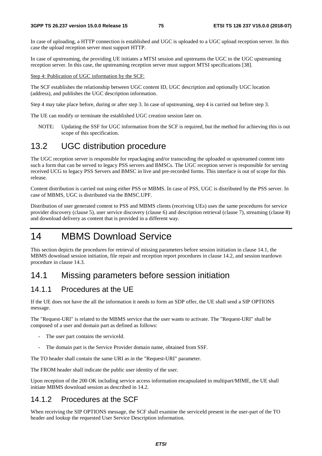In case of uploading, a HTTP connection is established and UGC is uploaded to a UGC upload reception server. In this case the upload reception server must support HTTP.

In case of upstreaming, the providing UE initiates a MTSI session and upstreams the UGC to the UGC upstreaming reception server. In this case, the upstreaming reception server must support MTSI specifications [38].

Step 4: Publication of UGC information by the SCF:

The SCF establishes the relationship between UGC content ID, UGC description and optionally UGC location (address), and publishes the UGC description information.

Step 4 may take place before, during or after step 3. In case of upstreaming, step 4 is carried out before step 3.

The UE can modify or terminate the established UGC creation session later on.

NOTE: Updating the SSF for UGC information from the SCF is required, but the method for achieving this is out scope of this specification.

# 13.2 UGC distribution procedure

The UGC reception server is responsible for repackaging and/or transcoding the uploaded or upstreamed content into such a form that can be served to legacy PSS servers and BMSCs. The UGC reception server is responsible for serving received UCG to legacy PSS Servers and BMSC in live and pre-recorded forms. This interface is out of scope for this release.

Content distribution is carried out using either PSS or MBMS. In case of PSS, UGC is distributed by the PSS server. In case of MBMS, UGC is distributed via the BMSC.UPF.

Distribution of user generated content to PSS and MBMS clients (receiving UEs) uses the same procedures for service provider discovery (clause 5), user service discovery (clause 6) and description retrieval (clause 7), streaming (clause 8) and download delivery as content that is provided in a different way.

# 14 MBMS Download Service

This section depicts the procedures for retrieval of missing parameters before session initiation in clause 14.1, the MBMS download session initiation, file repair and reception report procedures in clause 14.2, and session teardown procedure in clause 14.3.

# 14.1 Missing parameters before session initiation

### 14.1.1 Procedures at the UE

If the UE does not have the all the information it needs to form an SDP offer, the UE shall send a SIP OPTIONS message.

The "Request-URI" is related to the MBMS service that the user wants to activate. The "Request-URI" shall be composed of a user and domain part as defined as follows:

- The user part contains the serviceId.
- The domain part is the Service Provider domain name, obtained from SSF.

The TO header shall contain the same URI as in the "Request-URI" parameter.

The FROM header shall indicate the public user identity of the user.

Upon reception of the 200 OK including service access information encapsulated in multipart/MIME, the UE shall initiate MBMS download session as described in 14.2.

### 14.1.2 Procedures at the SCF

When receiving the SIP OPTIONS message, the SCF shall examine the serviceId present in the user-part of the TO header and lookup the requested User Service Description information.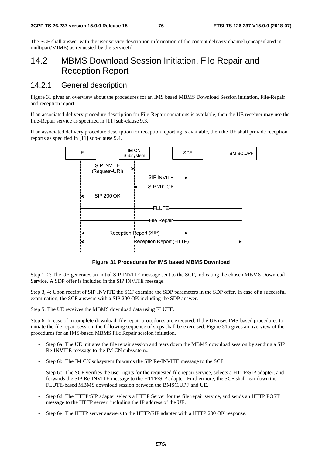The SCF shall answer with the user service description information of the content delivery channel (encapsulated in multipart/MIME) as requested by the serviceId.

# 14.2 MBMS Download Session Initiation, File Repair and Reception Report

# 14.2.1 General description

Figure 31 gives an overview about the procedures for an IMS based MBMS Download Session initiation, File-Repair and reception report.

If an associated delivery procedure description for File-Repair operations is available, then the UE receiver may use the File-Repair service as specified in [11] sub-clause 9.3.

If an associated delivery procedure description for reception reporting is available, then the UE shall provide reception reports as specified in [11] sub-clause 9.4.



**Figure 31 Procedures for IMS based MBMS Download** 

Step 1, 2: The UE generates an initial SIP INVITE message sent to the SCF, indicating the chosen MBMS Download Service. A SDP offer is included in the SIP INVITE message.

Step 3, 4: Upon receipt of SIP INVITE the SCF examine the SDP parameters in the SDP offer. In case of a successful examination, the SCF answers with a SIP 200 OK including the SDP answer.

Step 5: The UE receives the MBMS download data using FLUTE.

Step 6: In case of incomplete download, file repair procedures are executed. If the UE uses IMS-based procedures to initiate the file repair session, the following sequence of steps shall be exercised. Figure 31a gives an overview of the procedures for an IMS-based MBMS File Repair session initiation.

- Step 6a: The UE initiates the file repair session and tears down the MBMS download session by sending a SIP Re-INVITE message to the IM CN subsystem..
- Step 6b: The IM CN subsystem forwards the SIP Re-INVITE message to the SCF.
- Step 6c: The SCF verifies the user rights for the requested file repair service, selects a HTTP/SIP adapter, and forwards the SIP Re-INVITE message to the HTTP/SIP adapter. Furthermore, the SCF shall tear down the FLUTE-based MBMS download session between the BMSC.UPF and UE.
- Step 6d: The HTTP/SIP adapter selects a HTTP Server for the file repair service, and sends an HTTP POST message to the HTTP server, including the IP address of the UE.
- Step 6e: The HTTP server answers to the HTTP/SIP adapter with a HTTP 200 OK response.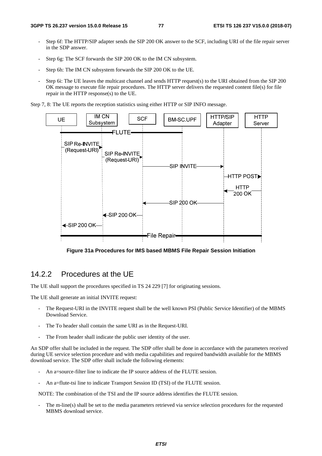- Step 6f: The HTTP/SIP adapter sends the SIP 200 OK answer to the SCF, including URI of the file repair server in the SDP answer.
- Step 6g: The SCF forwards the SIP 200 OK to the IM CN subsystem.
- Step 6h: The IM CN subsystem forwards the SIP 200 OK to the UE.
- Step 6i: The UE leaves the multicast channel and sends HTTP request(s) to the URI obtained from the SIP 200 OK message to execute file repair procedures. The HTTP server delivers the requested content file(s) for file repair in the HTTP response(s) to the UE.

Step 7, 8: The UE reports the reception statistics using either HTTP or SIP INFO message.



**Figure 31a Procedures for IMS based MBMS File Repair Session Initiation** 

# 14.2.2 Procedures at the UE

The UE shall support the procedures specified in TS 24 229 [7] for originating sessions.

The UE shall generate an initial INVITE request:

- The Request-URI in the INVITE request shall be the well known PSI (Public Service Identifier) of the MBMS Download Service.
- The To header shall contain the same URI as in the Request-URI.
- The From header shall indicate the public user identity of the user.

An SDP offer shall be included in the request. The SDP offer shall be done in accordance with the parameters received during UE service selection procedure and with media capabilities and required bandwidth available for the MBMS download service. The SDP offer shall include the following elements:

- An a=source-filter line to indicate the IP source address of the FLUTE session.
- An a=flute-tsi line to indicate Transport Session ID (TSI) of the FLUTE session.

NOTE: The combination of the TSI and the IP source address identifies the FLUTE session.

The m-line(s) shall be set to the media parameters retrieved via service selection procedures for the requested MBMS download service.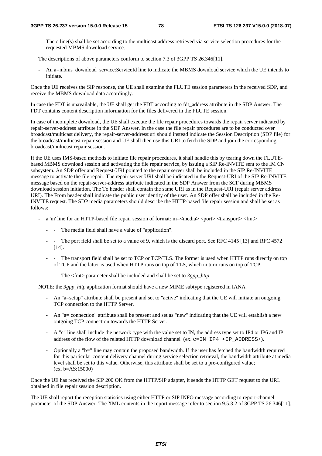The c-line(s) shall be set according to the multicast address retrieved via service selection procedures for the requested MBMS download service.

The descriptions of above parameters conform to section 7.3 of 3GPP TS 26.346[11].

An a=mbms\_download\_service:ServiceId line to indicate the MBMS download service which the UE intends to initiate.

Once the UE receives the SIP response, the UE shall examine the FLUTE session parameters in the received SDP, and receive the MBMS download data accordingly.

In case the FDT is unavailable, the UE shall get the FDT according to fdt address attribute in the SDP Answer. The FDT contains content description information for the files delivered in the FLUTE session.

In case of incomplete download, the UE shall execute the file repair procedures towards the repair server indicated by repair-server-address attribute in the SDP Answer. In the case the file repair procedures are to be conducted over broadcast/multicast delivery, the repair-server-address:uri should instead indicate the Session Description (SDP file) for the broadcast/multicast repair session and UE shall then use this URI to fetch the SDP and join the corresponding broadcast/multicast repair session.

If the UE uses IMS-based methods to initiate file repair procedures, it shall handle this by tearing down the FLUTEbased MBMS download session and activating the file repair service, by issuing a SIP Re-INVITE sent to the IM CN subsystem. An SDP offer and Request-URI pointed to the repair server shall be included in the SIP Re-INVITE message to activate the file repair. The repair server URI shall be indicated in the Request-URI of the SIP Re-INVITE message based on the repair-server-address attribute indicated in the SDP Answer from the SCF during MBMS download session initiation. The To header shall contain the same URI as in the Request-URI (repair server address URI). The From header shall indicate the public user identity of the user. An SDP offer shall be included in the Re-INVITE request. The SDP media parameters should describe the HTTP-based file repair session and shall be set as follows:

- a 'm' line for an HTTP-based file repair session of format:  $m=\{$ media $\ge$  <port $\ge$  <transport $\ge$  <fmt $>$ 
	- - The media field shall have a value of "application".
	- The port field shall be set to a value of 9, which is the discard port. See RFC 4145 [13] and RFC 4572 [14].
	- The transport field shall be set to TCP or TCP/TLS. The former is used when HTTP runs directly on top of TCP and the latter is used when HTTP runs on top of TLS, which in turn runs on top of TCP.
	- - The  $\leq$  fmt parameter shall be included and shall be set to *3gpp http.*

NOTE: the *3gpp\_http* application format should have a new MIME subtype registered in IANA.

- An "a=setup" attribute shall be present and set to "active" indicating that the UE will initiate an outgoing TCP connection to the HTTP Server.
- An "a= connection" attribute shall be present and set as "new" indicating that the UE will establish a new outgoing TCP connection towards the HTTP Server.
- A "c" line shall include the network type with the value set to IN, the address type set to IP4 or IP6 and IP address of the flow of the related HTTP download channel (ex.  $c=IN$  IP4  $\leq$  IP ADDRESS>).
- Optionally a "b=" line may contain the proposed bandwidth. If the user has fetched the bandwidth required for this particular content delivery channel during service selection retrieval, the bandwidth attribute at media level shall be set to this value. Otherwise, this attribute shall be set to a pre-configured value; (ex. b=AS:15000)

Once the UE has received the SIP 200 OK from the HTTP/SIP adapter, it sends the HTTP GET request to the URL obtained in file repair session description.

The UE shall report the reception statistics using either HTTP or SIP INFO message according to report-channel parameter of the SDP Answer. The XML contents in the report message refer to section 9.5.3.2 of 3GPP TS 26.346[11].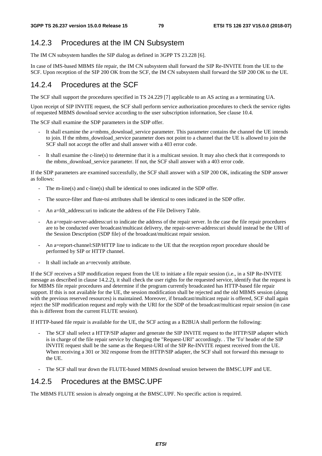## 14.2.3 Procedures at the IM CN Subsystem

The IM CN subsystem handles the SIP dialog as defined in 3GPP TS 23.228 [6].

In case of IMS-based MBMS file repair, the IM CN subsystem shall forward the SIP Re-INVITE from the UE to the SCF. Upon reception of the SIP 200 OK from the SCF, the IM CN subsystem shall forward the SIP 200 OK to the UE.

## 14.2.4 Procedures at the SCF

The SCF shall support the procedures specified in TS 24.229 [7] applicable to an AS acting as a terminating UA.

Upon receipt of SIP INVITE request, the SCF shall perform service authorization procedures to check the service rights of requested MBMS download service according to the user subscription information, See clause 10.4.

The SCF shall examine the SDP parameters in the SDP offer.

- It shall examine the a=mbms\_download\_service parameter. This parameter contains the channel the UE intends to join. If the mbms\_download\_service parameter does not point to a channel that the UE is allowed to join the SCF shall not accept the offer and shall answer with a 403 error code.
- It shall examine the c-line(s) to determine that it is a multicast session. It may also check that it corresponds to the mbms\_download\_service parameter. If not, the SCF shall answer with a 403 error code.

If the SDP parameters are examined successfully, the SCF shall answer with a SIP 200 OK, indicating the SDP answer as follows:

- The m-line(s) and c-line(s) shall be identical to ones indicated in the SDP offer.
- The source-filter and flute-tsi attributes shall be identical to ones indicated in the SDP offer.
- An a=fdt\_address:uri to indicate the address of the File Delivery Table.
- An a=repair-server-address:uri to indicate the address of the repair server. In the case the file repair procedures are to be conducted over broadcast/multicast delivery, the repair-server-address:uri should instead be the URI of the Session Description (SDP file) of the broadcast/multicast repair session.
- An a=report-channel:SIP/HTTP line to indicate to the UE that the reception report procedure should be performed by SIP or HTTP channel.
- It shall include an a=recvonly attribute.

If the SCF receives a SIP modification request from the UE to initiate a file repair session (i.e., in a SIP Re-INVITE message as described in clause 14.2.2), it shall check the user rights for the requested service, identify that the request is for MBMS file repair procedures and determine if the program currently broadcasted has HTTP-based file repair support. If this is not available for the UE, the session modification shall be rejected and the old MBMS session (along with the previous reserved resources) is maintained. Moreover, if broadcast/multicast repair is offered, SCF shall again reject the SIP modification request and reply with the URI for the SDP of the broadcast/multicast repair session (in case this is different from the current FLUTE session).

If HTTP-based file repair is available for the UE, the SCF acting as a B2BUA shall perform the following:

- The SCF shall select a HTTP/SIP adapter and generate the SIP INVITE request to the HTTP/SIP adapter which is in charge of the file repair service by changing the "Request-URI" accordingly. . The 'To' header of the SIP INVITE request shall be the same as the Request-URI of the SIP Re-INVITE request received from the UE. When receiving a 301 or 302 response from the HTTP/SIP adapter, the SCF shall not forward this message to the UE.
- The SCF shall tear down the FLUTE-based MBMS download session between the BMSC.UPF and UE.

### 14.2.5 Procedures at the BMSC.UPF

The MBMS FLUTE session is already ongoing at the BMSC.UPF. No specific action is required.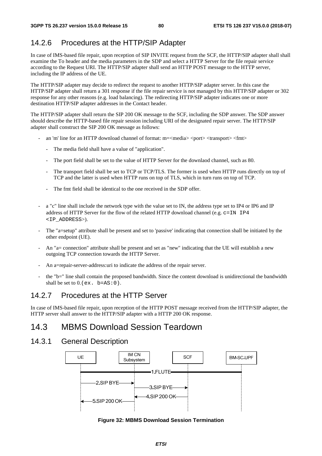# 14.2.6 Procedures at the HTTP/SIP Adapter

In case of IMS-based file repair, upon reception of SIP INVITE request from the SCF, the HTTP/SIP adapter shall shall examine the To header and the media parameters in the SDP and select a HTTP Server for the file repair service according to the Request URI. The HTTP/SIP adapter shall send an HTTP POST message to the HTTP server, including the IP address of the UE.

The HTTP/SIP adapter may decide to redirect the request to another HTTP/SIP adapter server. In this case the HTTP/SIP adapter shall return a 301 response if the file repair service is not managed by this HTTP/SIP adapter or 302 response for any other reasons (e.g. load balancing). The redirecting HTTP/SIP adapter indicates one or more destination HTTP/SIP adapter addresses in the Contact header.

The HTTP/SIP adapter shall return the SIP 200 OK message to the SCF, including the SDP answer. The SDP answer should describe the HTTP-based file repair session including URI of the designated repair server. The HTTP/SIP adapter shall construct the SIP 200 OK message as follows:

- an 'm' line for an HTTP download channel of format: m=<media> <port> <transport> <fmt>
	- The media field shall have a value of "application".
	- The port field shall be set to the value of HTTP Server for the downlaod channel, such as 80.
	- The transport field shall be set to TCP or TCP/TLS. The former is used when HTTP runs directly on top of TCP and the latter is used when HTTP runs on top of TLS, which in turn runs on top of TCP.
	- The fmt field shall be identical to the one received in the SDP offer.
- a "c" line shall include the network type with the value set to IN, the address type set to IP4 or IP6 and IP address of HTTP Server for the flow of the related HTTP download channel (e.g.  $c = IN$  IP4 <IP\_ADDRESS>).
- The "a=setup" attribute shall be present and set to 'passive' indicating that connection shall be initiated by the other endpoint (UE).
- An "a= connection" attribute shall be present and set as "new" indicating that the UE will establish a new outgoing TCP connection towards the HTTP Server.
- An a=repair-server-address: uri to indicate the address of the repair server.
- the "b=" line shall contain the proposed bandwidth. Since the content download is unidirectional the bandwidth shall be set to  $0.6$  (ex. b=AS:  $0$ ).

# 14.2.7 Procedures at the HTTP Server

In case of IMS-based file repair, upon reception of the HTTP POST message received from the HTTP/SIP adapter, the HTTP server shall answer to the HTTP/SIP adapter with a HTTP 200 OK response.

# 14.3 MBMS Download Session Teardown

## 14.3.1 General Description



**Figure 32: MBMS Download Session Termination**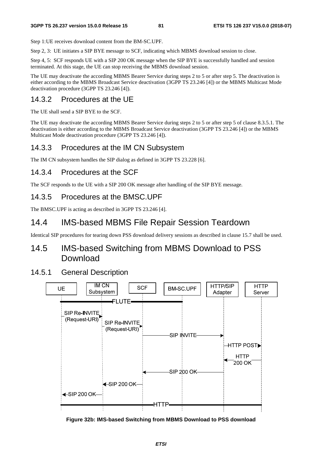Step 1: UE receives download content from the BM-SC.UPF.

Step 2, 3: UE initiates a SIP BYE message to SCF, indicating which MBMS download session to close.

Step 4, 5: SCF responds UE with a SIP 200 OK message when the SIP BYE is successfully handled and session terminated. At this stage, the UE can stop receiving the MBMS download session.

The UE may deactivate the according MBMS Bearer Service during steps 2 to 5 or after step 5. The deactivation is either according to the MBMS Broadcast Service deactivation (3GPP TS 23.246 [4]) or the MBMS Multicast Mode deactivation procedure (3GPP TS 23.246 [4]).

### 14.3.2 Procedures at the UE

The UE shall send a SIP BYE to the SCF.

The UE may deactivate the according MBMS Bearer Service during steps 2 to 5 or after step 5 of clause 8.3.5.1. The deactivation is either according to the MBMS Broadcast Service deactivation (3GPP TS 23.246 [4]) or the MBMS Multicast Mode deactivation procedure (3GPP TS 23.246 [4]).

### 14.3.3 Procedures at the IM CN Subsystem

The IM CN subsystem handles the SIP dialog as defined in 3GPP TS 23.228 [6].

## 14.3.4 Procedures at the SCF

The SCF responds to the UE with a SIP 200 OK message after handling of the SIP BYE message.

### 14.3.5 Procedures at the BMSC.UPF

The BMSC.UPF is acting as described in 3GPP TS 23.246 [4].

## 14.4 IMS-based MBMS File Repair Session Teardown

Identical SIP procedures for tearing down PSS download delivery sessions as described in clause 15.7 shall be used.

# 14.5 IMS-based Switching from MBMS Download to PSS **Download**

#### 14.5.1 General Description



**Figure 32b: IMS-based Switching from MBMS Download to PSS download**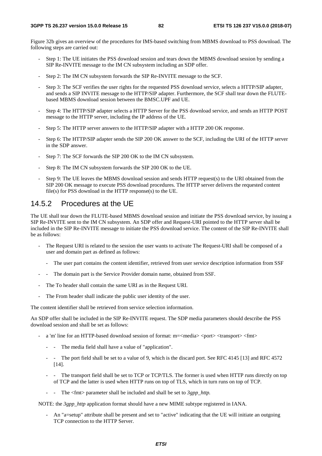Figure 32b gives an overview of the procedures for IMS-based switching from MBMS download to PSS download. The following steps are carried out:

- Step 1: The UE initiates the PSS download session and tears down the MBMS download session by sending a SIP Re-INVITE message to the IM CN subsystem including an SDP offer.
- Step 2: The IM CN subsystem forwards the SIP Re-INVITE message to the SCF.
- Step 3: The SCF verifies the user rights for the requested PSS download service, selects a HTTP/SIP adapter, and sends a SIP INVITE message to the HTTP/SIP adapter. Furthermore, the SCF shall tear down the FLUTEbased MBMS download session between the BMSC.UPF and UE.
- Step 4: The HTTP/SIP adapter selects a HTTP Server for the PSS download service, and sends an HTTP POST message to the HTTP server, including the IP address of the UE.
- Step 5: The HTTP server answers to the HTTP/SIP adapter with a HTTP 200 OK response.
- Step 6: The HTTP/SIP adapter sends the SIP 200 OK answer to the SCF, including the URI of the HTTP server in the SDP answer.
- Step 7: The SCF forwards the SIP 200 OK to the IM CN subsystem.
- Step 8: The IM CN subsystem forwards the SIP 200 OK to the UE.
- Step 9: The UE leaves the MBMS download session and sends HTTP request(s) to the URI obtained from the SIP 200 OK message to execute PSS download procedures. The HTTP server delivers the requested content file(s) for PSS download in the HTTP response(s) to the UE.

### 14.5.2 Procedures at the UE

The UE shall tear down the FLUTE-based MBMS download session and initiate the PSS download service, by issuing a SIP Re-INVITE sent to the IM CN subsystem. An SDP offer and Request-URI pointed to the HTTP server shall be included in the SIP Re-INVITE message to initiate the PSS download service. The content of the SIP Re-INVITE shall be as follows:

- The Request URI is related to the session the user wants to activate The Request-URI shall be composed of a user and domain part as defined as follows:
	- The user part contains the content identifier, retrieved from user service description information from SSF
- The domain part is the Service Provider domain name, obtained from SSF.
- The To header shall contain the same URI as in the Request URI.
- The From header shall indicate the public user identity of the user.

The content identifier shall be retrieved from service selection information.

An SDP offer shall be included in the SIP Re-INVITE request. The SDP media parameters should describe the PSS download session and shall be set as follows:

- a 'm' line for an HTTP-based download session of format: m=<media> <port> <transport> <fmt>
	- - The media field shall have a value of "application".
	- The port field shall be set to a value of 9, which is the discard port. See RFC 4145 [13] and RFC 4572 [14].
	- The transport field shall be set to TCP or TCP/TLS. The former is used when HTTP runs directly on top of TCP and the latter is used when HTTP runs on top of TLS, which in turn runs on top of TCP.
	- - The <fmt> parameter shall be included and shall be set to *3gpp\_http.*

NOTE: the *3gpp\_http* application format should have a new MIME subtype registered in IANA.

- An "a=setup" attribute shall be present and set to "active" indicating that the UE will initiate an outgoing TCP connection to the HTTP Server.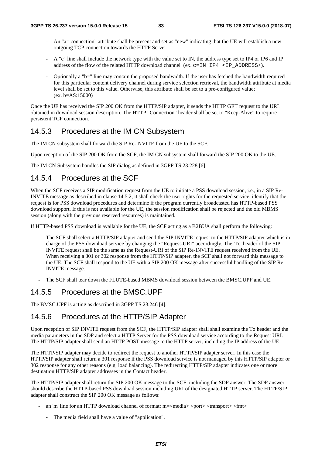- An "a= connection" attribute shall be present and set as "new" indicating that the UE will establish a new outgoing TCP connection towards the HTTP Server.
- A "c" line shall include the network type with the value set to IN, the address type set to IP4 or IP6 and IP address of the flow of the related HTTP download channel (ex.  $c=IN$  IP4 <IP ADDRESS>).
- Optionally a "b=" line may contain the proposed bandwidth. If the user has fetched the bandwidth required for this particular content delivery channel during service selection retrieval, the bandwidth attribute at media level shall be set to this value. Otherwise, this attribute shall be set to a pre-configured value; (ex. b=AS:15000)

Once the UE has received the SIP 200 OK from the HTTP/SIP adapter, it sends the HTTP GET request to the URL obtained in download session description. The HTTP "Connection" header shall be set to "Keep-Alive" to require persistent TCP connection.

## 14.5.3 Procedures at the IM CN Subsystem

The IM CN subsystem shall forward the SIP Re-INVITE from the UE to the SCF.

Upon reception of the SIP 200 OK from the SCF, the IM CN subsystem shall forward the SIP 200 OK to the UE.

The IM CN Subsystem handles the SIP dialog as defined in 3GPP TS 23.228 [6].

## 14.5.4 Procedures at the SCF

When the SCF receives a SIP modification request from the UE to initiate a PSS download session, i.e., in a SIP Re-INVITE message as described in clause 14.5.2, it shall check the user rights for the requested service, identify that the request is for PSS download procedures and determine if the program currently broadcasted has HTTP-based PSS download support. If this is not available for the UE, the session modification shall be rejected and the old MBMS session (along with the previous reserved resources) is maintained.

If HTTP-based PSS download is available for the UE, the SCF acting as a B2BUA shall perform the following:

- The SCF shall select a HTTP/SIP adapter and send the SIP INVITE request to the HTTP/SIP adapter which is in charge of the PSS download service by changing the "Request-URI" accordingly. The 'To' header of the SIP INVITE request shall be the same as the Request-URI of the SIP Re-INVITE request received from the UE. When receiving a 301 or 302 response from the HTTP/SIP adapter, the SCF shall not forward this message to the UE. The SCF shall respond to the UE with a SIP 200 OK message after successful handling of the SIP Re-INVITE message.
- The SCF shall tear down the FLUTE-based MBMS download session between the BMSC.UPF and UE.

## 14.5.5 Procedures at the BMSC.UPF

The BMSC.UPF is acting as described in 3GPP TS 23.246 [4].

## 14.5.6 Procedures at the HTTP/SIP Adapter

Upon reception of SIP INVITE request from the SCF, the HTTP/SIP adapter shall shall examine the To header and the media parameters in the SDP and select a HTTP Server for the PSS download service according to the Request URI. The HTTP/SIP adapter shall send an HTTP POST message to the HTTP server, including the IP address of the UE.

The HTTP/SIP adapter may decide to redirect the request to another HTTP/SIP adapter server. In this case the HTTP/SIP adapter shall return a 301 response if the PSS download service is not managed by this HTTP/SIP adapter or 302 response for any other reasons (e.g. load balancing). The redirecting HTTP/SIP adapter indicates one or more destination HTTP/SIP adapter addresses in the Contact header.

The HTTP/SIP adapter shall return the SIP 200 OK message to the SCF, including the SDP answer. The SDP answer should describe the HTTP-based PSS download session including URI of the designated HTTP server. The HTTP/SIP adapter shall construct the SIP 200 OK message as follows:

- an 'm' line for an HTTP download channel of format: m=<media> <port> <transport> <fmt>
	- The media field shall have a value of "application".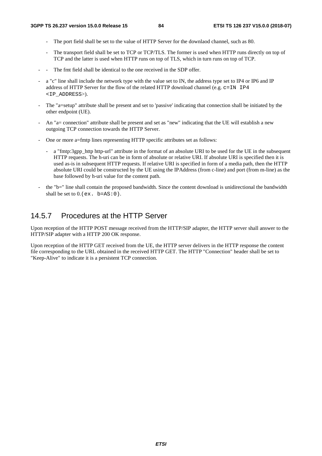- The port field shall be set to the value of HTTP Server for the downlaod channel, such as 80.
- The transport field shall be set to TCP or TCP/TLS. The former is used when HTTP runs directly on top of TCP and the latter is used when HTTP runs on top of TLS, which in turn runs on top of TCP.
- The fmt field shall be identical to the one received in the SDP offer.
- a "c" line shall include the network type with the value set to IN, the address type set to IP4 or IP6 and IP address of HTTP Server for the flow of the related HTTP download channel (e.g.  $c=IN$  IP4 <IP\_ADDRESS>).
- The "a=setup" attribute shall be present and set to 'passive' indicating that connection shall be initiated by the other endpoint (UE).
- An "a= connection" attribute shall be present and set as "new" indicating that the UE will establish a new outgoing TCP connection towards the HTTP Server.
- One or more a=fmtp lines representing HTTP specific attributes set as follows:
	- a "fmtp:3gpp\_http http-url" attribute in the format of an absolute URI to be used for the UE in the subsequent HTTP requests. The h-uri can be in form of absolute or relative URI. If absolute URI is specified then it is used as-is in subsequent HTTP requests. If relative URI is specified in form of a media path, then the HTTP absolute URI could be constructed by the UE using the IPAddress (from c-line) and port (from m-line) as the base followed by h-uri value for the content path.
- the "b=" line shall contain the proposed bandwidth. Since the content download is unidirectional the bandwidth shall be set to  $0.$  (ex. b=AS: 0).

# 14.5.7 Procedures at the HTTP Server

Upon reception of the HTTP POST message received from the HTTP/SIP adapter, the HTTP server shall answer to the HTTP/SIP adapter with a HTTP 200 OK response.

Upon reception of the HTTP GET received from the UE, the HTTP server delivers in the HTTP response the content file corresponding to the URL obtained in the received HTTP GET. The HTTP "Connection" header shall be set to "Keep-Alive" to indicate it is a persistent TCP connection.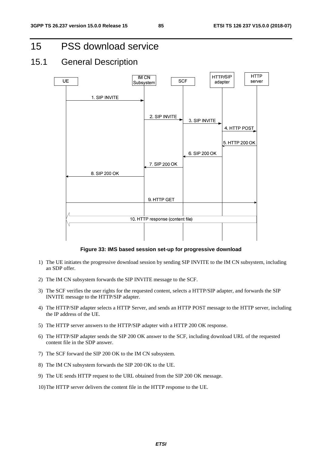15 PSS download service

# 15.1 General Description



#### **Figure 33: IMS based session set-up for progressive download**

- 1) The UE initiates the progressive download session by sending SIP INVITE to the IM CN subsystem, including an SDP offer.
- 2) The IM CN subsystem forwards the SIP INVITE message to the SCF.
- 3) The SCF verifies the user rights for the requested content, selects a HTTP/SIP adapter, and forwards the SIP INVITE message to the HTTP/SIP adapter.
- 4) The HTTP/SIP adapter selects a HTTP Server, and sends an HTTP POST message to the HTTP server, including the IP address of the UE.
- 5) The HTTP server answers to the HTTP/SIP adapter with a HTTP 200 OK response.
- 6) The HTTP/SIP adapter sends the SIP 200 OK answer to the SCF, including download URL of the requested content file in the SDP answer.
- 7) The SCF forward the SIP 200 OK to the IM CN subsystem.
- 8) The IM CN subsystem forwards the SIP 200 OK to the UE.
- 9) The UE sends HTTP request to the URL obtained from the SIP 200 OK message.
- 10) The HTTP server delivers the content file in the HTTP response to the UE.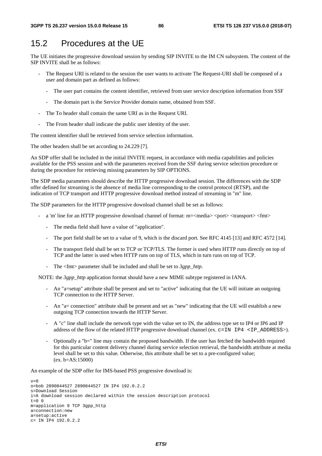# 15.2 Procedures at the UE

The UE initiates the progressive download session by sending SIP INVITE to the IM CN subsystem. The content of the SIP INVITE shall be as follows:

- The Request URI is related to the session the user wants to activate The Request-URI shall be composed of a user and domain part as defined as follows:
	- The user part contains the content identifier, retrieved from user service description information from SSF
	- The domain part is the Service Provider domain name, obtained from SSF.
- The To header shall contain the same URI as in the Request URI.
- The From header shall indicate the public user identity of the user.

The content identifier shall be retrieved from service selection information.

The other headers shall be set according to 24.229 [7].

An SDP offer shall be included in the initial INVITE request, in accordance with media capabilities and policies available for the PSS session and with the parameters received from the SSF during service selection procedure or during the procedure for retrieving missing parameters by SIP OPTIONS.

The SDP media parameters should describe the HTTP progressive download session. The differences with the SDP offer defined for streaming is the absence of media line corresponding to the control protocol (RTSP), and the indication of TCP transport and HTTP progressive download method instead of streaming in "m" line.

The SDP parameters for the HTTP progressive download channel shall be set as follows:

- a 'm' line for an HTTP progressive download channel of format: m= $\langle$ media $\rangle$   $\langle$ port $\rangle$  $\langle$ transport $\rangle$  $\langle$ fmt $\rangle$ 
	- The media field shall have a value of "application".
	- The port field shall be set to a value of 9, which is the discard port. See RFC 4145 [13] and RFC 4572 [14].
	- The transport field shall be set to TCP or TCP/TLS. The former is used when HTTP runs directly on top of TCP and the latter is used when HTTP runs on top of TLS, which in turn runs on top of TCP.
	- The <fmt> parameter shall be included and shall be set to *3gpp\_http.*

NOTE: the *3gpp\_http* application format should have a new MIME subtype registered in IANA.

- An "a=setup" attribute shall be present and set to "active" indicating that the UE will initiate an outgoing TCP connection to the HTTP Server.
- An "a= connection" attribute shall be present and set as "new" indicating that the UE will establish a new outgoing TCP connection towards the HTTP Server.
- A "c" line shall include the network type with the value set to IN, the address type set to IP4 or IP6 and IP address of the flow of the related HTTP progressive download channel (ex.  $c=IN$  IP4 <IP ADDRESS>).
- Optionally a "b=" line may contain the proposed bandwidth. If the user has fetched the bandwidth required for this particular content delivery channel during service selection retrieval, the bandwidth attribute at media level shall be set to this value. Otherwise, this attribute shall be set to a pre-configured value; (ex. b=AS:15000)

An example of the SDP offer for IMS-based PSS progressive download is:

```
v=0o=bob 2890844527 2890844527 IN IP4 192.0.2.2 
s=Download Session 
i=A download session declared within the session description protocol 
t=0 0
m=application 9 TCP 3gpp_http 
a=connection:new 
a=setup:active 
c= IN IP4 192.0.2.2
```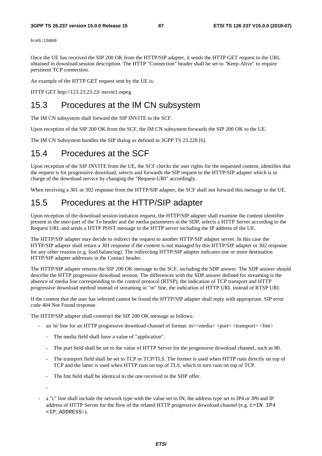b=AS:15000

Once the UE has received the SIP 200 OK from the HTTP/SIP adapter, it sends the HTTP GET request to the URL obtained in download session description. The HTTP "Connection" header shall be set to "Keep-Alive" to require persistent TCP connection.

An example of the HTTP GET request sent by the UE is:

HTTP GET http://123.23.23.23/ movie1.mpeg

# 15.3 Procedures at the IM CN subsystem

The IM CN subsystem shall forward the SIP INVITE to the SCF.

Upon reception of the SIP 200 OK from the SCF, the IM CN subsystem forwards the SIP 200 OK to the UE.

The IM CN Subsystem handles the SIP dialog as defined in 3GPP TS 23.228 [6].

## 15.4 Procedures at the SCF

Upon reception of the SIP INVITE from the UE, the SCF checks the user rights for the requested content, identifies that the request is for progressive download, selects and forwards the SIP request to the HTTP/SIP adapter which is in charge of the download service by changing the "Request-URI" accordingly.

When receiving a 301 or 302 response from the HTTP/SIP adapter, the SCF shall not forward this message to the UE.

# 15.5 Procedures at the HTTP/SIP adapter

Upon reception of the download session initiation request, the HTTP/SIP adapter shall examine the content identifier present in the user-part of the To header and the media parameters in the SDP, selects a HTTP Server according to the Request URI, and sends a HTTP POST message to the HTTP server including the IP address of the UE.

The HTTP/SIP adapter may decide to redirect the request to another HTTP/SIP adapter server. In this case the HTTP/SIP adapter shall return a 301 response if the content is not managed by this HTTP/SIP adapter or 302 response for any other reasons (e.g. load balancing). The redirecting HTTP/SIP adapter indicates one or more destination HTTP/SIP adapter addresses in the Contact header.

The HTTP/SIP adapter returns the SIP 200 OK message to the SCF, including the SDP answer. The SDP answer should describe the HTTP progressive download session. The differences with the SDP answer defined for streaming is the absence of media line corresponding to the control protocol (RTSP), the indication of TCP transport and HTTP progressive download method instead of streaming in "m" line, the indication of HTTP URL instead of RTSP URI.

If the content that the user has selected cannot be found the HTTP/SIP adapter shall reply with appropriate, SIP error code 404 Not Found response.

The HTTP/SIP adapter shall construct the SIP 200 OK message as follows:

- an 'm' line for an HTTP progressive download channel of format: m=<media> <port> <transport> <fmt>
	- The media field shall have a value of "application".
	- The port field shall be set to the value of HTTP Server for the progressive download channel, such as 80.
	- The transport field shall be set to TCP or TCP/TLS. The former is used when HTTP runs directly on top of TCP and the latter is used when HTTP runs on top of TLS, which in turn runs on top of TCP.
	- The fmt field shall be identical to the one received in the SDP offer.

-

- a "c" line shall include the network type with the value set to IN, the address type set to IP4 or IP6 and IP address of HTTP Server for the flow of the related HTTP progressive download channel (e.g.  $c=IN$  IP4 <IP\_ADDRESS>).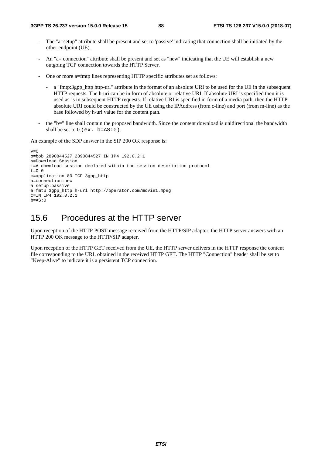- The "a=setup" attribute shall be present and set to 'passive' indicating that connection shall be initiated by the other endpoint (UE).
- An "a= connection" attribute shall be present and set as "new" indicating that the UE will establish a new outgoing TCP connection towards the HTTP Server.
- One or more a=fmtp lines representing HTTP specific attributes set as follows:
	- a "fmtp:3gpp\_http http-url" attribute in the format of an absolute URI to be used for the UE in the subsequent HTTP requests. The h-uri can be in form of absolute or relative URI. If absolute URI is specified then it is used as-is in subsequent HTTP requests. If relative URI is specified in form of a media path, then the HTTP absolute URI could be constructed by the UE using the IPAddress (from c-line) and port (from m-line) as the base followed by h-uri value for the content path.
- the "b=" line shall contain the proposed bandwidth. Since the content download is unidirectional the bandwidth shall be set to  $0.$  (ex. b=AS: 0).

An example of the SDP answer in the SIP 200 OK response is:

```
v=0o=bob 2890844527 2890844527 IN IP4 192.0.2.1 
s=Download Session 
i=A download session declared within the session description protocol 
t=0 0
m=application 80 TCP 3gpp_http 
a=connection:new 
a=setup:passive 
a=fmtp 3gpp_http h-url http://operator.com/movie1.mpeg 
c=IN IP4 192.0.2.1 
h=AS:0
```
# 15.6 Procedures at the HTTP server

Upon reception of the HTTP POST message received from the HTTP/SIP adapter, the HTTP server answers with an HTTP 200 OK message to the HTTP/SIP adapter.

Upon reception of the HTTP GET received from the UE, the HTTP server delivers in the HTTP response the content file corresponding to the URL obtained in the received HTTP GET. The HTTP "Connection" header shall be set to "Keep-Alive" to indicate it is a persistent TCP connection.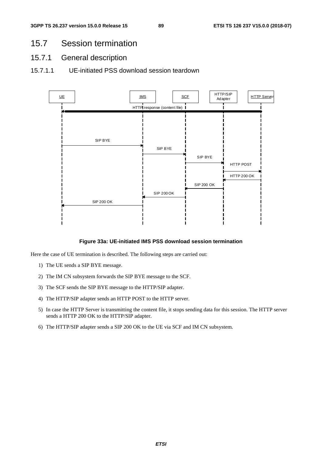# 15.7 Session termination

- 15.7.1 General description
- 15.7.1.1 UE-initiated PSS download session teardown



#### **Figure 33a: UE-initiated IMS PSS download session termination**

Here the case of UE termination is described. The following steps are carried out:

- 1) The UE sends a SIP BYE message.
- 2) The IM CN subsystem forwards the SIP BYE message to the SCF.
- 3) The SCF sends the SIP BYE message to the HTTP/SIP adapter.
- 4) The HTTP/SIP adapter sends an HTTP POST to the HTTP server.
- 5) In case the HTTP Server is transmitting the content file, it stops sending data for this session. The HTTP server sends a HTTP 200 OK to the HTTP/SIP adapter.
- 6) The HTTP/SIP adapter sends a SIP 200 OK to the UE via SCF and IM CN subsystem.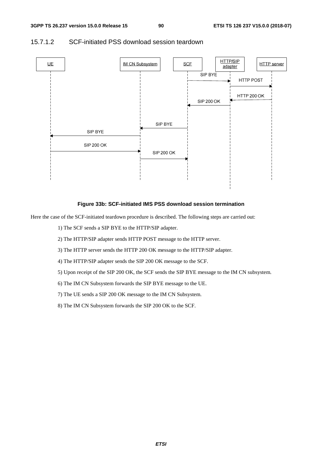

#### 15.7.1.2 SCF-initiated PSS download session teardown

#### **Figure 33b: SCF-initiated IMS PSS download session termination**

Here the case of the SCF-initiated teardown procedure is described. The following steps are carried out:

- 1) The SCF sends a SIP BYE to the HTTP/SIP adapter.
- 2) The HTTP/SIP adapter sends HTTP POST message to the HTTP server.
- 3) The HTTP server sends the HTTP 200 OK message to the HTTP/SIP adapter.
- 4) The HTTP/SIP adapter sends the SIP 200 OK message to the SCF.
- 5) Upon receipt of the SIP 200 OK, the SCF sends the SIP BYE message to the IM CN subsystem.
- 6) The IM CN Subsystem forwards the SIP BYE message to the UE.
- 7) The UE sends a SIP 200 OK message to the IM CN Subsystem.
- 8) The IM CN Subsystem forwards the SIP 200 OK to the SCF.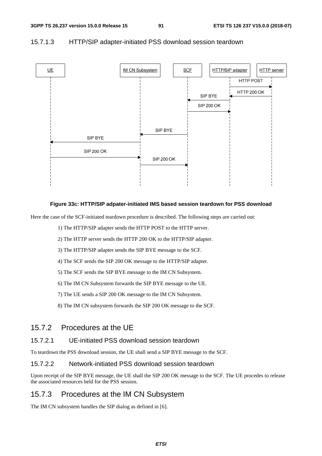

#### 15.7.1.3 HTTP/SIP adapter-initiated PSS download session teardown

#### **Figure 33c: HTTP/SIP adpater-initiated IMS based session teardown for PSS download**

Here the case of the SCF-initiated teardown procedure is described. The following steps are carried out:

1) The HTTP/SIP adapter sends the HTTP POST to the HTTP server.

2) The HTTP server sends the HTTP 200 OK to the HTTP/SIP adapter.

3) The HTTP/SIP adapter sends the SIP BYE message to the SCF.

4) The SCF sends the SIP 200 OK message to the HTTP/SIP adapter.

5) The SCF sends the SIP BYE message to the IM CN Subsystem.

6) The IM CN Subsystem forwards the SIP BYE message to the UE.

7) The UE sends a SIP 200 OK message to the IM CN Subsystem.

8) The IM CN subsystem forwards the SIP 200 OK message to the SCF.

### 15.7.2 Procedures at the UE

#### 15.7.2.1 UE-initiated PSS download session teardown

To teardown the PSS download session, the UE shall send a SIP BYE message to the SCF.

#### 15.7.2.2 Network-initiated PSS download session teardown

Upon receipt of the SIP BYE message, the UE shall the SIP 200 OK message to the SCF. The UE procedes to release the associated resources held for the PSS session.

### 15.7.3 Procedures at the IM CN Subsystem

The IM CN subsystem handles the SIP dialog as defined in [6].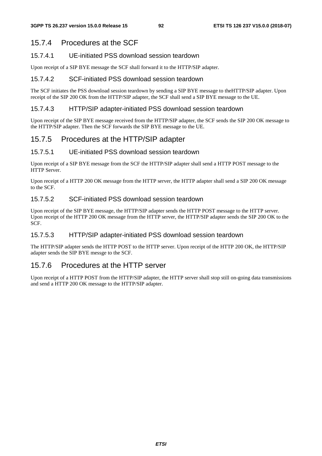## 15.7.4 Procedures at the SCF

#### 15.7.4.1 UE-initiated PSS download session teardown

Upon receipt of a SIP BYE message the SCF shall forward it to the HTTP/SIP adapter.

#### 15.7.4.2 SCF-initiated PSS download session teardown

The SCF initiates the PSS download session teardown by sending a SIP BYE message to theHTTP/SIP adapter. Upon receipt of the SIP 200 OK from the HTTP/SIP adapter, the SCF shall send a SIP BYE message to the UE.

#### 15.7.4.3 HTTP/SIP adapter-initiated PSS download session teardown

Upon receipt of the SIP BYE message received from the HTTP/SIP adapter, the SCF sends the SIP 200 OK message to the HTTP/SIP adapter. Then the SCF forwards the SIP BYE message to the UE.

## 15.7.5 Procedures at the HTTP/SIP adapter

#### 15.7.5.1 UE-initiated PSS download session teardown

Upon receipt of a SIP BYE message from the SCF the HTTP/SIP adapter shall send a HTTP POST message to the HTTP Server.

Upon receipt of a HTTP 200 OK message from the HTTP server, the HTTP adapter shall send a SIP 200 OK message to the SCF.

### 15.7.5.2 SCF-initiated PSS download session teardown

Upon receipt of the SIP BYE message, the HTTP/SIP adapter sends the HTTP POST message to the HTTP server. Upon receipt of the HTTP 200 OK message from the HTTP server, the HTTP/SIP adapter sends the SIP 200 OK to the SCF.

#### 15.7.5.3 HTTP/SIP adapter-initiated PSS download session teardown

The HTTP/SIP adapter sends the HTTP POST to the HTTP server. Upon receipt of the HTTP 200 OK, the HTTP/SIP adapter sends the SIP BYE messge to the SCF.

### 15.7.6 Procedures at the HTTP server

Upon receipt of a HTTP POST from the HTTP/SIP adapter, the HTTP server shall stop still on-going data transmissions and send a HTTP 200 OK message to the HTTP/SIP adapter.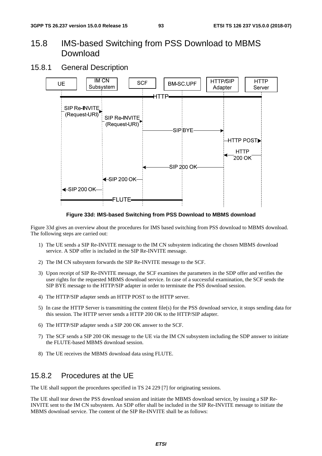# 15.8 IMS-based Switching from PSS Download to MBMS Download

### 15.8.1 General Description



**Figure 33d: IMS-based Switching from PSS Download to MBMS download** 

Figure 33d gives an overview about the procedures for IMS based switching from PSS download to MBMS download. The following steps are carried out:

- 1) The UE sends a SIP Re-INVITE message to the IM CN subsystem indicating the chosen MBMS download service. A SDP offer is included in the SIP Re-INVITE message.
- 2) The IM CN subsystem forwards the SIP Re-INVITE message to the SCF.
- 3) Upon receipt of SIP Re-INVITE message, the SCF examines the parameters in the SDP offer and verifies the user rights for the requested MBMS download service. In case of a successful examination, the SCF sends the SIP BYE message to the HTTP/SIP adapter in order to terminate the PSS download session.
- 4) The HTTP/SIP adapter sends an HTTP POST to the HTTP server.
- 5) In case the HTTP Server is transmitting the content file(s) for the PSS download service, it stops sending data for this session. The HTTP server sends a HTTP 200 OK to the HTTP/SIP adapter.
- 6) The HTTP/SIP adapter sends a SIP 200 OK answer to the SCF.
- 7) The SCF sends a SIP 200 OK message to the UE via the IM CN subsystem including the SDP answer to initiate the FLUTE-based MBMS download session.
- 8) The UE receives the MBMS download data using FLUTE.

## 15.8.2 Procedures at the UE

The UE shall support the procedures specified in TS 24 229 [7] for originating sessions.

The UE shall tear down the PSS download session and initiate the MBMS download service, by issuing a SIP Re-INVITE sent to the IM CN subsystem. An SDP offer shall be included in the SIP Re-INVITE message to initiate the MBMS download service. The content of the SIP Re-INVITE shall be as follows: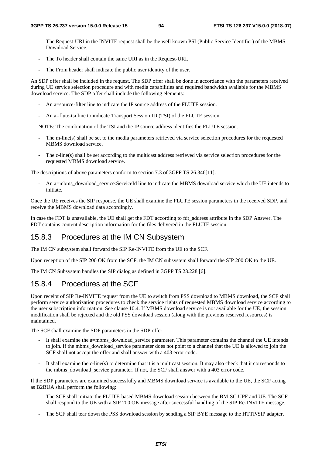- The Request-URI in the INVITE request shall be the well known PSI (Public Service Identifier) of the MBMS Download Service.
- The To header shall contain the same URI as in the Request-URI.
- The From header shall indicate the public user identity of the user.

An SDP offer shall be included in the request. The SDP offer shall be done in accordance with the parameters received during UE service selection procedure and with media capabilities and required bandwidth available for the MBMS download service. The SDP offer shall include the following elements:

- An a=source-filter line to indicate the IP source address of the FLUTE session.
- An a=flute-tsi line to indicate Transport Session ID (TSI) of the FLUTE session.

NOTE: The combination of the TSI and the IP source address identifies the FLUTE session.

- The m-line(s) shall be set to the media parameters retrieved via service selection procedures for the requested MBMS download service.
- The c-line(s) shall be set according to the multicast address retrieved via service selection procedures for the requested MBMS download service.

The descriptions of above parameters conform to section 7.3 of 3GPP TS 26.346[11].

An a=mbms\_download\_service:ServiceId line to indicate the MBMS download service which the UE intends to initiate.

Once the UE receives the SIP response, the UE shall examine the FLUTE session parameters in the received SDP, and receive the MBMS download data accordingly.

In case the FDT is unavailable, the UE shall get the FDT according to fdt\_address attribute in the SDP Answer. The FDT contains content description information for the files delivered in the FLUTE session.

### 15.8.3 Procedures at the IM CN Subsystem

The IM CN subsystem shall forward the SIP Re-INVITE from the UE to the SCF.

Upon reception of the SIP 200 OK from the SCF, the IM CN subsystem shall forward the SIP 200 OK to the UE.

The IM CN Subsystem handles the SIP dialog as defined in 3GPP TS 23.228 [6].

#### 15.8.4 Procedures at the SCF

Upon receipt of SIP Re-INVITE request from the UE to switch from PSS download to MBMS download, the SCF shall perform service authorization procedures to check the service rights of requested MBMS download service according to the user subscription information, See clause 10.4. If MBMS download service is not available for the UE, the session modification shall be rejected and the old PSS download session (along with the previous reserved resources) is maintained.

The SCF shall examine the SDP parameters in the SDP offer.

- It shall examine the a=mbms\_download\_service parameter. This parameter contains the channel the UE intends to join. If the mbms\_download\_service parameter does not point to a channel that the UE is allowed to join the SCF shall not accept the offer and shall answer with a 403 error code.
- It shall examine the c-line(s) to determine that it is a multicast session. It may also check that it corresponds to the mbms\_download\_service parameter. If not, the SCF shall answer with a 403 error code.

If the SDP parameters are examined successfully and MBMS download service is available to the UE, the SCF acting as B2BUA shall perform the following:

- The SCF shall initiate the FLUTE-based MBMS download session between the BM-SC.UPF and UE. The SCF shall respond to the UE with a SIP 200 OK message after successful handling of the SIP Re-INVITE message.
- The SCF shall tear down the PSS download session by sending a SIP BYE message to the HTTP/SIP adapter.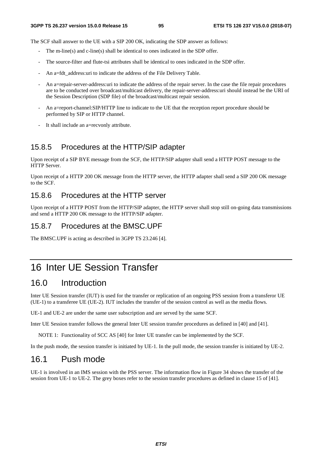The SCF shall answer to the UE with a SIP 200 OK, indicating the SDP answer as follows:

- The m-line(s) and c-line(s) shall be identical to ones indicated in the SDP offer.
- The source-filter and flute-tsi attributes shall be identical to ones indicated in the SDP offer.
- An a=fdt\_address:uri to indicate the address of the File Delivery Table.
- An a=repair-server-address:uri to indicate the address of the repair server. In the case the file repair procedures are to be conducted over broadcast/multicast delivery, the repair-server-address:uri should instead be the URI of the Session Description (SDP file) of the broadcast/multicast repair session.
- An a=report-channel:SIP/HTTP line to indicate to the UE that the reception report procedure should be performed by SIP or HTTP channel.
- It shall include an a=recvonly attribute.

### 15.8.5 Procedures at the HTTP/SIP adapter

Upon receipt of a SIP BYE message from the SCF, the HTTP/SIP adapter shall send a HTTP POST message to the HTTP Server.

Upon receipt of a HTTP 200 OK message from the HTTP server, the HTTP adapter shall send a SIP 200 OK message to the SCF.

### 15.8.6 Procedures at the HTTP server

Upon receipt of a HTTP POST from the HTTP/SIP adapter, the HTTP server shall stop still on-going data transmissions and send a HTTP 200 OK message to the HTTP/SIP adapter.

#### 15.8.7 Procedures at the BMSC.UPF

The BMSC.UPF is acting as described in 3GPP TS 23.246 [4].

# 16 Inter UE Session Transfer

# 16.0 Introduction

Inter UE Session transfer (IUT) is used for the transfer or replication of an ongoing PSS session from a transferor UE (UE-1) to a transferee UE (UE-2). IUT includes the transfer of the session control as well as the media flows.

UE-1 and UE-2 are under the same user subscription and are served by the same SCF.

Inter UE Session transfer follows the general Inter UE session transfer procedures as defined in [40] and [41].

NOTE 1: Functionality of SCC AS [40] for Inter UE transfer can be implemented by the SCF.

In the push mode, the session transfer is initiated by UE-1. In the pull mode, the session transfer is initiated by UE-2.

# 16.1 Push mode

UE-1 is involved in an IMS session with the PSS server. The information flow in Figure 34 shows the transfer of the session from UE-1 to UE-2. The grey boxes refer to the session transfer procedures as defined in clause 15 of [41].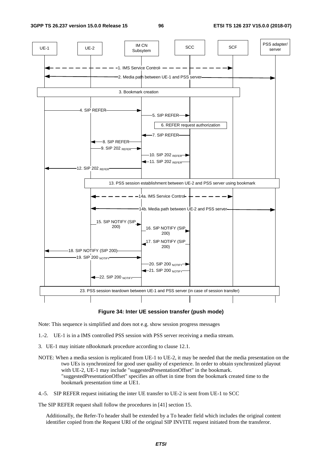

#### **Figure 34: Inter UE session transfer (push mode)**

Note: This sequence is simplified and does not e.g. show session progress messages

1.-2. UE-1 is in a IMS controlled PSS session with PSS server receiving a media stream.

- 3. UE-1 may initiate nBookmark procedure according to clause 12.1.
- NOTE: When a media session is replicated from UE-1 to UE-2, it may be needed that the media presentation on the two UEs is synchronized for good user quality of experience. In order to obtain synchronized playout with UE-2, UE-1 may include "suggestedPresentationOffset" in the bookmark. "suggestedPresentationOffset" specifies an offset in time from the bookmark created time to the bookmark presentation time at UE1.
- 4.-5. SIP REFER request initiating the inter UE transfer to UE-2 is sent from UE-1 to SCC

The SIP REFER request shall follow the procedures in [41] section 15.

Additionally, the Refer-To header shall be extended by a To header field which includes the original content identifier copied from the Request URI of the original SIP INVITE request initiated from the transferor.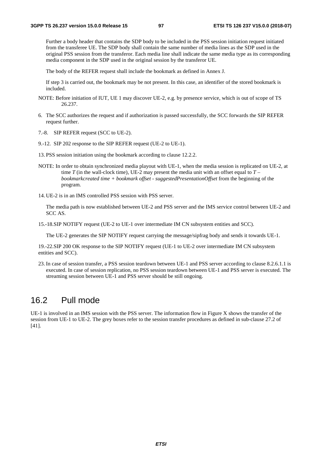Further a body header that contains the SDP body to be included in the PSS session initiation request initiated from the transferee UE. The SDP body shall contain the same number of media lines as the SDP used in the original PSS session from the transferor. Each media line shall indicate the same media type as its corresponding media component in the SDP used in the original session by the transferor UE.

The body of the REFER request shall include the bookmark as defined in Annex J.

If step 3 is carried out, the bookmark may be not present. In this case, an identifier of the stored bookmark is included.

- NOTE: Before initiation of IUT, UE 1 may discover UE-2, e.g. by presence service, which is out of scope of TS 26.237.
- 6. The SCC authorizes the request and if authorization is passed successfully, the SCC forwards the SIP REFER request further.
- 7.-8. SIP REFER request (SCC to UE-2).
- 9.-12. SIP 202 response to the SIP REFER request (UE-2 to UE-1).
- 13. PSS session initiation using the bookmark according to clause 12.2.2.
- NOTE: In order to obtain synchronized media playout with UE-1, when the media session is replicated on UE-2, at time *T* (in the wall-clock time), UE-2 may present the media unit with an offset equal to *T – bookmarkcreated time + bookmark offset - suggestedPresentationOffset* from the beginning of the program.
- 14. UE-2 is in an IMS controlled PSS session with PSS server.

 The media path is now established between UE-2 and PSS server and the IMS service control between UE-2 and SCC AS.

15.-18. SIP NOTIFY request (UE-2 to UE-1 over intermediate IM CN subsystem entities and SCC).

The UE-2 generates the SIP NOTIFY request carrying the message/sipfrag body and sends it towards UE-1.

19.-22. SIP 200 OK response to the SIP NOTIFY request (UE-1 to UE-2 over intermediate IM CN subsystem entities and SCC).

23. In case of session transfer, a PSS session teardown between UE-1 and PSS server according to clause 8.2.6.1.1 is executed. In case of session replication, no PSS session teardown between UE-1 and PSS server is executed. The streaming session between UE-1 and PSS server should be still ongoing.

## 16.2 Pull mode

UE-1 is involved in an IMS session with the PSS server. The information flow in Figure X shows the transfer of the session from UE-1 to UE-2. The grey boxes refer to the session transfer procedures as defined in sub-clause 27.2 of [41].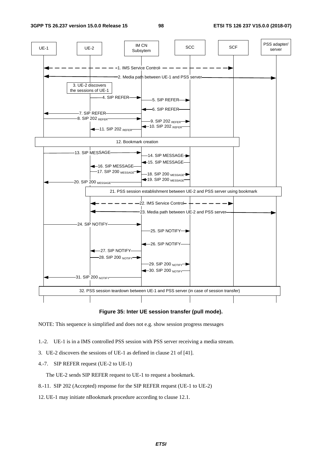

#### **Figure 35: Inter UE session transfer (pull mode).**

NOTE: This sequence is simplified and does not e.g. show session progress messages

- 1.-2. UE-1 is in a IMS controlled PSS session with PSS server receiving a media stream.
- 3. UE-2 discovers the sessions of UE-1 as defined in clause 21 of [41].
- 4.-7. SIP REFER request (UE-2 to UE-1)

The UE-2 sends SIP REFER request to UE-1 to request a bookmark.

- 8.-11. SIP 202 (Accepted) response for the SIP REFER request (UE-1 to UE-2)
- 12. UE-1 may initiate nBookmark procedure according to clause 12.1.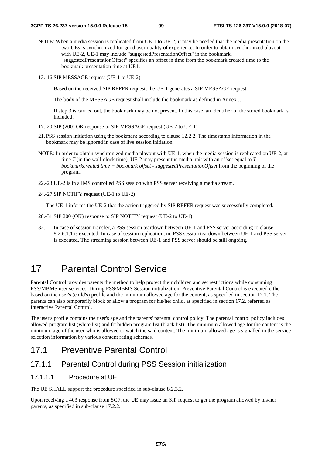- NOTE: When a media session is replicated from UE-1 to UE-2, it may be needed that the media presentation on the two UEs is synchronized for good user quality of experience. In order to obtain synchronized playout with UE-2, UE-1 may include "suggestedPresentationOffset" in the bookmark. "suggestedPresentationOffset" specifies an offset in time from the bookmark created time to the bookmark presentation time at UE1.
- 13.-16. SIP MESSAGE request (UE-1 to UE-2)

Based on the received SIP REFER request, the UE-1 generates a SIP MESSAGE request.

The body of the MESSAGE request shall include the bookmark as defined in Annex J.

If step 3 is carried out, the bookmark may be not present. In this case, an identifier of the stored bookmark is included.

- 17.-20. SIP (200) OK response to SIP MESSAGE request (UE-2 to UE-1)
- 21. PSS session initiation using the bookmark according to clause 12.2.2. The timestamp information in the bookmark may be ignored in case of live session initiation.
- NOTE: In order to obtain synchronized media playout with UE-1, when the media session is replicated on UE-2, at time *T* (in the wall-clock time), UE-2 may present the media unit with an offset equal to  $T$ *bookmarkcreated time + bookmark offset - suggestedPresentationOffset* from the beginning of the program.
- 22.-23. UE-2 is in a IMS controlled PSS session with PSS server receiving a media stream.
- 24.-27. SIP NOTIFY request (UE-1 to UE-2)

The UE-1 informs the UE-2 that the action triggered by SIP REFER request was successfully completed.

- 28.-31. SIP 200 (OK) response to SIP NOTIFY request (UE-2 to UE-1)
- 32. In case of session transfer, a PSS session teardown between UE-1 and PSS server according to clause 8.2.6.1.1 is executed. In case of session replication, no PSS session teardown between UE-1 and PSS server is executed. The streaming session between UE-1 and PSS server should be still ongoing.

# 17 Parental Control Service

Parental Control provides parents the method to help protect their children and set restrictions while consuming PSS/MBMS user services. During PSS/MBMS Session initialization, Preventive Parental Control is executed either based on the user's (child's) profile and the minimum allowed age for the content, as specified in section 17.1. The parents can also temporarily block or allow a program for his/her child, as specified in section 17.2, referred as Interactive Parental Control.

The user's profile contains the user's age and the parents' parental control policy. The parental control policy includes allowed program list (white list) and forbidden program list (black list). The minimum allowed age for the content is the minimum age of the user who is allowed to watch the said content. The minimum allowed age is signalled in the service selection information by various content rating schemas.

# 17.1 Preventive Parental Control

## 17.1.1 Parental Control during PSS Session initialization

#### 17.1.1.1 Procedure at UE

The UE SHALL support the procedure specified in sub-clause 8.2.3.2.

Upon receiving a 403 response from SCF, the UE may issue an SIP request to get the program allowed by his/her parents, as specified in sub-clause 17.2.2.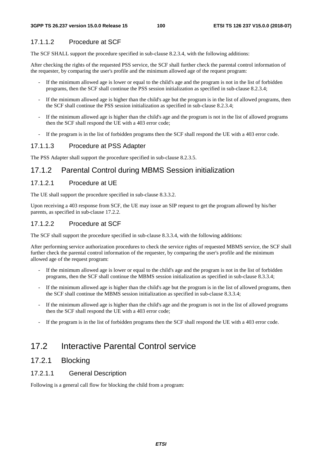#### 17.1.1.2 Procedure at SCF

The SCF SHALL support the procedure specified in sub-clause 8.2.3.4, with the following additions:

After checking the rights of the requested PSS service, the SCF shall further check the parental control information of the requester, by comparing the user's profile and the minimum allowed age of the request program:

- If the minimum allowed age is lower or equal to the child's age and the program is not in the list of forbidden programs, then the SCF shall continue the PSS session initialization as specified in sub-clause 8.2.3.4;
- If the minimum allowed age is higher than the child's age but the program is in the list of allowed programs, then the SCF shall continue the PSS session initialization as specified in sub-clause 8.2.3.4;
- If the minimum allowed age is higher than the child's age and the program is not in the list of allowed programs then the SCF shall respond the UE with a 403 error code;
- If the program is in the list of forbidden programs then the SCF shall respond the UE with a 403 error code.

#### 17.1.1.3 Procedure at PSS Adapter

The PSS Adapter shall support the procedure specified in sub-clause 8.2.3.5.

### 17.1.2 Parental Control during MBMS Session initialization

#### 17.1.2.1 Procedure at UE

The UE shall support the procedure specified in sub-clause 8.3.3.2.

Upon receiving a 403 response from SCF, the UE may issue an SIP request to get the program allowed by his/her parents, as specified in sub-clause 17.2.2.

#### 17.1.2.2 Procedure at SCF

The SCF shall support the procedure specified in sub-clause 8.3.3.4, with the following additions:

After performing service authorization procedures to check the service rights of requested MBMS service, the SCF shall further check the parental control information of the requester, by comparing the user's profile and the minimum allowed age of the request program:

- If the minimum allowed age is lower or equal to the child's age and the program is not in the list of forbidden programs, then the SCF shall continue the MBMS session initialization as specified in sub-clause 8.3.3.4;
- If the minimum allowed age is higher than the child's age but the program is in the list of allowed programs, then the SCF shall continue the MBMS session initialization as specified in sub-clause 8.3.3.4;
- If the minimum allowed age is higher than the child's age and the program is not in the list of allowed programs then the SCF shall respond the UE with a 403 error code;
- If the program is in the list of forbidden programs then the SCF shall respond the UE with a 403 error code.

## 17.2 Interactive Parental Control service

### 17.2.1 Blocking

### 17.2.1.1 General Description

Following is a general call flow for blocking the child from a program: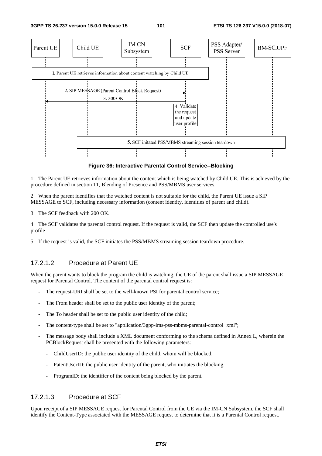**3GPP TS 26.237 version 15.0.0 Release 15 101 ETSI TS 126 237 V15.0.0 (2018-07)**



**Figure 36: Interactive Parental Control Service--Blocking** 

1 The Parent UE retrieves information about the content which is being watched by Child UE. This is achieved by the procedure defined in section 11, Blending of Presence and PSS/MBMS user services.

2 When the parent identifies that the watched content is not suitable for the child, the Parent UE issue a SIP MESSAGE to SCF, including necessary information (content identity, identities of parent and child).

3 The SCF feedback with 200 OK.

4 The SCF validates the parental control request. If the request is valid, the SCF then update the controlled use's profile

5 If the request is valid, the SCF initiates the PSS/MBMS streaming session teardown procedure.

## 17.2.1.2 Procedure at Parent UE

When the parent wants to block the program the child is watching, the UE of the parent shall issue a SIP MESSAGE request for Parental Control. The content of the parental control request is:

- The request-URI shall be set to the well-known PSI for parental control service;
- The From header shall be set to the public user identity of the parent;
- The To header shall be set to the public user identity of the child;
- The content-type shall be set to "application/3gpp-ims-pss-mbms-parental-control+xml";
- The message body shall include a XML document conforming to the schema defined in Annex L, wherein the PCBlockRequest shall be presented with the following parameters:
	- ChildUserID: the public user identity of the child, whom will be blocked.
	- PatentUserID: the public user identity of the parent, who initiates the blocking.
	- ProgramID: the identifier of the content being blocked by the parent.

#### 17.2.1.3 Procedure at SCF

Upon receipt of a SIP MESSAGE request for Parental Control from the UE via the IM-CN Subsystem, the SCF shall identify the Content-Type associated with the MESSAGE request to determine that it is a Parental Control request.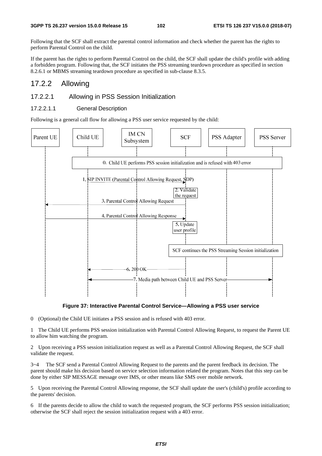Following that the SCF shall extract the parental control information and check whether the parent has the rights to perform Parental Control on the child.

If the parent has the rights to perform Parental Control on the child, the SCF shall update the child's profile with adding a forbidden program. Following that, the SCF initiates the PSS streaming teardown procedure as specified in section 8.2.6.1 or MBMS streaming teardown procedure as specified in sub-clause 8.3.5.

#### 17.2.2 Allowing

#### 17.2.2.1 Allowing in PSS Session Initialization

#### 17.2.2.1.1 General Description

Following is a general call flow for allowing a PSS user service requested by the child:



**Figure 37: Interactive Parental Control Service—Allowing a PSS user service** 

0 (Optional) the Child UE initiates a PSS session and is refused with 403 error.

1 The Child UE performs PSS session initialization with Parental Control Allowing Request, to request the Parent UE to allow him watching the program.

2 Upon receiving a PSS session initialization request as well as a Parental Control Allowing Request, the SCF shall validate the request.

3~4 The SCF send a Parental Control Allowing Request to the parents and the parent feedback its decision. The parent should make his decision based on service selection information related the program. Notes that this step can be done by either SIP MESSAGE message over IMS, or other means like SMS over mobile network.

5 Upon receiving the Parental Control Allowing response, the SCF shall update the user's (child's) profile according to the parents' decision.

6 If the parents decide to allow the child to watch the requested program, the SCF performs PSS session initialization; otherwise the SCF shall reject the session initialization request with a 403 error.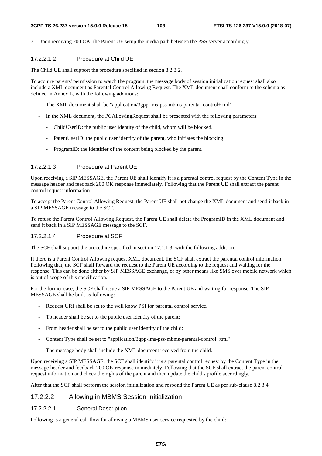#### **3GPP TS 26.237 version 15.0.0 Release 15 103 ETSI TS 126 237 V15.0.0 (2018-07)**

7 Upon receiving 200 OK, the Parent UE setup the media path between the PSS server accordingly.

#### 17.2.2.1.2 Procedure at Child UE

The Child UE shall support the procedure specified in section 8.2.3.2.

To acquire parents' permission to watch the program, the message body of session initialization request shall also include a XML document as Parental Control Allowing Request. The XML document shall conform to the schema as defined in Annex L, with the following additions:

- The XML document shall be "application/3gpp-ims-pss-mbms-parental-control+xml"
- In the XML document, the PCAllowingRequest shall be presented with the following parameters:
	- ChildUserID: the public user identity of the child, whom will be blocked.
	- PatentUserID: the public user identity of the parent, who initiates the blocking.
	- ProgramID: the identifier of the content being blocked by the parent.

### 17.2.2.1.3 Procedure at Parent UE

Upon receiving a SIP MESSAGE, the Parent UE shall identify it is a parental control request by the Content Type in the message header and feedback 200 OK response immediately. Following that the Parent UE shall extract the parent control request information.

To accept the Parent Control Allowing Request, the Parent UE shall not change the XML document and send it back in a SIP MESSAGE message to the SCF.

To refuse the Parent Control Allowing Request, the Parent UE shall delete the ProgramID in the XML document and send it back in a SIP MESSAGE message to the SCF.

#### 17.2.2.1.4 Procedure at SCF

The SCF shall support the procedure specified in section 17.1.1.3, with the following addition:

If there is a Parent Control Allowing request XML document, the SCF shall extract the parental control information. Following that, the SCF shall forward the request to the Parent UE according to the request and waiting for the response. This can be done either by SIP MESSAGE exchange, or by other means like SMS over mobile network which is out of scope of this specification.

For the former case, the SCF shall issue a SIP MESSAGE to the Parent UE and waiting for response. The SIP MESSAGE shall be built as following:

- Request URI shall be set to the well know PSI for parental control service.
- To header shall be set to the public user identity of the parent;
- From header shall be set to the public user identity of the child;
- Content Type shall be set to "application/3gpp-ims-pss-mbms-parental-control+xml"
- The message body shall include the XML document received from the child.

Upon receiving a SIP MESSAGE, the SCF shall identify it is a parental control request by the Content Type in the message header and feedback 200 OK response immediately. Following that the SCF shall extract the parent control request information and check the rights of the parent and then update the child's profile accordingly.

After that the SCF shall perform the session initialization and respond the Parent UE as per sub-clause 8.2.3.4.

## 17.2.2.2 Allowing in MBMS Session Initialization

### 17.2.2.2.1 General Description

Following is a general call flow for allowing a MBMS user service requested by the child: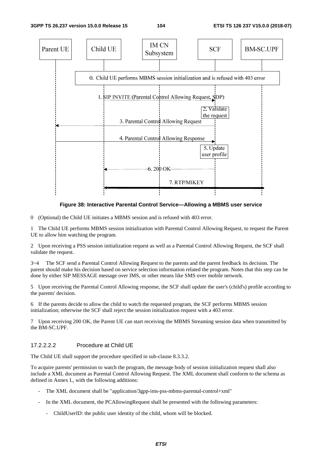

#### **Figure 38: Interactive Parental Control Service—Allowing a MBMS user service**

0 (Optional) the Child UE initiates a MBMS session and is refused with 403 error.

1 The Child UE performs MBMS session initialization with Parental Control Allowing Request, to request the Parent UE to allow him watching the program.

2 Upon receiving a PSS session initialization request as well as a Parental Control Allowing Request, the SCF shall validate the request.

3~4 The SCF send a Parental Control Allowing Request to the parents and the parent feedback its decision. The parent should make his decision based on service selection information related the program. Notes that this step can be done by either SIP MESSAGE message over IMS, or other means like SMS over mobile network.

5 Upon receiving the Parental Control Allowing response, the SCF shall update the user's (child's) profile according to the parents' decision.

6 If the parents decide to allow the child to watch the requested program, the SCF performs MBMS session initialization; otherwise the SCF shall reject the session initialization request with a 403 error.

7 Upon receiving 200 OK, the Parent UE can start receiving the MBMS Streaming session data when transmitted by the BM-SC.UPF.

#### 17.2.2.2.2 Procedure at Child UE

The Child UE shall support the procedure specified in sub-clause 8.3.3.2.

To acquire parents' permission to watch the program, the message body of session initialization request shall also include a XML document as Parental Control Allowing Request. The XML document shall conform to the schema as defined in Annex L, with the following additions:

- The XML document shall be "application/3gpp-ims-pss-mbms-parental-control+xml"
- In the XML document, the PCAllowingRequest shall be presented with the following parameters:
	- ChildUserID: the public user identity of the child, whom will be blocked.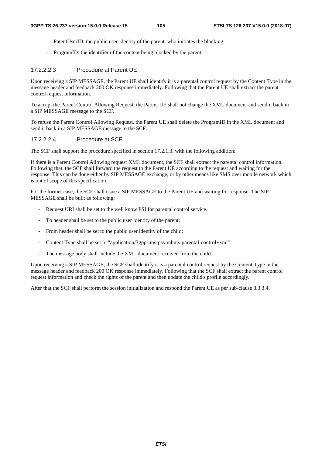- PatentUserID: the public user identity of the parent, who initiates the blocking.
- ProgramID: the identifier of the content being blocked by the parent.

#### 17.2.2.2.3 Procedure at Parent UE

Upon receiving a SIP MESSAGE, the Parent UE shall identify it is a parental control request by the Content Type in the message header and feedback 200 OK response immediately. Following that the Parent UE shall extract the parent control request information.

To accept the Parent Control Allowing Request, the Parent UE shall not change the XML document and send it back in a SIP MESSAGE message to the SCF.

To refuse the Parent Control Allowing Request, the Parent UE shall delete the ProgramID in the XML document and send it back in a SIP MESSAGE message to the SCF.

#### 17.2.2.2.4 Procedure at SCF

The SCF shall support the procedure specified in section 17.2.1.3, with the following addition:

If there is a Parent Control Allowing request XML document, the SCF shall extract the parental control information. Following that, the SCF shall forward the request to the Parent UE according to the request and waiting for the response. This can be done either by SIP MESSAGE exchange, or by other means like SMS over mobile network which is out of scope of this specification.

For the former case, the SCF shall issue a SIP MESSAGE to the Parent UE and waiting for response. The SIP MESSAGE shall be built as following:

- Request URI shall be set to the well know PSI for parental control service.
- To header shall be set to the public user identity of the parent;
- From header shall be set to the public user identity of the child;
- Content Type shall be set to "application/3gpp-ims-pss-mbms-parental-control+xml"
- The message body shall include the XML document received from the child.

Upon receiving a SIP MESSAGE, the SCF shall identify it is a parental control request by the Content Type in the message header and feedback 200 OK response immediately. Following that the SCF shall extract the parent control request information and check the rights of the parent and then update the child's profile accordingly.

After that the SCF shall perform the session initialization and respond the Parent UE as per sub-clause 8.3.3.4.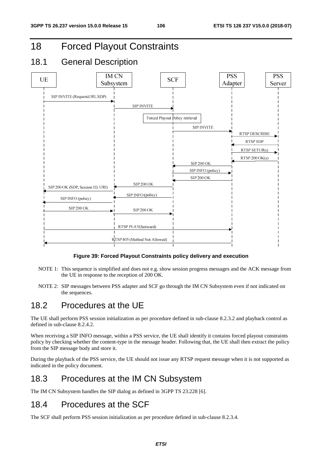# 18 Forced Playout Constraints

# 18.1 General Description



#### **Figure 39: Forced Playout Constraints policy delivery and execution**

- NOTE 1: This sequence is simplified and does not e.g. show session progress messages and the ACK message from the UE in response to the reception of 200 OK.
- NOTE 2: SIP messages between PSS adapter and SCF go through the IM CN Subsystem even if not indicated on the sequences.

# 18.2 Procedures at the UE

The UE shall perform PSS session initialization as per procedure defined in sub-clause 8.2.3.2 and playback control as defined in sub-clause 8.2.4.2.

When receiving a SIP INFO message, within a PSS service, the UE shall identify it contains forced playout constraints policy by checking whether the content-type in the message header. Following that, the UE shall then extract the policy from the SIP message body and store it.

During the playback of the PSS service, the UE should not issue any RTSP request message when it is not supported as indicated in the policy document.

# 18.3 Procedures at the IM CN Subsystem

The IM CN Subsystem handles the SIP dialog as defined in 3GPP TS 23.228 [6].

# 18.4 Procedures at the SCF

The SCF shall perform PSS session initialization as per procedure defined in sub-clause 8.2.3.4.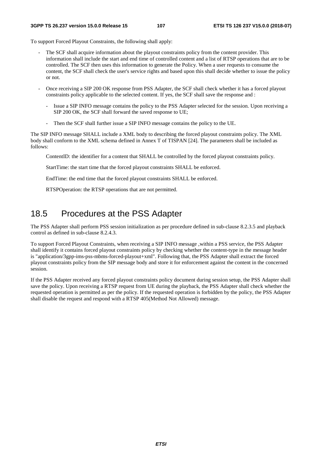To support Forced Playout Constraints, the following shall apply:

- The SCF shall acquire information about the playout constraints policy from the content provider. This information shall include the start and end time of controlled content and a list of RTSP operations that are to be controlled. The SCF then uses this information to generate the Policy. When a user requests to consume the content, the SCF shall check the user's service rights and based upon this shall decide whether to issue the policy or not.
- Once receiving a SIP 200 OK response from PSS Adapter, the SCF shall check whether it has a forced playout constraints policy applicable to the selected content. If yes, the SCF shall save the response and :
	- Issue a SIP INFO message contains the policy to the PSS Adapter selected for the session. Upon receiving a SIP 200 OK, the SCF shall forward the saved response to UE;
	- Then the SCF shall further issue a SIP INFO message contains the policy to the UE.

The SIP INFO message SHALL include a XML body to describing the forced playout constraints policy. The XML body shall conform to the XML schema defined in Annex T of TISPAN [24]. The parameters shall be included as follows:

ContentID: the identifier for a content that SHALL be controlled by the forced playout constraints policy.

StartTime: the start time that the forced playout constraints SHALL be enforced.

EndTime: the end time that the forced playout constraints SHALL be enforced.

RTSPOperation: the RTSP operations that are not permitted.

## 18.5 Procedures at the PSS Adapter

The PSS Adapter shall perform PSS session initialization as per procedure defined in sub-clause 8.2.3.5 and playback control as defined in sub-clause 8.2.4.3.

To support Forced Playout Constraints, when receiving a SIP INFO message ,within a PSS service, the PSS Adapter shall identify it contains forced playout constraints policy by checking whether the content-type in the message header is "application/3gpp-ims-pss-mbms-forced-playout+xml". Following that, the PSS Adapter shall extract the forced playout constraints policy from the SIP message body and store it for enforcement against the content in the concerned session.

If the PSS Adapter received any forced playout constraints policy document during session setup, the PSS Adapter shall save the policy. Upon receiving a RTSP request from UE during the playback, the PSS Adapter shall check whether the requested operation is permitted as per the policy. If the requested operation is forbidden by the policy, the PSS Adapter shall disable the request and respond with a RTSP 405(Method Not Allowed) message.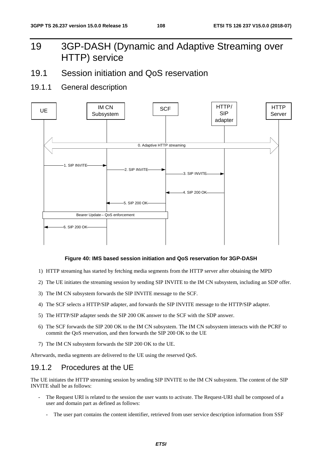# 19 3GP-DASH (Dynamic and Adaptive Streaming over HTTP) service

- 19.1 Session initiation and QoS reservation
- 19.1.1 General description



#### **Figure 40: IMS based session initiation and QoS reservation for 3GP-DASH**

- 1) HTTP streaming has started by fetching media segments from the HTTP server after obtaining the MPD
- 2) The UE initiates the streaming session by sending SIP INVITE to the IM CN subsystem, including an SDP offer.
- 3) The IM CN subsystem forwards the SIP INVITE message to the SCF.
- 4) The SCF selects a HTTP/SIP adapter, and forwards the SIP INVITE message to the HTTP/SIP adapter.
- 5) The HTTP/SIP adapter sends the SIP 200 OK answer to the SCF with the SDP answer.
- 6) The SCF forwards the SIP 200 OK to the IM CN subsystem. The IM CN subsystem interacts with the PCRF to commit the QoS reservation, and then forwards the SIP 200 OK to the UE
- 7) The IM CN subsystem forwards the SIP 200 OK to the UE.

Afterwards, media segments are delivered to the UE using the reserved QoS.

### 19.1.2 Procedures at the UE

The UE initiates the HTTP streaming session by sending SIP INVITE to the IM CN subsystem. The content of the SIP INVITE shall be as follows:

- The Request URI is related to the session the user wants to activate. The Request-URI shall be composed of a user and domain part as defined as follows:
	- The user part contains the content identifier, retrieved from user service description information from SSF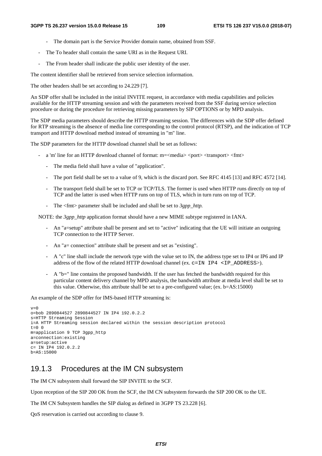- The domain part is the Service Provider domain name, obtained from SSF.
- The To header shall contain the same URI as in the Request URI.
- The From header shall indicate the public user identity of the user.

The content identifier shall be retrieved from service selection information.

The other headers shall be set according to 24.229 [7].

An SDP offer shall be included in the initial INVITE request, in accordance with media capabilities and policies available for the HTTP streaming session and with the parameters received from the SSF during service selection procedure or during the procedure for retrieving missing parameters by SIP OPTIONS or by MPD analysis.

The SDP media parameters should describe the HTTP streaming session. The differences with the SDP offer defined for RTP streaming is the absence of media line corresponding to the control protocol (RTSP), and the indication of TCP transport and HTTP download method instead of streaming in "m" line.

The SDP parameters for the HTTP download channel shall be set as follows:

- a 'm' line for an HTTP download channel of format: m=<media> <port> <transport> <fmt>
	- The media field shall have a value of "application".
	- The port field shall be set to a value of 9, which is the discard port. See RFC 4145 [13] and RFC 4572 [14].
	- The transport field shall be set to TCP or TCP/TLS. The former is used when HTTP runs directly on top of TCP and the latter is used when HTTP runs on top of TLS, which in turn runs on top of TCP.
	- The <fmt> parameter shall be included and shall be set to *3gpp\_http.*

NOTE: the *3gpp\_http* application format should have a new MIME subtype registered in IANA.

- An "a=setup" attribute shall be present and set to "active" indicating that the UE will initiate an outgoing TCP connection to the HTTP Server.
- An "a= connection" attribute shall be present and set as "existing".
- A "c" line shall include the network type with the value set to IN, the address type set to IP4 or IP6 and IP address of the flow of the related HTTP download channel (ex.  $c=IN$  IP4  $\lt$ IP ADDRESS $>$ ).
- A "b=" line contains the proposed bandwidth. If the user has fetched the bandwidth required for this particular content delivery channel by MPD analysis, the bandwidth attribute at media level shall be set to this value. Otherwise, this attribute shall be set to a pre-configured value; (ex. b=AS:15000)

An example of the SDP offer for IMS-based HTTP streaming is:

```
\overline{v}=-0o=bob 2890844527 2890844527 IN IP4 192.0.2.2 
s=HTTP Streaming Session 
i=A HTTP Streaming session declared within the session description protocol 
t=0 0
m=application 9 TCP 3gpp_http 
a=connection:existing 
a=setup:active 
c= IN IP4 192.0.2.2 
b=AS:15000
```
### 19.1.3 Procedures at the IM CN subsystem

The IM CN subsystem shall forward the SIP INVITE to the SCF.

Upon reception of the SIP 200 OK from the SCF, the IM CN subsystem forwards the SIP 200 OK to the UE.

The IM CN Subsystem handles the SIP dialog as defined in 3GPP TS 23.228 [6].

QoS reservation is carried out according to clause 9.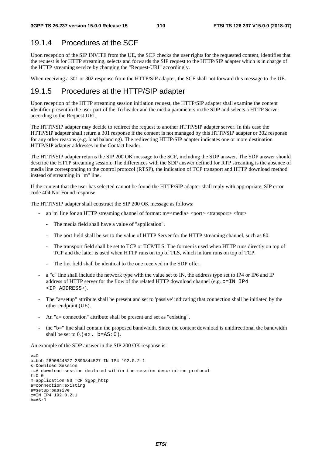### 19.1.4 Procedures at the SCF

Upon reception of the SIP INVITE from the UE, the SCF checks the user rights for the requested content, identifies that the request is for HTTP streaming, selects and forwards the SIP request to the HTTP/SIP adapter which is in charge of the HTTP streaming service by changing the "Request-URI" accordingly.

When receiving a 301 or 302 response from the HTTP/SIP adapter, the SCF shall not forward this message to the UE.

### 19.1.5 Procedures at the HTTP/SIP adapter

Upon reception of the HTTP streaming session initiation request, the HTTP/SIP adapter shall examine the content identifier present in the user-part of the To header and the media parameters in the SDP and selects a HTTP Server according to the Request URI.

The HTTP/SIP adapter may decide to redirect the request to another HTTP/SIP adapter server. In this case the HTTP/SIP adapter shall return a 301 response if the content is not managed by this HTTP/SIP adapter or 302 response for any other reasons (e.g. load balancing). The redirecting HTTP/SIP adapter indicates one or more destination HTTP/SIP adapter addresses in the Contact header.

The HTTP/SIP adapter returns the SIP 200 OK message to the SCF, including the SDP answer. The SDP answer should describe the HTTP streaming session. The differences with the SDP answer defined for RTP streaming is the absence of media line corresponding to the control protocol (RTSP), the indication of TCP transport and HTTP download method instead of streaming in "m" line.

If the content that the user has selected cannot be found the HTTP/SIP adapter shall reply with appropriate, SIP error code 404 Not Found response.

The HTTP/SIP adapter shall construct the SIP 200 OK message as follows:

- an 'm' line for an HTTP streaming channel of format: m=<media> <port> <transport> <fmt>
	- The media field shall have a value of "application".
	- The port field shall be set to the value of HTTP Server for the HTTP streaming channel, such as 80.
	- The transport field shall be set to TCP or TCP/TLS. The former is used when HTTP runs directly on top of TCP and the latter is used when HTTP runs on top of TLS, which in turn runs on top of TCP.
	- The fmt field shall be identical to the one received in the SDP offer.
- a "c" line shall include the network type with the value set to IN, the address type set to IP4 or IP6 and IP address of HTTP server for the flow of the related HTTP download channel (e.g. c=IN IP4 <IP\_ADDRESS>).
- The "a=setup" attribute shall be present and set to 'passive' indicating that connection shall be initiated by the other endpoint (UE).
- An "a= connection" attribute shall be present and set as "existing".
- the "b=" line shall contain the proposed bandwidth. Since the content download is unidirectional the bandwidth shall be set to  $0.$  (ex. b=AS: 0).

An example of the SDP answer in the SIP 200 OK response is:

```
v=0o=bob 2890844527 2890844527 IN IP4 192.0.2.1 
s=Download Session 
i=A download session declared within the session description protocol 
t=0 0
m=application 80 TCP 3gpp_http 
a=connection:existing 
a=setup:passive 
c=IN IP4 192.0.2.1 
b = AS:0
```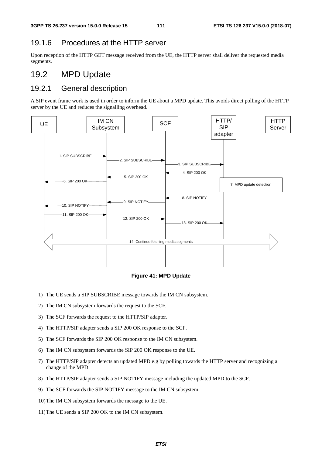### 19.1.6 Procedures at the HTTP server

Upon reception of the HTTP GET message received from the UE, the HTTP server shall deliver the requested media segments.

### 19.2 MPD Update

### 19.2.1 General description

A SIP event frame work is used in order to inform the UE about a MPD update. This avoids direct polling of the HTTP server by the UE and reduces the signalling overhead.



#### **Figure 41: MPD Update**

- 1) The UE sends a SIP SUBSCRIBE message towards the IM CN subsystem.
- 2) The IM CN subsystem forwards the request to the SCF.
- 3) The SCF forwards the request to the HTTP/SIP adapter.
- 4) The HTTP/SIP adapter sends a SIP 200 OK response to the SCF.
- 5) The SCF forwards the SIP 200 OK response to the IM CN subsystem.
- 6) The IM CN subsystem forwards the SIP 200 OK response to the UE.
- 7) The HTTP/SIP adapter detects an updated MPD e.g by polling towards the HTTP server and recognizing a change of the MPD
- 8) The HTTP/SIP adapter sends a SIP NOTIFY message including the updated MPD to the SCF.
- 9) The SCF forwards the SIP NOTIFY message to the IM CN subsystem.
- 10) The IM CN subsystem forwards the message to the UE.
- 11) The UE sends a SIP 200 OK to the IM CN subsystem.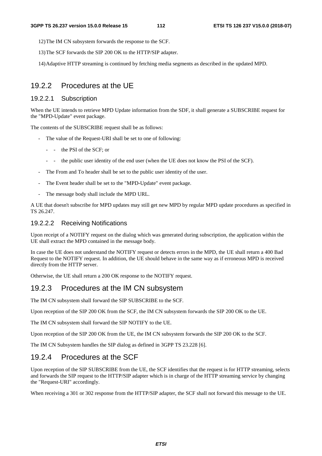12) The IM CN subsystem forwards the response to the SCF.

- 13) The SCF forwards the SIP 200 OK to the HTTP/SIP adapter.
- 14) Adaptive HTTP streaming is continued by fetching media segments as described in the updated MPD.

### 19.2.2 Procedures at the UE

#### 19.2.2.1 Subscription

When the UE intends to retrieve MPD Update information from the SDF, it shall generate a SUBSCRIBE request for the "MPD-Update" event package.

The contents of the SUBSCRIBE request shall be as follows:

- The value of the Request-URI shall be set to one of following:
	- - the PSI of the SCF; or
	- - the public user identity of the end user (when the UE does not know the PSI of the SCF).
- The From and To header shall be set to the public user identity of the user.
- The Event header shall be set to the "MPD-Update" event package.
- The message body shall include the MPD URL.

A UE that doesn't subscribe for MPD updates may still get new MPD by regular MPD update procedures as specified in TS 26.247.

#### 19.2.2.2 Receiving Notifications

Upon receipt of a NOTIFY request on the dialog which was generated during subscription, the application within the UE shall extract the MPD contained in the message body.

In case the UE does not understand the NOTIFY request or detects errors in the MPD, the UE shall return a 400 Bad Request to the NOTIFY request. In addition, the UE should behave in the same way as if erroneous MPD is received directly from the HTTP server.

Otherwise, the UE shall return a 200 OK response to the NOTIFY request.

### 19.2.3 Procedures at the IM CN subsystem

The IM CN subsystem shall forward the SIP SUBSCRIBE to the SCF.

Upon reception of the SIP 200 OK from the SCF, the IM CN subsystem forwards the SIP 200 OK to the UE.

The IM CN subsystem shall forward the SIP NOTIFY to the UE.

Upon reception of the SIP 200 OK from the UE, the IM CN subsystem forwards the SIP 200 OK to the SCF.

The IM CN Subsystem handles the SIP dialog as defined in 3GPP TS 23.228 [6].

### 19.2.4 Procedures at the SCF

Upon reception of the SIP SUBSCRIBE from the UE, the SCF identifies that the request is for HTTP streaming, selects and forwards the SIP request to the HTTP/SIP adapter which is in charge of the HTTP streaming service by changing the "Request-URI" accordingly.

When receiving a 301 or 302 response from the HTTP/SIP adapter, the SCF shall not forward this message to the UE.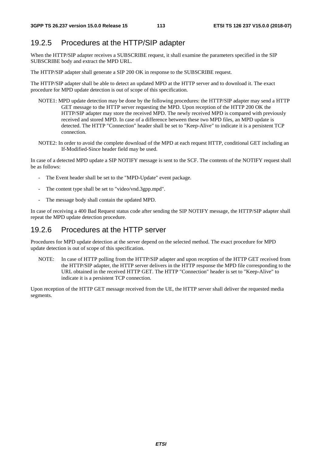### 19.2.5 Procedures at the HTTP/SIP adapter

When the HTTP/SIP adapter receives a SUBSCRIBE request, it shall examine the parameters specified in the SIP SUBSCRIBE body and extract the MPD URL.

The HTTP/SIP adapter shall generate a SIP 200 OK in response to the SUBSCRIBE request.

The HTTP/SIP adapter shall be able to detect an updated MPD at the HTTP server and to download it. The exact procedure for MPD update detection is out of scope of this specification.

- NOTE1: MPD update detection may be done by the following procedures: the HTTP/SIP adapter may send a HTTP GET message to the HTTP server requesting the MPD. Upon reception of the HTTP 200 OK the HTTP/SIP adapter may store the received MPD. The newly received MPD is compared with previously received and stored MPD. In case of a difference between these two MPD files, an MPD update is detected. The HTTP "Connection" header shall be set to "Keep-Alive" to indicate it is a persistent TCP connection.
- NOTE2: In order to avoid the complete download of the MPD at each request HTTP, conditional GET including an If-Modified-Since header field may be used.

In case of a detected MPD update a SIP NOTIFY message is sent to the SCF. The contents of the NOTIFY request shall be as follows:

- The Event header shall be set to the "MPD-Update" event package.
- The content type shall be set to "video/vnd.3gpp.mpd".
- The message body shall contain the updated MPD.

In case of receiving a 400 Bad Request status code after sending the SIP NOTIFY message, the HTTP/SIP adapter shall repeat the MPD update detection procedure.

### 19.2.6 Procedures at the HTTP server

Procedures for MPD update detection at the server depend on the selected method. The exact procedure for MPD update detection is out of scope of this specification.

NOTE: In case of HTTP polling from the HTTP/SIP adapter and upon reception of the HTTP GET received from the HTTP/SIP adapter, the HTTP server delivers in the HTTP response the MPD file corresponding to the URL obtained in the received HTTP GET. The HTTP "Connection" header is set to "Keep-Alive" to indicate it is a persistent TCP connection.

Upon reception of the HTTP GET message received from the UE, the HTTP server shall deliver the requested media segments.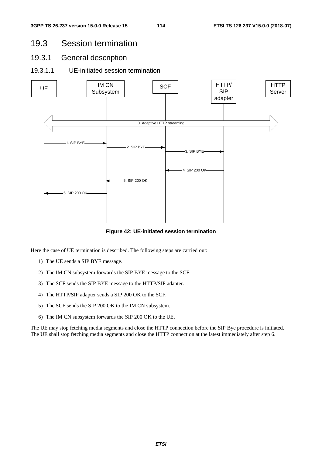### 19.3 Session termination

- 19.3.1 General description
- 19.3.1.1 UE-initiated session termination



**Figure 42: UE-initiated session termination** 

Here the case of UE termination is described. The following steps are carried out:

- 1) The UE sends a SIP BYE message.
- 2) The IM CN subsystem forwards the SIP BYE message to the SCF.
- 3) The SCF sends the SIP BYE message to the HTTP/SIP adapter.
- 4) The HTTP/SIP adapter sends a SIP 200 OK to the SCF.
- 5) The SCF sends the SIP 200 OK to the IM CN subsystem.
- 6) The IM CN subsystem forwards the SIP 200 OK to the UE.

The UE may stop fetching media segments and close the HTTP connection before the SIP Bye procedure is initiated. The UE shall stop fetching media segments and close the HTTP connection at the latest immediately after step 6.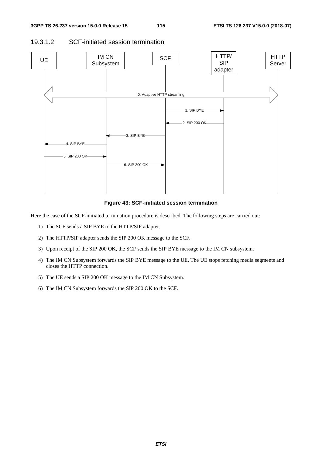### 19.3.1.2 SCF-initiated session termination



**Figure 43: SCF-initiated session termination** 

Here the case of the SCF-initiated termination procedure is described. The following steps are carried out:

- 1) The SCF sends a SIP BYE to the HTTP/SIP adapter.
- 2) The HTTP/SIP adapter sends the SIP 200 OK message to the SCF.
- 3) Upon receipt of the SIP 200 OK, the SCF sends the SIP BYE message to the IM CN subsystem.
- 4) The IM CN Subsystem forwards the SIP BYE message to the UE. The UE stops fetching media segments and closes the HTTP connection.
- 5) The UE sends a SIP 200 OK message to the IM CN Subsystem.
- 6) The IM CN Subsystem forwards the SIP 200 OK to the SCF.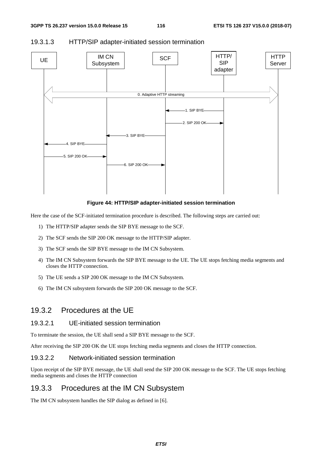

#### 19.3.1.3 HTTP/SIP adapter-initiated session termination

**Figure 44: HTTP/SIP adapter-initiated session termination** 

Here the case of the SCF-initiated termination procedure is described. The following steps are carried out:

- 1) The HTTP/SIP adapter sends the SIP BYE message to the SCF.
- 2) The SCF sends the SIP 200 OK message to the HTTP/SIP adapter.
- 3) The SCF sends the SIP BYE message to the IM CN Subsystem.
- 4) The IM CN Subsystem forwards the SIP BYE message to the UE. The UE stops fetching media segments and closes the HTTP connection.
- 5) The UE sends a SIP 200 OK message to the IM CN Subsystem.
- 6) The IM CN subsystem forwards the SIP 200 OK message to the SCF.

### 19.3.2 Procedures at the UE

#### 19.3.2.1 UE-initiated session termination

To terminate the session, the UE shall send a SIP BYE message to the SCF.

After receiving the SIP 200 OK the UE stops fetching media segments and closes the HTTP connection.

#### 19.3.2.2 Network-initiated session termination

Upon receipt of the SIP BYE message, the UE shall send the SIP 200 OK message to the SCF. The UE stops fetching media segments and closes the HTTP connection

### 19.3.3 Procedures at the IM CN Subsystem

The IM CN subsystem handles the SIP dialog as defined in [6].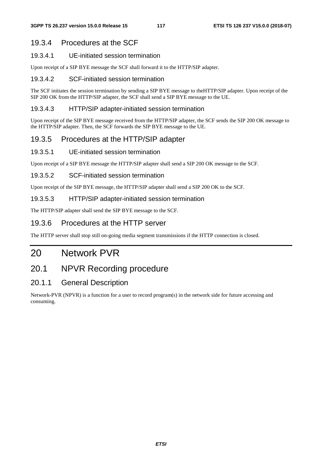### 19.3.4 Procedures at the SCF

### 19.3.4.1 UE-initiated session termination

Upon receipt of a SIP BYE message the SCF shall forward it to the HTTP/SIP adapter.

### 19.3.4.2 SCF-initiated session termination

The SCF initiates the session termination by sending a SIP BYE message to theHTTP/SIP adapter. Upon receipt of the SIP 200 OK from the HTTP/SIP adapter, the SCF shall send a SIP BYE message to the UE.

#### 19.3.4.3 HTTP/SIP adapter-initiated session termination

Upon receipt of the SIP BYE message received from the HTTP/SIP adapter, the SCF sends the SIP 200 OK message to the HTTP/SIP adapter. Then, the SCF forwards the SIP BYE message to the UE.

### 19.3.5 Procedures at the HTTP/SIP adapter

#### 19.3.5.1 UE-initiated session termination

Upon receipt of a SIP BYE message the HTTP/SIP adapter shall send a SIP 200 OK message to the SCF.

### 19.3.5.2 SCF-initiated session termination

Upon receipt of the SIP BYE message, the HTTP/SIP adapter shall send a SIP 200 OK to the SCF.

### 19.3.5.3 HTTP/SIP adapter-initiated session termination

The HTTP/SIP adapter shall send the SIP BYE message to the SCF.

### 19.3.6 Procedures at the HTTP server

The HTTP server shall stop still on-going media segment transmissions if the HTTP connection is closed.

## 20 Network PVR

### 20.1 NPVR Recording procedure

### 20.1.1 General Description

Network-PVR (NPVR) is a function for a user to record program(s) in the network side for future accessing and consuming.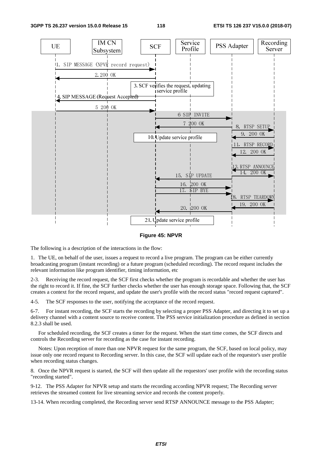

#### **Figure 45: NPVR**

The following is a description of the interactions in the flow:

1. The UE, on behalf of the user, issues a request to record a live program. The program can be either currently broadcasting program (instant recording) or a future program (scheduled recording). The record request includes the relevant information like program identifier, timing information, etc

2-3. Receiving the record request, the SCF first checks whether the program is recordable and whether the user has the right to record it. If fine, the SCF further checks whether the user has enough storage space. Following that, the SCF creates a context for the record request, and update the user's profile with the record status "record request captured".

4-5. The SCF responses to the user, notifying the acceptance of the record request.

6-7. For instant recording, the SCF starts the recording by selecting a proper PSS Adapter, and directing it to set up a delivery channel with a content source to receive content. The PSS service initialization procedure as defined in section 8.2.3 shall be used.

 For scheduled recording, the SCF creates a timer for the request. When the start time comes, the SCF directs and controls the Recording server for recording as the case for instant recording.

 Notes: Upon reception of more than one NPVR request for the same program, the SCF, based on local policy, may issue only one record request to Recording server. In this case, the SCF will update each of the requestor's user profile when recording status changes.

8. Once the NPVR request is started, the SCF will then update all the requestors' user profile with the recording status "recording started".

9-12. The PSS Adapter for NPVR setup and starts the recording according NPVR request; The Recording server retrieves the streamed content for live streaming service and records the content properly.

13-14. When recording completed, the Recording server send RTSP ANNOUNCE message to the PSS Adapter;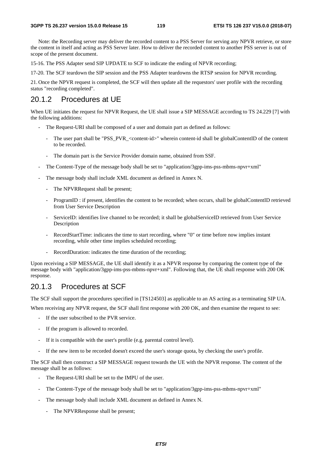Note: the Recording server may deliver the recorded content to a PSS Server for serving any NPVR retrieve, or store the content in itself and acting as PSS Server later. How to deliver the recorded content to another PSS server is out of scope of the present document.

15-16. The PSS Adapter send SIP UPDATE to SCF to indicate the ending of NPVR recording;

17-20. The SCF teardown the SIP session and the PSS Adapter teardowns the RTSP session for NPVR recording.

21. Once the NPVR request is completed, the SCF will then update all the requestors' user profile with the recording status "recording completed".

### 20.1.2 Procedures at UE

When UE initiates the request for NPVR Request, the UE shall issue a SIP MESSAGE according to TS 24.229 [7] with the following additions:

- The Request-URI shall be composed of a user and domain part as defined as follows:
	- The user part shall be "PSS\_PVR\_<content-id>" wherein content-id shall be globalContentID of the content to be recorded.
	- The domain part is the Service Provider domain name, obtained from SSF.
- The Content-Type of the message body shall be set to "application/3gpp-ims-pss-mbms-npvr+xml"
- The message body shall include XML document as defined in Annex N.
	- The NPVRRequest shall be present;
	- ProgramID : if present, identifies the content to be recorded; when occurs, shall be globalContentID retrieved from User Service Description
	- ServiceID: identifies live channel to be recorded; it shall be globalServiceID retrieved from User Service Description
	- RecordStartTime: indicates the time to start recording, where "0" or time before now implies instant recording, while other time implies scheduled recording;
	- RecordDuration: indicates the time duration of the recording;

Upon receiving a SIP MESSAGE, the UE shall identify it as a NPVR response by comparing the content type of the message body with "application/3gpp-ims-pss-mbms-npvr+xml". Following that, the UE shall response with 200 OK response.

### 20.1.3 Procedures at SCF

The SCF shall support the procedures specified in [TS124503] as applicable to an AS acting as a terminating SIP UA.

When receiving any NPVR request, the SCF shall first response with 200 OK, and then examine the request to see:

- If the user subscribed to the PVR service.
- If the program is allowed to recorded.
- If it is compatible with the user's profile (e.g. parental control level).
- If the new item to be recorded doesn't exceed the user's storage quota, by checking the user's profile.

The SCF shall then construct a SIP MESSAGE request towards the UE with the NPVR response. The content of the message shall be as follows:

- The Request-URI shall be set to the IMPU of the user.
- The Content-Type of the message body shall be set to "application/3gpp-ims-pss-mbms-npvr+xml"
- The message body shall include XML document as defined in Annex N.
	- The NPVRResponse shall be present;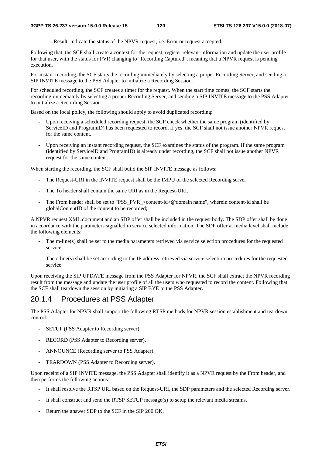Result: indicate the status of the NPVR request, i.e. Error or request accepted.

Following that, the SCF shall create a context for the request, register relevant information and update the user profile for that user, with the status for PVR changing to "Recording Captured", meaning that a NPVR request is pending execution.

For instant recording, the SCF starts the recording immediately by selecting a proper Recording Server, and sending a SIP INVITE message to the PSS Adapter to initialize a Recording Session.

For scheduled recording, the SCF creates a timer for the request. When the start time comes, the SCF starts the recording immediately by selecting a proper Recording Server, and sending a SIP INVITE message to the PSS Adapter to initialize a Recording Session.

Based on the local policy, the following should apply to avoid duplicated recording:

- Upon receiving a scheduled recording request, the SCF check whether the same program (identified by ServiceID and ProgramID) has been requested to record. If yes, the SCF shall not issue another NPVR request for the same content.
- Upon receiving an instant recording request, the SCF examines the status of the program. If the same program (identified by ServiceID and ProgramID) is already under recording, the SCF shall not issue another NPVR request for the same content.

When starting the recording, the SCF shall build the SIP INVITE message as follows:

- The Request-URI in the INVITE request shall be the IMPU of the selected Recording server
- The To header shall contain the same URI as in the Request-URI.
- The From header shall be set to "PSS\_PVR\_<content-id>@domain name", wherein content-id shall be globalContentID of the content to be recorded;

A NPVR request XML document and an SDP offer shall be included in the request body. The SDP offer shall be done in accordance with the parameters signalled in service selected information. The SDP offer at media level shall include the following elements:

- The m-line(s) shall be set to the media parameters retrieved via service selection procedures for the requested service.
- The c-line(s) shall be set according to the IP address retrieved via service selection procedures for the requested service.

Upon receiving the SIP UPDATE message from the PSS Adapter for NPVR, the SCF shall extract the NPVR recording result from the message and update the user profile of all the users who requested to record the content. Following that the SCF shall teardown the session by initiating a SIP BYE to the PSS Adapter.

### 20.1.4 Procedures at PSS Adapter

The PSS Adapter for NPVR shall support the following RTSP methods for NPVR session establishment and teardown control:

- SETUP (PSS Adapter to Recording server).
- RECORD (PSS Adapter to Recording server).
- ANNOUNCE (Recording server to PSS Adapter).
- TEARDOWN (PSS Adapter to Recording server).

Upon receipt of a SIP INVITE message, the PSS Adapter shall identify it as a NPVR request by the From header, and then performs the following actions:

- It shall resolve the RTSP URI based on the Request-URI, the SDP parameters and the selected Recording server.
- It shall construct and send the RTSP SETUP message(s) to setup the relevant media streams.
- Return the answer SDP to the SCF in the SIP 200 OK.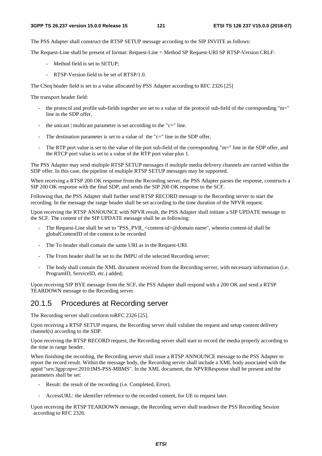The PSS Adapter shall construct the RTSP SETUP message according to the SIP INVITE as follows:

The Request-Line shall be present of format: Request-Line = Method SP Request-URI SP RTSP-Version CRLF:

- Method field is set to SETUP;
- RTSP-Version field to be set of RTSP/1.0.

The CSeq header field is set to a value allocated by PSS Adapter according to RFC 2326 [25]

The transport header field:

- the protocol and profile sub-fields together are set to a value of the protocol sub-field of the corresponding "m=" line in the SDP offer,
- the unicast  $\vert$  multicast parameter is set according to the "c=" line.
- The destination parameter is set to a value of the "c=" line in the SDP offer,
- The RTP port value is set to the value of the port sub-field of the corresponding "m=" line in the SDP offer, and the RTCP port value is set to a value of the RTP port value plus 1.

The PSS Adapter may send multiple RTSP SETUP messages if multiple media delivery channels are carried within the SDP offer. In this case, the pipeline of multiple RTSP SETUP messages may be supported.

When receiving a RTSP 200 OK response from the Recording server, the PSS Adapter parses the response, constructs a SIP 200 OK response with the final SDP, and sends the SIP 200 OK response to the SCF.

Following that, the PSS Adapter shall further send RTSP RECORD message to the Recording server to start the recording. In the message the range header shall be set according to the time duration of the NPVR request.

Upon receiving the RTSP ANNOUNCE with NPVR result, the PSS Adapter shall initiate a SIP UPDATE message to the SCF. The content of the SIP UPDATE message shall be as following:

- The Request-Line shall be set to "PSS\_PVR <content-id>@domain name", wherein content-id shall be globalContentID of the content to be recorded
- The To header shall contain the same URI as in the Request-URI.
- The From header shall be set to the IMPU of the selected Recording server;
- The body shall contain the XML document received from the Recording server, with necessary information (i.e. ProgramID, ServiceID, etc.) added;

Upon receiving SIP BYE message from the SCF, the PSS Adapter shall respond with a 200 OK and send a RTSP TEARDOWN message to the Recording server.

### 20.1.5 Procedures at Recording server

The Recording server shall conform toRFC 2326 [25].

Upon receiving a RTSP SETUP request, the Recording server shall validate the request and setup content delivery channel(s) according to the SDP.

Upon receiving the RTSP RECORD request, the Recording server shall start to record the media properly according to the time in range header.

When finishing the recording, the Recording server shall issue a RTSP ANNOUNCE message to the PSS Adapter to report the record result. Within the message body, the Recording server shall include a XML body associated with the appid "urn:3gpp:npvr:2010:IMS-PSS-MBMS". In the XML document, the NPVRResponse shall be present and the parameters shall be set:

- Result: the result of the recording (i.e. Completed, Error).
- AccessURL: the identifier reference to the recorded content, for UE to request later.

Upon receiving the RTSP TEARDOWN message, the Recording server shall teardown the PSS Recording Session according to RFC 2326.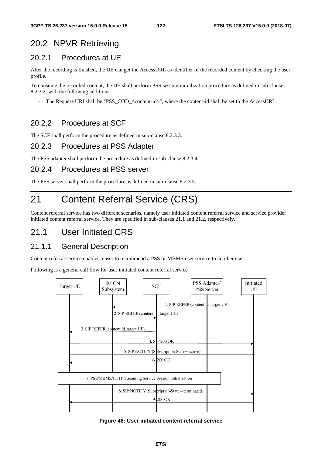# 20.2 NPVR Retrieving

### 20.2.1 Procedures at UE

After the recording is finished, the UE can get the AccessURL as identifier of the recorded content by checking the user profile.

To consume the recorded content, the UE shall perform PSS session initialization procedure as defined in sub-clause 8.2.3.2, with the following additions:

The Request-URI shall be "PSS\_COD\_<content-id>", where the content-id shall be set to the AccessURL.

### 20.2.2 Procedures at SCF

The SCF shall perform the procedure as defined in sub-clause 8.2.3.3.

### 20.2.3 Procedures at PSS Adapter

The PSS adapter shall perform the procedure as defined in sub-clause 8.2.3.4.

### 20.2.4 Procedures at PSS server

The PSS server shall perform the procedure as defined in sub-clause 8.2.3.5.

# 21 Content Referral Service (CRS)

Content referral service has two different scenarios, namely user initiated content referral service and service provider initiated content referral service. They are specified in sub-clauses 21.1 and 21.2, respectively.

## 21.1 User Initiated CRS

### 21.1.1 General Description

Content referral service enables a user to recommend a PSS or MBMS user service to another user.

Following is a general call flow for user initiated content referral service



#### **Figure 46: User initiated content referral service**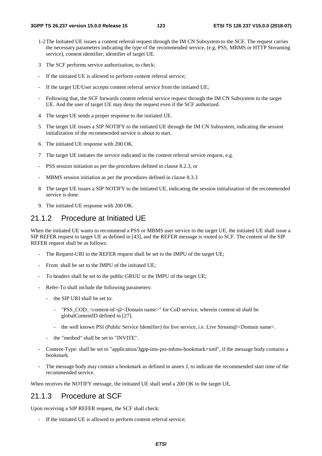- 1-2 The Initiated UE issues a content referral request through the IM CN Subsystem to the SCF. The request carries the necessary parameters indicating the type of the recommended service, (e.g. PSS, MBMS or HTTP Streaming service), content identifier, identifier of target UE.
- 3 The SCF performs service authorization, to check:
- If the initiated UE is allowed to perform content referral service;
- If the target UE/User accepts content referral service from the initiated UE;
- Following that, the SCF forwards content referral service request through the IM CN Subsystem to the target UE. And the user of target UE may deny the request even if the SCF authorized.
- 4 The target UE sends a proper response to the initiated UE.
- 5 The target UE issues a SIP NOTIFY to the initiated UE through the IM CN Subsystem, indicating the session initialization of the recommended service is about to start.
- 6. The initiated UE response with 200 OK.
- 7 The target UE initiates the service indicated in the content referral service request, e.g.
- PSS session initiation as per the procedures defined in clause 8.2.3, or
- MBMS session initiation as per the procedures defined in clause 8.3.3
- 8 The target UE issues a SIP NOTIFY to the initiated UE, indicating the session initialization of the recommended service is done.
- 9. The initiated UE response with 200 OK.

### 21.1.2 Procedure at Initiated UE

When the initiated UE wants to recommend a PSS or MBMS user service to the target UE, the initiated UE shall issue a SIP REFER request to target UE as defined in [43], and the REFER message is routed to SCF. The content of the SIP REFER request shall be as follows:

- The Request-URI in the REFER request shall be set to the IMPU of the target UE;
- From shall be set to the IMPU of the initiated UE;
- To headers shall be set to the public GRUU or the IMPU of the target UE;
- Refer-To shall include the following parameters:
	- the SIP URI shall be set to:
		- "PSS\_COD\_<content-id>@<Domain name>" for CoD service, wherein content-id shall be globalContentID defined in [27].
		- the well known PSI (Public Service Identifier) for live service, i.e. Live Stream@<Domain name>.
	- the "method" shall be set to "INVITE".
- Content-Type: shall be set to "application/3gpp-ims-pss-mbms-bookmark+xml", if the message body contains a bookmark.
- The message body may contain a bookmark as defined in annex J, to indicate the recommended start time of the recommended service.

When receives the NOTIFY message, the initiated UE shall send a 200 OK to the target UE.

### 21.1.3 Procedure at SCF

Upon receiving a SIP REFER request, the SCF shall check:

If the initiated UE is allowed to perform content referral service;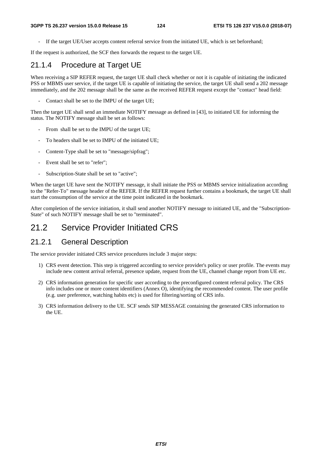If the target UE/User accepts content referral service from the initiated UE, which is set beforehand;

If the request is authorized, the SCF then forwards the request to the target UE.

### 21.1.4 Procedure at Target UE

When receiving a SIP REFER request, the target UE shall check whether or not it is capable of initiating the indicated PSS or MBMS user service, if the target UE is capable of initiating the service, the target UE shall send a 202 message immediately, and the 202 message shall be the same as the received REFER request except the "contact" head field:

Contact shall be set to the IMPU of the target UE;

Then the target UE shall send an immediate NOTIFY message as defined in [43], to initiated UE for informing the status. The NOTIFY message shall be set as follows:

- From shall be set to the IMPU of the target UE;
- To headers shall be set to IMPU of the initiated UE;
- Content-Type shall be set to "message/sipfrag";
- Event shall be set to "refer";
- Subscription-State shall be set to "active";

When the target UE have sent the NOTIFY message, it shall initiate the PSS or MBMS service initialization according to the "Refer-To" message header of the REFER. If the REFER request further contains a bookmark, the target UE shall start the consumption of the service at the time point indicated in the bookmark.

After completion of the service initiation, it shall send another NOTIFY message to initiated UE, and the "Subscription-State" of such NOTIFY message shall be set to "terminated".

### 21.2 Service Provider Initiated CRS

### 21.2.1 General Description

The service provider initiated CRS service procedures include 3 major steps:

- 1) CRS event detection. This step is triggered according to service provider's policy or user profile. The events may include new content arrival referral, presence update, request from the UE, channel change report from UE etc.
- 2) CRS information generation for specific user according to the preconfigured content referral policy. The CRS info includes one or more content identifiers (Annex O), identifying the recommended content. The user profile (e.g. user preference, watching habits etc) is used for filtering/sorting of CRS info.
- 3) CRS information delivery to the UE. SCF sends SIP MESSAGE containing the generated CRS information to the UE.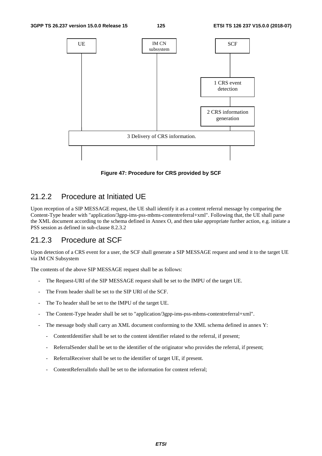#### **3GPP TS 26.237 version 15.0.0 Release 15 125 ETSI TS 126 237 V15.0.0 (2018-07)**



**Figure 47: Procedure for CRS provided by SCF** 

### 21.2.2 Procedure at Initiated UE

Upon reception of a SIP MESSAGE request, the UE shall identify it as a content referral message by comparing the Content-Type header with "application/3gpp-ims-pss-mbms-contentreferral+xml". Following that, the UE shall parse the XML document according to the schema defined in Annex O, and then take appropriate further action, e.g. initiate a PSS session as defined in sub-clause 8.2.3.2

### 21.2.3 Procedure at SCF

Upon detection of a CRS event for a user, the SCF shall generate a SIP MESSAGE request and send it to the target UE via IM CN Subsystem

The contents of the above SIP MESSAGE request shall be as follows:

- The Request-URI of the SIP MESSAGE request shall be set to the IMPU of the target UE.
- The From header shall be set to the SIP URI of the SCF.
- The To header shall be set to the IMPU of the target UE.
- The Content-Type header shall be set to "application/3gpp-ims-pss-mbms-contentreferral+xml".
- The message body shall carry an XML document conforming to the XML schema defined in annex Y:
	- ContentIdentifier shall be set to the content identifier related to the referral, if present;
	- ReferralSender shall be set to the identifier of the originator who provides the referral, if present;
	- ReferralReceiver shall be set to the identifier of target UE, if present.
	- ContentReferralInfo shall be set to the information for content referral;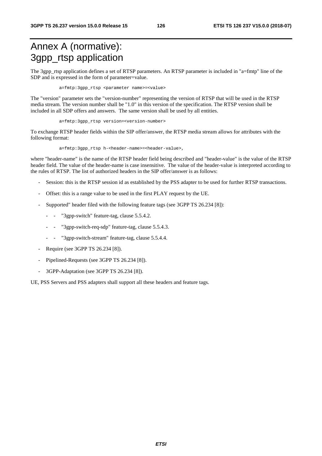# Annex A (normative): 3gpp\_rtsp application

The 3gpp\_rtsp application defines a set of RTSP parameters. An RTSP parameter is included in "a=fmtp" line of the SDP and is expressed in the form of parameter=value.

a=fmtp:3gpp\_rtsp <parameter name>=<value>

The "version" parameter sets the "version-number" representing the version of RTSP that will be used in the RTSP media stream. The version number shall be "1.0" in this version of the specification. The RTSP version shall be included in all SDP offers and answers. The same version shall be used by all entities.

a=fmtp:3gpp\_rtsp version=<version-number>

To exchange RTSP header fields within the SIP offer/answer, the RTSP media stream allows for attributes with the following format:

a=fmtp:3gpp\_rtsp h-<header-name>=<header-value>,

where "header-name" is the name of the RTSP header field being described and "header-value" is the value of the RTSP header field. The value of the header-name is case insensitive. The value of the header-value is interpreted according to the rules of RTSP. The list of authorized headers in the SIP offer/answer is as follows:

- Session: this is the RTSP session id as established by the PSS adapter to be used for further RTSP transactions.
- Offset: this is a range value to be used in the first PLAY request by the UE.
- Supported" header filed with the following feature tags (see 3GPP TS 26.234 [8]):
	- "3gpp-switch" feature-tag, clause 5.5.4.2.
	- "3gpp-switch-req-sdp" feature-tag, clause 5.5.4.3.
	- "3gpp-switch-stream" feature-tag, clause 5.5.4.4.
- Require (see 3GPP TS 26.234 [8]).
- Pipelined-Requests (see 3GPP TS 26.234 [8]).
- 3GPP-Adaptation (see 3GPP TS 26.234 [8]).

UE, PSS Servers and PSS adapters shall support all these headers and feature tags.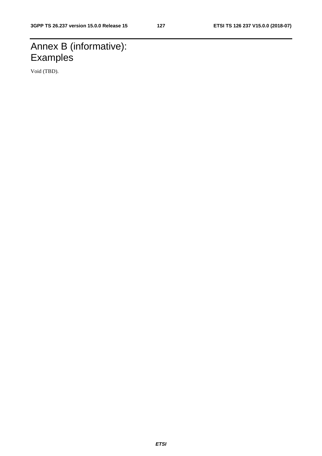# Annex B (informative): **Examples**

Void (TBD).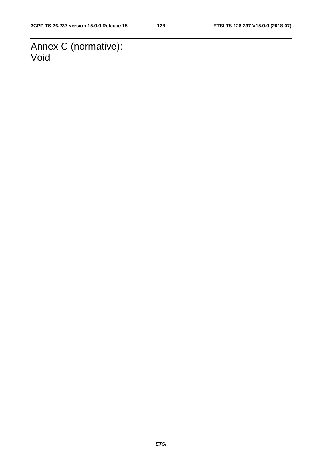Annex C (normative): Void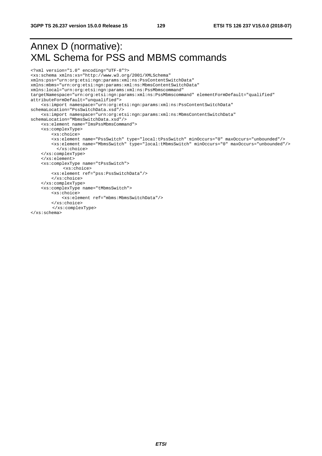# Annex D (normative): XML Schema for PSS and MBMS commands

```
<?xml version="1.0" encoding="UTF-8"?> 
<xs:schema xmlns:xs="http://www.w3.org/2001/XMLSchema" 
xmlns:pss="urn:org:etsi:ngn:params:xml:ns:PssContentSwitchData" 
xmlns:mbms="urn:org:etsi:ngn:params:xml:ns:MbmsContentSwitchData" 
xmlns:local="urn:org:etsi:ngn:params:xml:ns:PssMbmscommand" 
targetNamespace="urn:org:etsi:ngn:params:xml:ns:PssMbmscommand" elementFormDefault="qualified" 
attributeFormDefault="unqualified"> 
     <xs:import namespace="urn:org:etsi:ngn:params:xml:ns:PssContentSwitchData" 
schemaLocation="PssSwitchData.xsd"/> 
     <xs:import namespace="urn:org:etsi:ngn:params:xml:ns:MbmsContentSwitchData" 
schemaLocation="MbmsSwitchData.xsd"/> 
     <xs:element name="ImsPssMbmsCommand"> 
     <xs:complexType> 
         <xs:choice> 
         <xs:element name="PssSwitch" type="local:tPssSwitch" minOccurs="0" maxOccurs="unbounded"/> 
         <xs:element name="MbmsSwitch" type="local:tMbmsSwitch" minOccurs="0" maxOccurs="unbounded"/> 
           </xs:choice> 
     </xs:complexType> 
     </xs:element> 
     <xs:complexType name="tPssSwitch"> 
             <xs:choice> 
         <xs:element ref="pss:PssSwitchData"/> 
         </xs:choice> 
     </xs:complexType> 
     <xs:complexType name="tMbmsSwitch"> 
         <xs:choice> 
             <xs:element ref="mbms:MbmsSwitchData"/> 
         </xs:choice> 
        </xs:complexType> 
</xs:schema>
```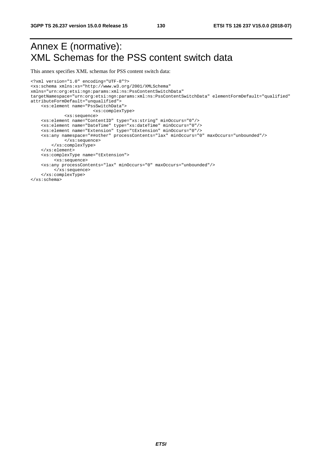# Annex E (normative): XML Schemas for the PSS content switch data

This annex specifies XML schemas for PSS content switch data:

```
<?xml version="1.0" encoding="UTF-8"?> 
<xs:schema xmlns:xs="http://www.w3.org/2001/XMLSchema" 
xmlns="urn:org:etsi:ngn:params:xml:ns:PssContentSwitchData" 
targetNamespace="urn:org:etsi:ngn:params:xml:ns:PssContentSwitchData" elementFormDefault="qualified" 
attributeFormDefault="unqualified"> 
     <xs:element name="PssSwitchData"> 
                         <xs:complexType> 
              <xs:sequence> 
     <xs:element name="ContentID" type="xs:string" minOccurs="0"/> 
     <xs:element name="DateTime" type="xs:dateTime" minOccurs="0"/> 
     <xs:element name="Extension" type="tExtension" minOccurs="0"/> 
     <xs:any namespace="##other" processContents="lax" minOccurs="0" maxOccurs="unbounded"/> 
              </xs:sequence> 
         </xs:complexType> 
     </xs:element> 
     <xs:complexType name="tExtension"> 
          <xs:sequence> 
     <xs:any processContents="lax" minOccurs="0" maxOccurs="unbounded"/> 
          </xs:sequence> 
     </xs:complexType> 
</xs:schema>
```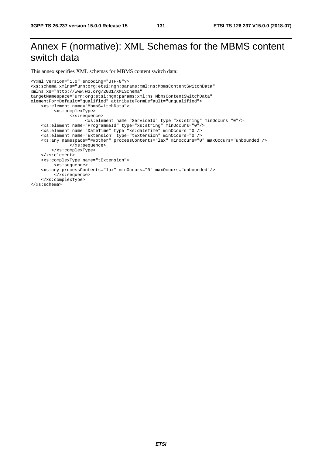# Annex F (normative): XML Schemas for the MBMS content switch data

This annex specifies XML schemas for MBMS content switch data:

```
<?xml version="1.0" encoding="UTF-8"?> 
<xs:schema xmlns="urn:org:etsi:ngn:params:xml:ns:MbmsContentSwitchData" 
xmlns:xs="http://www.w3.org/2001/XMLSchema" 
targetNamespace="urn:org:etsi:ngn:params:xml:ns:MbmsContentSwitchData" 
elementFormDefault="qualified" attributeFormDefault="unqualified"> 
     <xs:element name="MbmsSwitchData"> 
          <xs:complexType> 
                <xs:sequence> 
                      <xs:element name="ServiceId" type="xs:string" minOccurs="0"/> 
     <xs:element name="ProgrammeId" type="xs:string" minOccurs="0"/> 
 <xs:element name="DateTime" type="xs:dateTime" minOccurs="0"/> 
 <xs:element name="Extension" type="tExtension" minOccurs="0"/> 
     <xs:any namespace="##other" processContents="lax" minOccurs="0" maxOccurs="unbounded"/> 
               </xs:sequence> 
         </xs:complexType> 
     </xs:element> 
     <xs:complexType name="tExtension"> 
          <xs:sequence> 
     <xs:any processContents="lax" minOccurs="0" maxOccurs="unbounded"/> 
         </xs:sequence> 
     </xs:complexType> 
</xs:schema>
```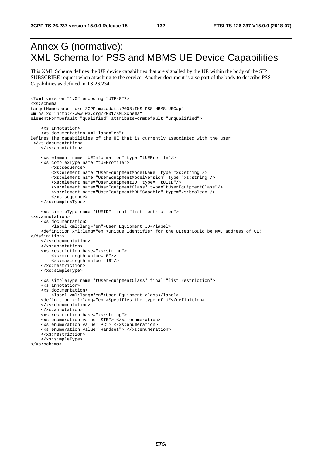# Annex G (normative): XML Schema for PSS and MBMS UE Device Capabilities

This XML Schema defines the UE device capabilities that are signalled by the UE within the body of the SIP SUBSCRIBE request when attaching to the service. Another document is also part of the body to describe PSS Capabilities as defined in TS 26.234.

```
<?xml version="1.0" encoding="UTF-8"?> 
<xs:schema 
targetNamespace="urn:3GPP:metadata:2008:IMS-PSS-MBMS:UECap" 
xmlns:xs="http://www.w3.org/2001/XMLSchema" 
elementFormDefault="qualified" attributeFormDefault="unqualified"> 
     <xs:annotation> 
     <xs:documentation xml:lang="en"> 
Defines the capabilities of the UE that is currently associated with the user 
  </xs:documentation> 
     </xs:annotation> 
     <xs:element name="UEInformation" type="tUEProfile"/> 
     <xs:complexType name="tUEProfile"> 
         <xs:sequence> 
         <xs:element name="UserEquipmentModelName" type="xs:string"/> 
         <xs:element name="UserEquipmentModelVersion" type="xs:string"/> 
         <xs:element name="UserEquipmentID" type=" tUEID"/> 
         <xs:element name="UserEquipmentClass" type="tUserEquipmentClass"/> 
         <xs:element name="UserEquipmentMBMSCapable" type="xs:boolean"/> 
         </xs:sequence> 
     </xs:complexType> 
     <xs:simpleType name="tUEID" final="list restriction"> 
<xs:annotation> 
     <xs:documentation> 
         <label xml:lang="en">User Equipment ID</label> 
     <definition xml:lang="en">Unique Identifier for the UE(eg;Could be MAC address of UE) 
</definition> 
     </xs:documentation> 
     </xs:annotation> 
     <xs:restriction base="xs:string"> 
         <xs:minLength value="0"/> 
         <xs:maxLength value="16"/> 
     </xs:restriction> 
     </xs:simpleType> 
     <xs:simpleType name="tUserEquipmentClass" final="list restriction"> 
     <xs:annotation> 
     <xs:documentation> 
         <label xml:lang="en">User Equipment class</label> 
     <definition xml:lang="en">Specifies the type of UE</definition> 
     </xs:documentation> 
     </xs:annotation> 
     <xs:restriction base="xs:string"> 
 <xs:enumeration value="STB"> </xs:enumeration> 
 <xs:enumeration value="PC"> </xs:enumeration> 
     <xs:enumeration value="Handset"> </xs:enumeration> 
     </xs:restriction> 
     </xs:simpleType> 
</xs:schema>
```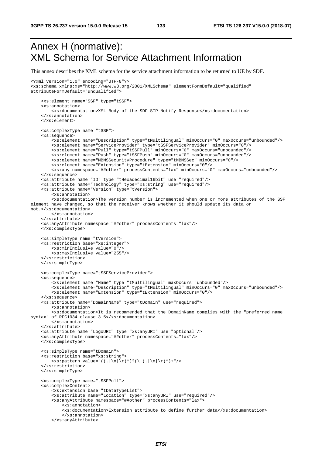# Annex H (normative): XML Schema for Service Attachment Information

This annex describes the XML schema for the service attachment information to be returned to UE by SDF.

```
<?xml version="1.0" encoding="UTF-8"?> 
<xs:schema xmlns:xs="http://www.w3.org/2001/XMLSchema" elementFormDefault="qualified" 
attributeFormDefault="unqualified"> 
     <xs:element name="SSF" type="tSSF"> 
     <xs:annotation> 
         <xs:documentation>XML Body of the SDF SIP Notify Response</xs:documentation> 
     </xs:annotation> 
     </xs:element> 
     <xs:complexType name="tSSF"> 
     <xs:sequence> 
         <xs:element name="Description" type="tMultilingual" minOccurs="0" maxOccurs="unbounded"/> 
         <xs:element name="ServiceProvider" type="tSSFServiceProvider" minOccurs="0"/> 
         <xs:element name="Pull" type="tSSFPull" minOccurs="0" maxOccurs="unbounded"/> 
 <xs:element name="Push" type="tSSFPush" minOccurs="0" maxOccurs="unbounded"/> 
 <xs:element name="MBMSSecurityProcedure" type="tMBMSSec" minOccurs="0"/> 
         <xs:element name="Extension" type="tExtension" minOccurs="0"/> 
         <xs:any namespace="##other" processContents="lax" minOccurs="0" maxOccurs="unbounded"/> 
     </xs:sequence> 
     <xs:attribute name="ID" type="tHexadecimal16bit" use="required"/> 
     <xs:attribute name="Technology" type="xs:string" use="required"/> 
     <xs:attribute name="Version" type="tVersion"> 
         <xs:annotation> 
         <xs:documentation>The version number is incremented when one or more attributes of the SSF 
element have changed, so that the receiver knows whether it should update its data or 
not.</xs:documentation> 
         </xs:annotation> 
     </xs:attribute> 
     <xs:anyAttribute namespace="##other" processContents="lax"/> 
     </xs:complexType> 
     <xs:simpleType name="tVersion"> 
     <xs:restriction base="xs:integer"> 
         <xs:minInclusive value="0"/> 
         <xs:maxInclusive value="255"/> 
     </xs:restriction> 
     </xs:simpleType> 
     <xs:complexType name="tSSFServiceProvider"> 
     <xs:sequence> 
         <xs:element name="Name" type="tMultilingual" maxOccurs="unbounded"/> 
         <xs:element name="Description" type="tMultilingual" minOccurs="0" maxOccurs="unbounded"/> 
         <xs:element name="Extension" type="tExtension" minOccurs="0"/> 
     </xs:sequence> 
     <xs:attribute name="DomainName" type="tDomain" use="required"> 
         <xs:annotation> 
         <xs:documentation>It is recommended that the DomainName complies with the "preferred name 
syntax" of RFC1034 clause 3.5</xs:documentation>
         </xs:annotation> 
     </xs:attribute> 
     <xs:attribute name="LogoURI" type="xs:anyURI" use="optional"/> 
     <xs:anyAttribute namespace="##other" processContents="lax"/> 
     </xs:complexType> 
     <xs:simpleType name="tDomain"> 
     <xs:restriction base="xs:string"> 
         <xs:pattern value="((.|\n|\r)*)?(\.(.|\n|\r)*)+"/> 
     </xs:restriction> 
     </xs:simpleType> 
     <xs:complexType name="tSSFPull"> 
     <xs:complexContent> 
         <xs:extension base="tDataTypeList"> 
 <xs:attribute name="Location" type="xs:anyURI" use="required"/> 
 <xs:anyAttribute namespace="##other" processContents="lax"> 
             <xs:annotation> 
             <xs:documentation>Extension attribute to define further data</xs:documentation> 
             </xs:annotation> 
         </xs:anyAttribute>
```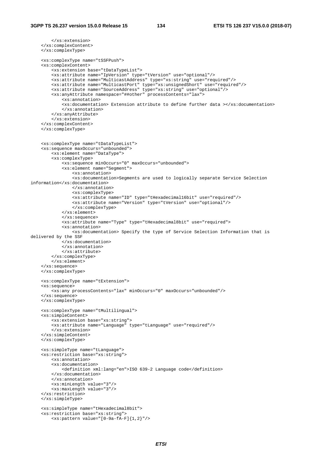```
 </xs:extension> 
     </xs:complexContent> 
     </xs:complexType> 
     <xs:complexType name="tSSFPush"> 
     <xs:complexContent> 
         <xs:extension base="tDataTypeList"> 
         <xs:attribute name="IpVersion" type="tVersion" use="optional"/> 
         <xs:attribute name="MulticastAddress" type="xs:string" use="required"/> 
         <xs:attribute name="MulticastPort" type="xs:unsignedShort" use="required"/> 
         <xs:attribute name="SourceAddress" type="xs:string" use="optional"/> 
         <xs:anyAttribute namespace="##other" processContents="lax"> 
              <xs:annotation> 
              <xs:documentation> Extension attribute to define further data ></xs:documentation> 
              </xs:annotation> 
         </xs:anyAttribute> 
         </xs:extension> 
     </xs:complexContent> 
     </xs:complexType> 
     <xs:complexType name="tDataTypeList"> 
     <xs:sequence maxOccurs="unbounded"> 
         <xs:element name="DataType"> 
         <xs:complexType> 
              <xs:sequence minOccurs="0" maxOccurs="unbounded"> 
              <xs:element name="Segment"> 
                  <xs:annotation> 
                  <xs:documentation>Segments are used to logically separate Service Selection 
information</xs:documentation> 
                  </xs:annotation> 
                  <xs:complexType> 
                  <xs:attribute name="ID" type="tHexadecimal16bit" use="required"/> 
                  <xs:attribute name="Version" type="tVersion" use="optional"/> 
                  </xs:complexType> 
              </xs:element> 
              </xs:sequence> 
              <xs:attribute name="Type" type="tHexadecimal8bit" use="required"> 
              <xs:annotation> 
                  <xs:documentation> Specify the type of Service Selection Information that is 
delivered by the SSF 
             </xs:documentation> 
              </xs:annotation> 
             </xs:attribute> 
         </xs:complexType> 
         </xs:element> 
     </xs:sequence> 
     </xs:complexType> 
     <xs:complexType name="tExtension"> 
     <xs:sequence> 
         <xs:any processContents="lax" minOccurs="0" maxOccurs="unbounded"/> 
     </xs:sequence> 
     </xs:complexType> 
     <xs:complexType name="tMultilingual"> 
     <xs:simpleContent> 
         <xs:extension base="xs:string"> 
         <xs:attribute name="Language" type="tLanguage" use="required"/> 
         </xs:extension> 
     </xs:simpleContent> 
     </xs:complexType> 
     <xs:simpleType name="tLanguage"> 
     <xs:restriction base="xs:string"> 
         <xs:annotation> 
         <xs:documentation> 
             <definition xml:lang="en">ISO 639-2 Language code</definition> 
         </xs:documentation> 
         </xs:annotation> 
         <xs:minLength value="3"/> 
         <xs:maxLength value="3"/> 
     </xs:restriction> 
     </xs:simpleType> 
     <xs:simpleType name="tHexadecimal8bit"> 
     <xs:restriction base="xs:string"> 
         <xs:pattern value="[0-9a-fA-F]{1,2}"/>
```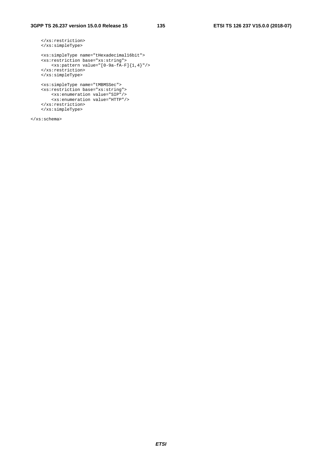```
 </xs:restriction> 
    </xs:simpleType> 
    <xs:simpleType name="tHexadecimal16bit"> 
    <xs:restriction base="xs:string"> 
        <xs:pattern value="[0-9a-fA-F]{1,4}"/> 
    </xs:restriction> 
    </xs:simpleType> 
    <xs:simpleType name="tMBMSSec"> 
    <xs:restriction base="xs:string"> 
 <xs:enumeration value="SIP"/> 
 <xs:enumeration value="HTTP"/> 
    \texttt{<}/\texttt{xs} \texttt{:} \texttt{restriction} </xs:simpleType>
```
</xs:schema>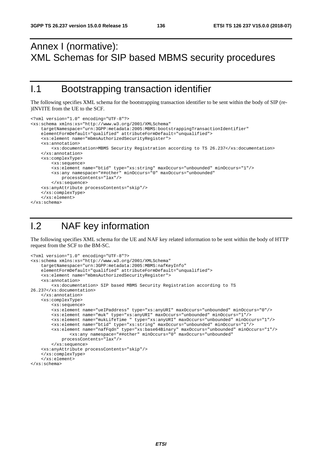# Annex I (normative): XML Schemas for SIP based MBMS security procedures

# I.1 Bootstrapping transaction identifier

The following specifies XML schema for the bootstrapping transaction identifier to be sent within the body of SIP (re- )INVITE from the UE to the SCF.

```
<?xml version="1.0" encoding="UTF-8"?> 
<xs:schema xmlns:xs="http://www.w3.org/2001/XMLSchema" 
     targetNamespace="urn:3GPP:metadata:2005:MBMS:bootstrappingTransactionIdentifier" 
     elementFormDefault="qualified" attributeFormDefault="unqualified"> 
     <xs:element name="mbmsAuthorizedSecurityRegister"> 
     <xs:annotation> 
         <xs:documentation>MBMS Security Registration according to TS 26.237</xs:documentation> 
     </xs:annotation> 
     <xs:complexType> 
         <xs:sequence> 
         <xs:element name="btid" type="xs:string" maxOccurs="unbounded" minOccurs="1"/> 
         <xs:any namespace="##other" minOccurs="0" maxOccurs="unbounded" 
            processContents="lax"/> 
         </xs:sequence> 
     <xs:anyAttribute processContents="skip"/> 
     </xs:complexType> 
     </xs:element> 
</xs:schema>
```
# I.2 NAF key information

The following specifies XML schema for the UE and NAF key related information to be sent within the body of HTTP request from the SCF to the BM-SC.

```
<?xml version="1.0" encoding="UTF-8"?> 
<xs:schema xmlns:xs="http://www.w3.org/2001/XMLSchema" 
     targetNamespace="urn:3GPP:metadata:2005:MBMS:nafKeyInfo" 
     elementFormDefault="qualified" attributeFormDefault="unqualified"> 
     <xs:element name="mbmsAuthorizedSecurityRegister"> 
     <xs:annotation> 
         <xs:documentation> SIP based MBMS Security Registration according to TS 
26.237</xs:documentation> 
     </xs:annotation> 
     <xs:complexType> 
         <xs:sequence> 
         <xs:element name="ueIPaddress" type="xs:anyURI" maxOccurs="unbounded" minOccurs="0"/> 
         <xs:element name="muk" type="xs:anyURI" maxOccurs="unbounded" minOccurs="1"/> 
         <xs:element name="mukLifeTime " type="xs:anyURI" maxOccurs="unbounded" minOccurs="1"/> 
         <xs:element name="btid" type="xs:string" maxOccurs="unbounded" minOccurs="1"/> 
         <xs:element name="nafFqdn" type="xs:base64Binary" maxOccurs="unbounded" minOccurs="1"/> 
                <xs:any namespace="##other" minOccurs="0" maxOccurs="unbounded" 
             processContents="lax"/> 
         </xs:sequence> 
     <xs:anyAttribute processContents="skip"/> 
     </xs:complexType> 
     </xs:element> 
</xs:schema>
```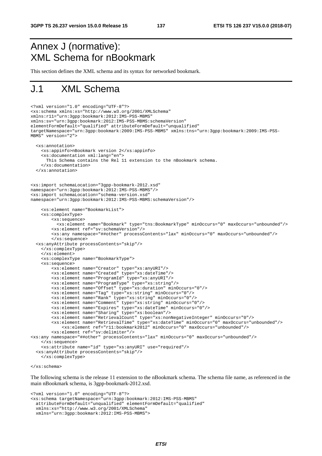# Annex J (normative): XML Schema for nBookmark

This section defines the XML schema and its syntax for networked bookmark.

# J.1 XML Schema

```
<?xml version="1.0" encoding="UTF-8"?> 
<xs:schema xmlns:xs="http://www.w3.org/2001/XMLSchema" 
xmlns:r11="urn:3gpp:bookmark:2012:IMS-PSS-MBMS" 
xmlns:sv="urn:3gpp:bookmark:2012:IMS-PSS-MBMS:schemaVersion" 
elementFormDefault="qualified" attributeFormDefault="unqualified" 
targetNamespace="urn:3gpp:bookmark:2009:IMS-PSS-MBMS" xmlns:tns="urn:3gpp:bookmark:2009:IMS-PSS-
MBMS" version="2"> 
   <xs:annotation> 
     <xs:appinfo>nBookmark version 2</xs:appinfo> 
     <xs:documentation xml:lang="en"> 
       This Schema contains the Rel 11 extension to the nBookmark schema. 
     </xs:documentation> 
   </xs:annotation> 
<xs:import schemaLocation="3gpp-bookmark-2012.xsd" 
namespace="urn:3gpp:bookmark:2012:IMS-PSS-MBMS"/> 
<xs:import schemaLocation="schema-version.xsd" 
namespace="urn:3gpp:bookmark:2012:IMS-PSS-MBMS:schemaVersion"/> 
     <xs:element name="BookmarkList"> 
     <xs:complexType> 
         <xs:sequence> 
           <xs:element name="Bookmark" type="tns:BookmarkType" minOccurs="0" maxOccurs="unbounded"/> 
         <xs:element ref="sv:schemaVersion"/> 
         <xs:any namespace="##other" processContents="lax" minOccurs="0" maxOccurs="unbounded"/> 
         </xs:sequence> 
   <xs:anyAttribute processContents="skip"/> 
     </xs:complexType> 
     </xs:element> 
     <xs:complexType name="BookmarkType"> 
     <xs:sequence> 
         <xs:element name="Creator" type="xs:anyURI"/> 
         <xs:element name="Created" type="xs:dateTime"/> 
         <xs:element name="ProgramId" type="xs:anyURI"/> 
         <xs:element name="ProgramType" type="xs:string"/> 
         <xs:element name="Offset" type="xs:duration" minOccurs="0"/> 
         <xs:element name="Tag" type="xs:string" minOccurs="0"/> 
         <xs:element name="Rank" type="xs:string" minOccurs="0"/> 
         <xs:element name="Comment" type="xs:string" minOccurs="0"/> 
         <xs:element name="Expires" type="xs:dateTime" minOccurs="0"/> 
         <xs:element name="Sharing" type="xs:boolean"/> 
         <xs:element name="RetrievalCount" type="xs:nonNegativeInteger" minOccurs="0"/> 
         <xs:element name="RetrievalTime" type="xs:dateTime" minOccurs="0" maxOccurs="unbounded"/> 
             <xs:element ref="r11:bookmark2012" minOccurs="0" maxOccurs="unbounded"/> 
         <xs:element ref="sv:delimiter"/> 
<xs:any namespace="##other" processContents="lax" minOccurs="0" maxOccurs="unbounded"/> 
     </xs:sequence> 
     <xs:attribute name="id" type="xs:anyURI" use="required"/> 
   <xs:anyAttribute processContents="skip"/> 
     </xs:complexType>
```

```
</xs:schema>
```
The following schema is the release 11 extension to the nBookmark schema. The schema file name, as referenced in the main nBookmark schema, is 3gpp-bookmark-2012.xsd.

```
<?xml version="1.0" encoding="UTF-8"?> 
<xs:schema targetNamespace="urn:3gpp:bookmark:2012:IMS-PSS-MBMS" 
  attributeFormDefault="unqualified" elementFormDefault="qualified" 
  xmlns:xs="http://www.w3.org/2001/XMLSchema" 
  xmlns="urn:3gpp:bookmark:2012:IMS-PSS-MBMS">
```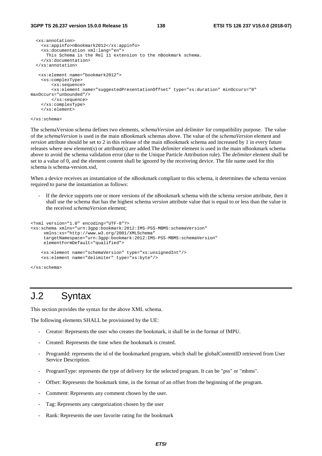```
 <xs:annotation> 
     <xs:appinfo>nBookmark2012</xs:appinfo> 
     <xs:documentation xml:lang="en"> 
       This Schema is the Rel 11 extension to the nBookmark schema. 
     </xs:documentation> 
   </xs:annotation> 
    <xs:element name="bookmark2012"> 
     <xs:complexType> 
         <xs:sequence> 
         <xs:element name="suggestedPresentationOffset" type="xs:duration" minOccurs="0" 
maxOccurs="unbounded"/> 
         </xs:sequence> 
     </xs:complexType> 
     </xs:element> 
</xs:schema>
```
The schemaVersion schema defines two elements, *schemaVersion* and *delimiter* for compatibility purpose. The value of the *schemaVersion* is used in the main nBookmark schemas above. The value of the *schemaVersion* element and *version* attribute should be set to 2 in this release of the main nBookmark schema and increased by 1 in every future releases where new element(s) or attribute(s) are added.The *delimiter* element is used in the main nBookmark schema above to avoid the schema validation error (due to the Unique Particle Attribution rule). The *delimiter* element shall be set to a value of 0, and the element content shall be ignored by the receiveing device. The file name used for this schema is schema-version.xsd,

When a device receives an instantiation of the nBookmark compliant to this schema, it determines the schema version required to parse the instantiation as follows:

- If the device supports one or more versions of the nBookmark schema with the schema *version* attribute, then it shall use the schema that has the highest schema *version* attribute value that is equal to or less than the value in the received *schemaVersion* element;

```
<?xml version="1.0" encoding="UTF-8"?> 
<xs:schema xmlns="urn:3gpp:bookmark:2012:IMS-PSS-MBMS:schemaVersion" 
      xmlns:xs="http://www.w3.org/2001/XMLSchema" 
      targetNamespace="urn:3gpp:bookmark:2012:IMS-PSS-MBMS:schemaVersion" 
      elementFormDefault="qualified"> 
     <xs:element name="schemaVersion" type="xs:unsignedInt"/> 
     <xs:element name="delimiter" type="xs:byte"/>
```

```
</xs:schema>
```
# J.2 Syntax

This section provides the syntax for the above XML schema.

The following elements SHALL be provisioned by the UE:

- Creator: Represents the user who creates the bookmark, it shall be in the format of IMPU.
- Created: Represents the time when the bookmark is created.
- ProgramId: represents the id of the bookmarked program, which shall be globalContentID retrieved from User Service Description.
- ProgramType: represents the type of delivery for the selected program. It can be "pss" or "mbms".
- Offset: Represents the bookmark time, in the format of an offset from the beginning of the program.
- Comment: Represents any comment chosen by the user.
- Tag: Represents any categorization chosen by the user
- Rank: Represents the user favorite rating for the bookmark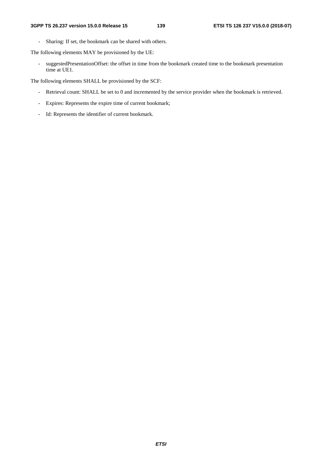- Sharing: If set, the bookmark can be shared with others.

The following elements MAY be provisioned by the UE:

- suggestedPresentationOffset: the offset in time from the bookmark created time to the bookmark presentation time at UE1.

The following elements SHALL be provisioned by the SCF:

- Retrieval count: SHALL be set to 0 and incremented by the service provider when the bookmark is retrieved.
- Expires: Represents the expire time of current bookmark;
- Id: Represents the identifier of current bookmark.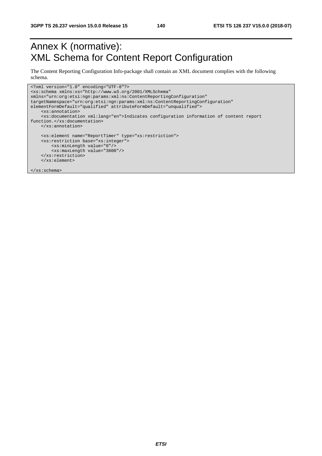# Annex K (normative): XML Schema for Content Report Configuration

The Content Reporting Configuration Info-package shall contain an XML document complies with the following schema.

```
<?xml version="1.0" encoding="UTF-8"?> 
<xs:schema xmlns:xs="http://www.w3.org/2001/XMLSchema" 
xmlns="urn:org:etsi:ngn:params:xml:ns:ContentReportingConfiguration" 
targetNamespace="urn:org:etsi:ngn:params:xml:ns:ContentReportingConfiguration" 
elementFormDefault="qualified" attributeFormDefault="unqualified"> 
     <xs:annotation> 
     <xs:documentation xml:lang="en">Indicates configuration information of content report 
function.</xs:documentation> 
     </xs:annotation> 
     <xs:element name="ReportTimer" type="xs:restriction"> 
     <xs:restriction base="xs:integer"> 
         <xs:minLength value="0"/> 
         <xs:maxLength value="3600"/> 
    \texttt{<}/\textsc{xs} \texttt{:} \text{restriction} </xs:element> 
</xs:schema>
```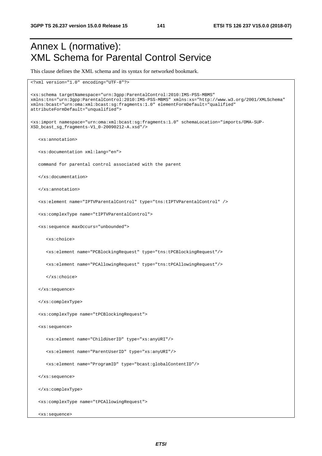# Annex L (normative): XML Schema for Parental Control Service

This clause defines the XML schema and its syntax for networked bookmark.

```
<?xml version="1.0" encoding="UTF-8"?> 
<xs:schema targetNamespace="urn:3gpp:ParentalControl:2010:IMS-PSS-MBMS" 
xmlns:tns="urn:3gpp:ParentalControl:2010:IMS-PSS-MBMS" xmlns:xs="http://www.w3.org/2001/XMLSchema" 
xmlns:bcast="urn:oma:xml:bcast:sg:fragments:1.0" elementFormDefault="qualified" 
attributeFormDefault="unqualified"> 
<xs:import namespace="urn:oma:xml:bcast:sg:fragments:1.0" schemaLocation="imports/OMA-SUP-
XSD_bcast_sg_fragments-V1_0-20090212-A.xsd"/> 
    <xs:annotation> 
    <xs:documentation xml:lang="en"> 
   command for parental control associated with the parent 
   </xs:documentation> 
    </xs:annotation> 
    <xs:element name="IPTVParentalControl" type="tns:tIPTVParentalControl" /> 
    <xs:complexType name="tIPTVParentalControl"> 
    <xs:sequence maxOccurs="unbounded"> 
       <xs:choice> 
       <xs:element name="PCBlockingRequest" type="tns:tPCBlockingRequest"/> 
       <xs:element name="PCAllowingRequest" type="tns:tPCAllowingRequest"/> 
       </xs:choice> 
    </xs:sequence> 
    </xs:complexType> 
    <xs:complexType name="tPCBlockingRequest"> 
    <xs:sequence> 
       <xs:element name="ChildUserID" type="xs:anyURI"/> 
       <xs:element name="ParentUserID" type="xs:anyURI"/> 
       <xs:element name="ProgramID" type="bcast:globalContentID"/> 
    </xs:sequence> 
    </xs:complexType> 
    <xs:complexType name="tPCAllowingRequest"> 
    <xs:sequence>
```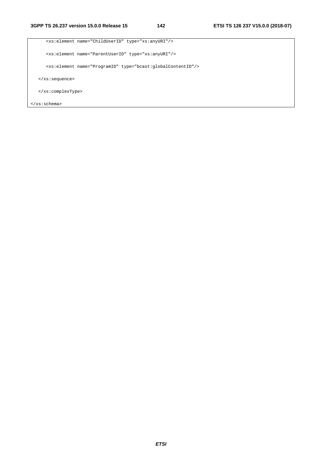```
 <xs:element name="ChildUserID" type="xs:anyURI"/> 
      <xs:element name="ParentUserID" type="xs:anyURI"/> 
      <xs:element name="ProgramID" type="bcast:globalContentID"/> 
   </xs:sequence> 
   </xs:complexType> 
</xs:schema>
```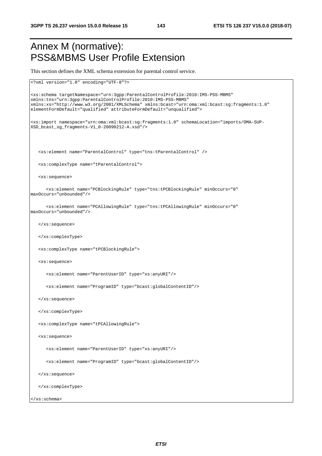# Annex M (normative): PSS&MBMS User Profile Extension

This section defines the XML schema extension for parental control service.

```
<?xml version="1.0" encoding="UTF-8"?> 
<xs:schema targetNamespace="urn:3gpp:ParentalControlProfile:2010:IMS-PSS-MBMS" 
xmlns:tns="urn:3gpp:ParentalControlProfile:2010:IMS-PSS-MBMS" 
xmlns:xs="http://www.w3.org/2001/XMLSchema" xmlns:bcast="urn:oma:xml:bcast:sg:fragments:1.0" 
elementFormDefault="qualified" attributeFormDefault="unqualified"> 
<xs:import namespace="urn:oma:xml:bcast:sg:fragments:1.0" schemaLocation="imports/OMA-SUP-
XSD_bcast_sg_fragments-V1_0-20090212-A.xsd"/> 
   <xs:element name="ParentalControl" type="tns:tParentalControl" /> 
   <xs:complexType name="tParentalControl"> 
   <xs:sequence> 
      <xs:element name="PCBlockingRule" type="tns:tPCBlockingRule" minOccurs="0" 
maxOccurs="unbounded"/> 
       <xs:element name="PCAllowingRule" type="tns:tPCAllowingRule" minOccurs="0" 
maxOccurs="unbounded"/> 
   </xs:sequence> 
   </xs:complexType> 
   <xs:complexType name="tPCBlockingRule"> 
   <xs:sequence> 
      <xs:element name="ParentUserID" type="xs:anyURI"/> 
       <xs:element name="ProgramID" type="bcast:globalContentID"/> 
   </xs:sequence> 
   </xs:complexType> 
   <xs:complexType name="tPCAllowingRule"> 
   <xs:sequence> 
       <xs:element name="ParentUserID" type="xs:anyURI"/> 
       <xs:element name="ProgramID" type="bcast:globalContentID"/> 
   </xs:sequence> 
   </xs:complexType> 
</xs:schema>
```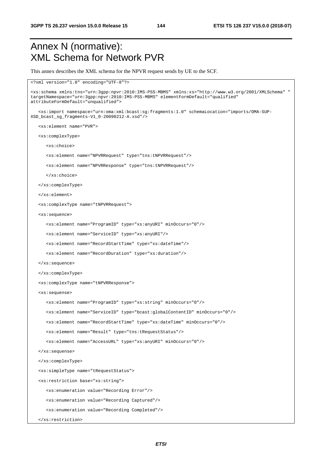### Annex N (normative): XML Schema for Network PVR

This annex describes the XML schema for the NPVR request sends by UE to the SCF.

```
<?xml version="1.0" encoding="UTF-8"?> 
<xs:schema xmlns:tns="urn:3gpp:npvr:2010:IMS-PSS-MBMS" xmlns:xs="http://www.w3.org/2001/XMLSchema" " 
targetNamespace="urn:3gpp:npvr:2010:IMS-PSS-MBMS" elementFormDefault="qualified" 
attributeFormDefault="unqualified"> 
    <xs:import namespace="urn:oma:xml:bcast:sg:fragments:1.0" schemaLocation="imports/OMA-SUP-
XSD_bcast_sg_fragments-V1_0-20090212-A.xsd"/> 
    <xs:element name="PVR"> 
    <xs:complexType> 
       <xs:choice> 
       <xs:element name="NPVRRequest" type="tns:tNPVRRequest"/> 
       <xs:element name="NPVRResponse" type="tns:tNPVRRequest"/> 
       </xs:choice> 
    </xs:complexType> 
    </xs:element> 
    <xs:complexType name="tNPVRRequest"> 
    <xs:sequence> 
       <xs:element name="ProgramID" type="xs:anyURI" minOccurs="0"/> 
       <xs:element name="ServiceID" type="xs:anyURI"/> 
       <xs:element name="RecordStartTime" type="xs:dateTime"/> 
       <xs:element name="RecordDuration" type="xs:duration"/> 
    </xs:sequence> 
    </xs:complexType> 
    <xs:complexType name="tNPVRResponse"> 
    <xs:sequense> 
       <xs:element name="ProgramID" type="xs:string" minOccurs="0"/> 
       <xs:element name="ServiceID" type="bcast:globalContentID" minOccurs="0"/> 
       <xs:element name="RecordStartTime" type="xs:dateTime" minOccurs="0"/> 
       <xs:element name="Result" type="tns:tRequestStatus"/> 
       <xs:element name="AccessURL" type="xs:anyURI" minOccurs="0"/> 
    </xs:sequense> 
    </xs:complexType> 
    <xs:simpleType name="tRequestStatus"> 
    <xs:restriction base="xs:string"> 
       <xs:enumeration value="Recording Error"/> 
       <xs:enumeration value="Recording Captured"/> 
       <xs:enumeration value="Recording Completed"/>
```

```
 </xs:restriction>
```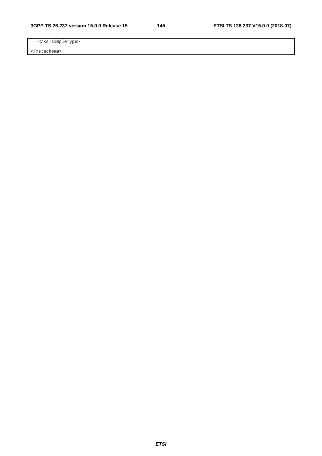</xs:simpleType>

</xs:schema>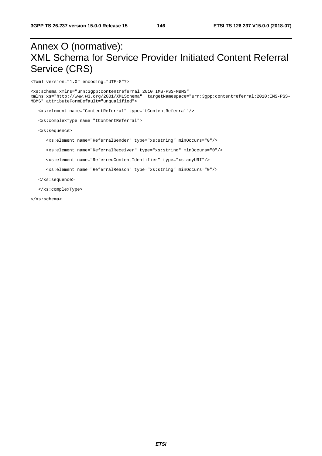## Annex O (normative): XML Schema for Service Provider Initiated Content Referral Service (CRS)

<?xml version="1.0" encoding="UTF-8"?>

<xs:schema xmlns="urn:3gpp:contentreferral:2010:IMS-PSS-MBMS" xmlns:xs="http://www.w3.org/2001/XMLSchema" targetNamespace="urn:3gpp:contentreferral:2010:IMS-PSS-MBMS" attributeFormDefault="unqualified">

<xs:element name="ContentReferral" type="tContentReferral"/>

<xs:complexType name="tContentReferral">

<xs:sequence>

<xs:element name="ReferralSender" type="xs:string" minOccurs="0"/>

<xs:element name="ReferralReceiver" type="xs:string" minOccurs="0"/>

<xs:element name="ReferredContentIdentifier" type="xs:anyURI"/>

<xs:element name="ReferralReason" type="xs:string" minOccurs="0"/>

</xs:sequence>

</xs:complexType>

</xs:schema>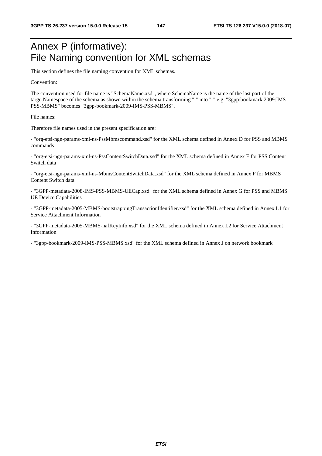## Annex P (informative): File Naming convention for XML schemas

This section defines the file naming convention for XML schemas.

Convention:

The convention used for file name is "SchemaName.xsd", where SchemaName is the name of the last part of the targetNamespace of the schema as shown within the schema transforming ":" into "-" e.g. "3gpp:bookmark:2009:IMS-PSS-MBMS" becomes "3gpp-bookmark-2009-IMS-PSS-MBMS".

File names:

Therefore file names used in the present specification are:

- "org-etsi-ngn-params-xml-ns-PssMbmscommand.xsd" for the XML schema defined in Annex D for PSS and MBMS commands

- "org-etsi-ngn-params-xml-ns-PssContentSwitchData.xsd" for the XML schema defined in Annex E for PSS Content Switch data

- "org-etsi-ngn-params-xml-ns-MbmsContentSwitchData.xsd" for the XML schema defined in Annex F for MBMS Content Switch data

- "3GPP-metadata-2008-IMS-PSS-MBMS-UECap.xsd" for the XML schema defined in Annex G for PSS and MBMS UE Device Capabilities

- "3GPP-metadata-2005-MBMS-bootstrappingTransactionIdentifier.xsd" for the XML schema defined in Annex I.1 for Service Attachment Information

- "3GPP-metadata-2005-MBMS-nafKeyInfo.xsd" for the XML schema defined in Annex I.2 for Service Attachment Information

- "3gpp-bookmark-2009-IMS-PSS-MBMS.xsd" for the XML schema defined in Annex J on network bookmark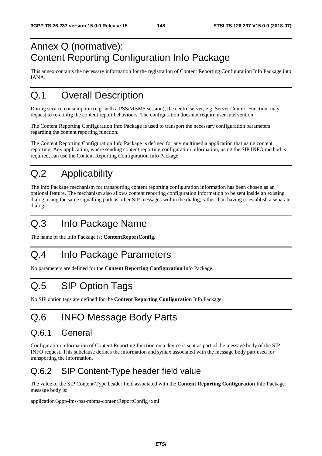## Annex Q (normative): Content Reporting Configuration Info Package

This annex contains the necessary information for the registration of Content Reporting Configuration Info Package into IANA.

## Q.1 Overall Description

During service consumption (e.g. with a PSS/MBMS session), the centre server, e.g. Server Control Function, may request to re-config the content report behaviours. The configuration does not require user intervention

The Content Reporting Configuration Info Package is used to transport the necessary configuration parameters regarding the content reporting function.

The Content Reporting Configuration Info Package is defined for any multimedia application that using content reporting. Any application, where sending content reporting configuration information, using the SIP INFO method is required, can use the Content Reporting Configuration Info Package.

## Q.2 Applicability

The Info Package mechanism for transporting content reporting configuration information has been chosen as an optional feature. The mechanism also allows content reporting configuration information to be sent inside an existing dialog, using the same signalling path as other SIP messages within the dialog, rather than having to establish a separate dialog.

## Q.3 Info Package Name

The name of the Info Package is: **ContentReportConfig**.

## Q.4 Info Package Parameters

No parameters are defined for the **Content Reporting Configuration** Info Package.

## Q.5 SIP Option Tags

No SIP option tags are defined for the **Content Reporting Configuration** Info Package.

## Q.6 INFO Message Body Parts

#### Q.6.1 General

Configuration information of Content Reporting function on a device is sent as part of the message body of the SIP INFO request. This subclause defines the information and syntax associated with the message body part used for transporting the information.

#### Q.6.2 SIP Content-Type header field value

The value of the SIP Content-Type header field associated with the **Content Reporting Configuration** Info Package message body is:

application/3gpp-ims-pss-mbms-contentReportConfig+xml"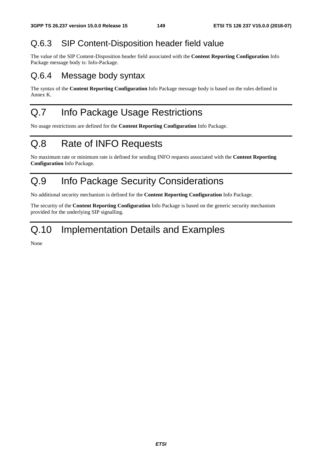#### Q.6.3 SIP Content-Disposition header field value

The value of the SIP Content-Disposition header field associated with the **Content Reporting Configuration** Info Package message body is: Info-Package.

#### Q.6.4 Message body syntax

The syntax of the **Content Reporting Configuration** Info Package message body is based on the rules defined in Annex K.

## Q.7 Info Package Usage Restrictions

No usage restrictions are defined for the **Content Reporting Configuration** Info Package.

## Q.8 Rate of INFO Requests

No maximum rate or minimum rate is defined for sending INFO requests associated with the **Content Reporting Configuration** Info Package.

## Q.9 Info Package Security Considerations

No additional security mechanism is defined for the **Content Reporting Configuration** Info Package.

The security of the **Content Reporting Configuration** Info Package is based on the generic security mechanism provided for the underlying SIP signalling.

## Q.10 Implementation Details and Examples

None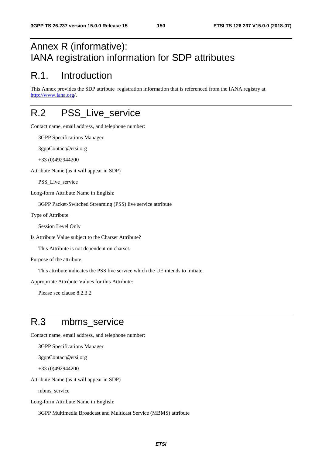### Annex R (informative): IANA registration information for SDP attributes

#### R.1. Introduction

This Annex provides the SDP attribute registration information that is referenced from the IANA registry at [http://www.iana.org](http://www.iana.org/)/.

### R.2 PSS Live service

Contact name, email address, and telephone number:

3GPP Specifications Manager

3gppContact@etsi.org

+33 (0)492944200

Attribute Name (as it will appear in SDP)

PSS Live service

Long-form Attribute Name in English:

3GPP Packet-Switched Streaming (PSS) live service attribute

Type of Attribute

Session Level Only

Is Attribute Value subject to the Charset Attribute?

This Attribute is not dependent on charset.

Purpose of the attribute:

This attribute indicates the PSS live service which the UE intends to initiate.

Appropriate Attribute Values for this Attribute:

Please see clause 8.2.3.2

## R.3 mbms\_service

Contact name, email address, and telephone number:

3GPP Specifications Manager

3gppContact@etsi.org

+33 (0)492944200

Attribute Name (as it will appear in SDP)

mbms\_service

Long-form Attribute Name in English:

3GPP Multimedia Broadcast and Multicast Service (MBMS) attribute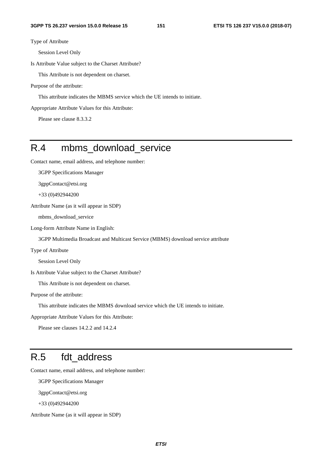Type of Attribute

Session Level Only

Is Attribute Value subject to the Charset Attribute?

This Attribute is not dependent on charset.

Purpose of the attribute:

This attribute indicates the MBMS service which the UE intends to initiate.

Appropriate Attribute Values for this Attribute:

Please see clause 8.3.3.2

#### R.4 mbms\_download\_service

Contact name, email address, and telephone number:

3GPP Specifications Manager

3gppContact@etsi.org

+33 (0)492944200

Attribute Name (as it will appear in SDP)

mbms\_download\_service

Long-form Attribute Name in English:

3GPP Multimedia Broadcast and Multicast Service (MBMS) download service attribute

Type of Attribute

Session Level Only

Is Attribute Value subject to the Charset Attribute?

This Attribute is not dependent on charset.

Purpose of the attribute:

This attribute indicates the MBMS download service which the UE intends to initiate.

Appropriate Attribute Values for this Attribute:

Please see clauses 14.2.2 and 14.2.4

### R.5 fdt\_address

Contact name, email address, and telephone number:

3GPP Specifications Manager

3gppContact@etsi.org

+33 (0)492944200

Attribute Name (as it will appear in SDP)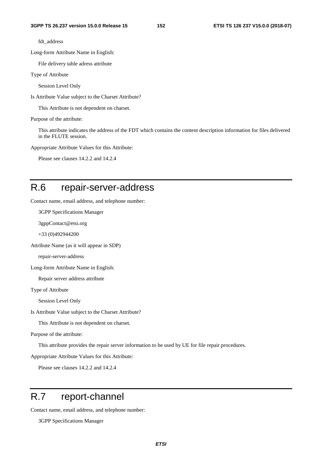fdt\_address

Long-form Attribute Name in English:

File delivery table adress attribute

Type of Attribute

Session Level Only

Is Attribute Value subject to the Charset Attribute?

This Attribute is not dependent on charset.

Purpose of the attribute:

This attribute indicates the address of the FDT which contains the content description information for files delivered in the FLUTE session.

Appropriate Attribute Values for this Attribute:

Please see clauses 14.2.2 and 14.2.4

#### R.6 repair-server-address

Contact name, email address, and telephone number:

3GPP Specifications Manager

3gppContact@etsi.org

+33 (0)492944200

Attribute Name (as it will appear in SDP)

repair-server-address

Long-form Attribute Name in English:

Repair server address attribute

Type of Attribute

Session Level Only

Is Attribute Value subject to the Charset Attribute?

This Attribute is not dependent on charset.

Purpose of the attribute:

This attribute provides the repair server information to be used by UE for file repair procedures.

Appropriate Attribute Values for this Attribute:

Please see clauses 14.2.2 and 14.2.4

### R.7 report-channel

Contact name, email address, and telephone number:

3GPP Specifications Manager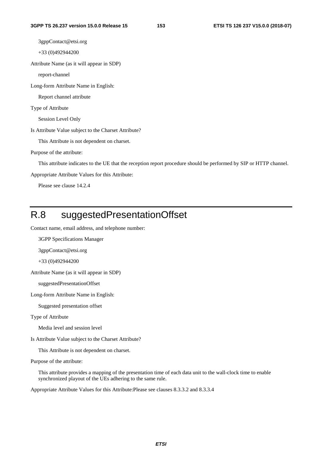3gppContact@etsi.org

+33 (0)492944200

Attribute Name (as it will appear in SDP)

report-channel

Long-form Attribute Name in English:

Report channel attribute

Type of Attribute

Session Level Only

Is Attribute Value subject to the Charset Attribute?

This Attribute is not dependent on charset.

Purpose of the attribute:

This attribute indicates to the UE that the reception report procedure should be performed by SIP or HTTP channel.

Appropriate Attribute Values for this Attribute:

Please see clause 14.2.4

## R.8 suggestedPresentationOffset

Contact name, email address, and telephone number:

3GPP Specifications Manager

3gppContact@etsi.org

+33 (0)492944200

Attribute Name (as it will appear in SDP)

suggestedPresentationOffset

Long-form Attribute Name in English:

Suggested presentation offset

Type of Attribute

Media level and session level

Is Attribute Value subject to the Charset Attribute?

This Attribute is not dependent on charset.

Purpose of the attribute:

This attribute provides a mapping of the presentation time of each data unit to the wall-clock time to enable synchronized playout of the UEs adhering to the same rule.

Appropriate Attribute Values for this Attribute:Please see clauses 8.3.3.2 and 8.3.3.4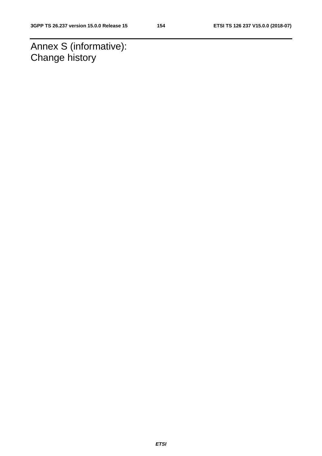Annex S (informative): Change history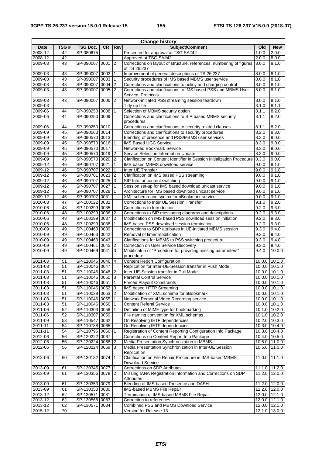| <b>Change history</b> |      |                  |           |                 |                                                                                     |               |                   |
|-----------------------|------|------------------|-----------|-----------------|-------------------------------------------------------------------------------------|---------------|-------------------|
| Date                  | TSG# | TSG Doc.         | <b>CR</b> | Rev             | Subject/Comment                                                                     | Old           | <b>New</b>        |
| 2008-12               | 42   | SP-080675        |           |                 | Presented for approval at TSG SA#42                                                 | 1.0.0         | 2.0.0             |
| 2008-12               | 42   |                  |           |                 | Approved at TSG SA#42                                                               | 2.0.0         | 8.0.0             |
| 2009-03               | 43   | SP-090007 0001   |           | $\overline{2}$  | Corrections on layout of structure, references, numbering of figures                | 8.0.0         | 8.1.0             |
|                       |      |                  |           |                 | of TS 26.237                                                                        |               |                   |
| 2009-03               | 43   | SP-090007 0002   |           | $\mathbf{1}$    | Improvement of general descriptions of TS 26.237                                    | 8.0.0         | 8.1.0             |
| 2009-03               | 43   | SP-090007 0003   |           | $\mathbf{1}$    | Security procedures of IMS based MBMS user service                                  | 8.0.0         | 8.1.0             |
| 2009-03               | 43   | SP-090007 0004   |           | 2               | Corrections and clarifications to policy and charging control                       | 8.0.0         | 8.1.0             |
| 2009-03               | 43   | SP-090007 0005   |           | 12              | Corrections and clarifications to IMS based PSS and MBMS User<br>Service; Protocols | 8.0.0         | 8.1.0             |
| 2009-03               | 43   | SP-090007 0006   |           | 2               | Network-initiated PSS streaming session teardown                                    | 8.0.0         | 8.1.0             |
| 2009-03               |      |                  |           |                 | Tidy up title                                                                       | 8.1.0         | 8.1.1             |
| 2009-06               | 44   | SP-090250 0008   |           | 1               | Selection of MBMS security option                                                   | 8.1.1         | 8.2.0             |
| 2009-06               | 44   | SP-090250 0009   |           |                 | Corrections and clarifications to SIP based MBMS security                           | 8.1.1         | 8.2.0             |
|                       |      |                  |           |                 | procedures                                                                          |               |                   |
| 2009-06               | 44   | SP-090250 0010   |           |                 | Corrections and clarifications to security related clauses                          | 8.1.1         | 8.2.0             |
| 2009-09               | 45   | SP-090563 0014   |           |                 | Corrections and clarifications to security procedures                               | 8.2.0         | 8.3.0             |
| 2009-09               | 45   | SP-090570 0013   |           |                 | Blending of presence and PSS/MBMS user services                                     | 8.3.0         | 9.0.0             |
| 2009-09               | 45   | SP-090570 0016   |           |                 | IMS Based UGC Service                                                               | 8.3.0         | 9.0.0             |
| 2009-09               | 45   | SP-090570 0017   |           |                 | Networked Bookmark Service                                                          | 8.3.0         | 9.0.0             |
| 2009-09               | 45   | SP-090570 0019   |           | <b>2</b>        | Service Selection Information Update                                                | 8.3.0         | 9.0.0             |
| 2009-09               | 45   | SP-090570 0020   |           | <b>2</b>        | Clarification on Content Identifier in Session Initialization Procedure             | 8.3.0         | 9.0.0             |
| $2009 - 12$           | 46   | SP-090707 0021   |           | $\vert$ 1       | IMS based MBMS download service                                                     | 9.0.0         | 9.1.0             |
|                       |      |                  |           |                 | Inter UE Transfer                                                                   | 9.0.0         |                   |
| 2009-12               | 46   | SP-090707 0022   |           | $\mathbf{1}$    |                                                                                     |               | 9.1.0             |
| 2009-12               | 46   | SP-090701 0023   |           | 2               | Clarification on IMS based PSS streaming                                            | 9.0.0         | 9.1.0             |
| 2009-12               | 46   | SP-090707 0025   |           | 3               | SIP Info for content switching                                                      | 9.0.0         | 9.1.0             |
| 2009-12               | 46   | SP-090707 0027   |           | 1               | Session set-up for IMS based download unicast service                               | 9.0.0         | 9.1.0             |
| 2009-12               | 46   | SP-090707 0028   |           |                 | Architecture for IMS based download unicast service                                 | 9.0.0         | 9.1.0             |
| 2009-12               | 46   | SP-090707 0031   |           |                 | XML schema and syntax for nBookmark service                                         | 9.0.0         | 9.1.0             |
| 2010-03               | 47   | SP-100022 0032   |           |                 | Corrections to Inter UE Session Transfer                                            | 9.1.0         | 9.2.0             |
| 2010-06               | 48   | SP-100299 0035   |           |                 | Corrections to Introduction                                                         | 9.2.0         | 9.3.0             |
| 2010-06               | 48   | SP-100299 0036   |           | 2               | Corrections to SIP messaging diagrams and descriptions                              | 9.2.0         | 9.3.0             |
| 2010-06               | 48   | SP-100299 0037   |           | 2               | Modification on IMS based PSS download session initiation                           | 9.2.0         | 9.3.0             |
| 2010-06               | 48   | SP-100299 0038   |           |                 | IMS based PSS download session termination                                          | 9.2.0         | 9.3.0             |
| 2010-09               | 49   | SP-100463 0039   |           |                 | Corrections to SDP attributes in UE-initiated MBMS session                          | 9.3.0         | 9.4.0             |
| 2010-09               | 49   | SP-100463 0042   |           |                 | Removal of timer modification                                                       | 9.3.0         | 9.4.0             |
| 2010-09               | 49   | SP-100463 0043   |           |                 | Clarifications for MBMS to PSS switching procedure                                  | 9.3.0         | 9.4.0             |
| 2010-09               | 49   | SP-100461 0045 2 |           |                 | Correction on User Service Discovery                                                | 9.3.0         | 9.4.0             |
| 2010-09               | 49   | SP-100469 0041   |           | 3               | Modificaton of "Procedure for providing missing parameters"                         | 9.4.0         | 10.0.0            |
|                       |      |                  |           |                 | procedure                                                                           |               |                   |
| 2011-03               | 51   | SP-110046 0046   |           | 4               | <b>Content Report Configuration</b>                                                 | 10.0.0        | 10.1.0            |
| 2011-03               | 51   | SP-110046 0047   |           |                 | Replication for Inter-UE-Session transfer in Push Mode                              |               | 10.0.0 10.1.0     |
| 2011-03               | 51   | SP-110046 0048   |           | $\overline{2}$  | Inter-UE-Session transfer in Pull Mode                                              | 10.0.0        | 10.1.0            |
| 2011-03               | 51   | SP-110046 0050   |           | 3               | <b>Parental Control Service</b>                                                     | 10.0.0 10.1.0 |                   |
| 2011-03               | 51   | SP-110046 0051 1 |           |                 | <b>Forced Playout Constraints</b>                                                   |               | $10.0.0$ 10.1.0   |
| 2011-03               | 51   | SP-110046 0052   |           | $\vert$ 3       | IMS based HTTP Streaming                                                            | 10.0.0 10.1.0 |                   |
| 2011-03               | 51   | SP-110038 0053   |           | $ 2\rangle$     | Modification of XML schema for nBookmark                                            |               | 10.0.0 10.1.0     |
| 2011-03               | 51   | SP-110046 0055   |           |                 | Network Personal Video Recording service                                            |               | 10.0.0 10.1.0     |
|                       |      |                  |           |                 |                                                                                     |               |                   |
| 2011-03               | 51   | SP-110046 0056   |           | $\mathbf{1}$    | <b>Content Referal Service</b>                                                      |               | 10.0.0 10.1.0     |
| 2011-06               | 52   | SP-110303 0058   |           |                 | Definition of MIME type for bookmarking                                             |               | 10.1.0 10.2.0     |
| 2011-06               | 52   | SP-110307 0059   |           |                 | File naming convention for XML schemas                                              |               | 10.1.0 10.2.0     |
| 2011-09               | 53   | SP-110547 0062   |           |                 | On Resolving IETF dependencies                                                      | 10.2.0 10.3.0 |                   |
| 2011-11               | 54   | SP-110788 0065   |           |                 | On Resolving IETF dependencies                                                      |               | 10.3.0 10.4.0     |
| 2011-11               | 54   | SP-110796 0066   |           |                 | Registration of Content Reporting Configuration Info Package                        |               | 10.3.0 10.4.0     |
| 2012-06               | 56   | SP-120222 0067   |           |                 | Corrections on Content Report Info Package                                          |               | $10.4.0$ $10.5.0$ |
| 2012-06               | 56   | SP-120224 0068   |           | 12              | Media Presentation Synchronization in MBMS                                          |               | 10.5.0 11.0.0     |
| 2012-06               | 56   | SP-120224 0069   |           | 13              | Media Presentation Synchronization in Inter-UE Session                              | 10.5.0 11.0.0 |                   |
|                       |      |                  |           |                 | Replication                                                                         |               |                   |
| 2013-06               | 60   | SP-130182 0074 1 |           |                 | Clarification on File Repair Procedure in IMS-based MBMS                            | 11.0.0 11.1.0 |                   |
| 2013-09               | 61   | SP-130345 0077   |           | 11              | Download Service<br>Corrections on SDP Attributes                                   |               | 11.1.0 11.2.0     |
|                       |      |                  |           |                 |                                                                                     |               |                   |
| 2013-09               | 61   | SP-130356 0078 2 |           |                 | Missing IANA Registration Information and Corrections on SDP<br>Attributes          | 11.2.0 12.0.0 |                   |
| 2013-09               | 61   | SP-130353 0079   |           | l 1             | Blending of IMS-based Presence and DASH                                             |               | 11.2.0 12.0.0     |
| 2013-09               | 61   | SP-130353 0080   |           |                 | IMS-based MBMS File Repair                                                          |               | 11.2.0 12.0.0     |
| 2013-12               | 62   | SP-130571 0081   |           |                 | Termination of IMS-based MBMS File Repair                                           |               | 12.0.0 12.1.0     |
| 2013-12               | 62   | SP-130568 0083   |           | $\overline{11}$ | Correction to references                                                            |               | 12.0.0 12.1.0     |
| 2013-12               | 62   |                  |           |                 | Combined PSS and MBMS Download Service                                              |               | 12.0.0 12.1.0     |
|                       |      | SP-130571 0084   |           |                 |                                                                                     |               |                   |
| 2015-12               | 70   |                  |           |                 | Version for Release 13                                                              |               | 12.1.0 13.0.0     |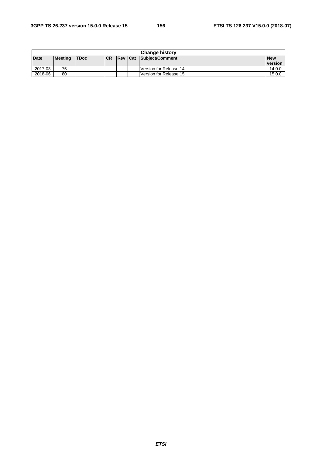| <b>Change history</b> |         |             |           |                |  |                        |            |
|-----------------------|---------|-------------|-----------|----------------|--|------------------------|------------|
| <b>Date</b>           | Meeting | <b>TDoc</b> | <b>CR</b> | <b>Rev Cat</b> |  | Subject/Comment        | <b>New</b> |
|                       |         |             |           |                |  |                        | version    |
| 2017-03               | 75      |             |           |                |  | Version for Release 14 | 14.0.0     |
| 2018-06               | 80      |             |           |                |  | Version for Release 15 | 15.0.0     |